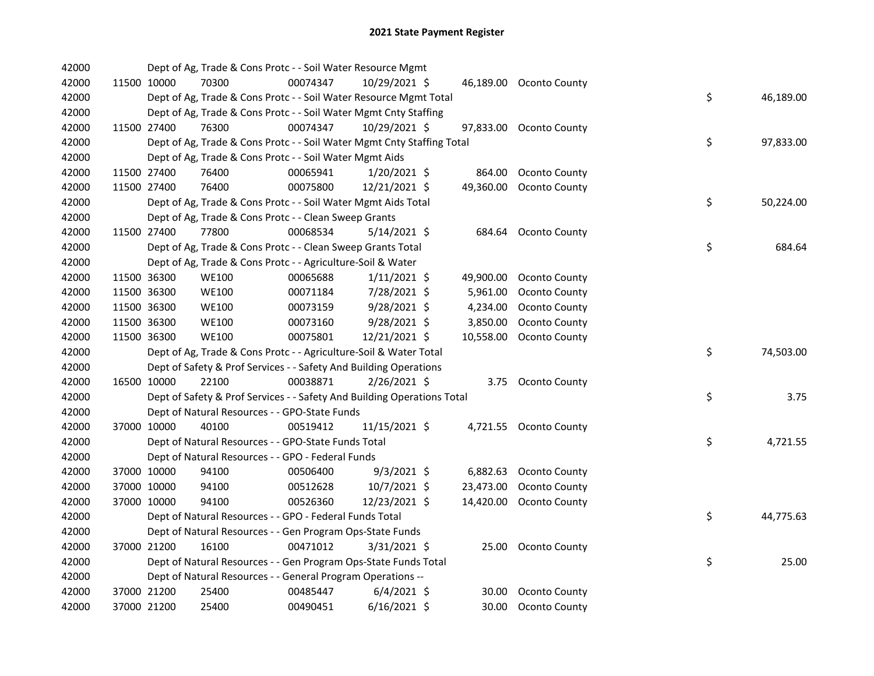| 42000 |             | Dept of Ag, Trade & Cons Protc - - Soil Water Resource Mgmt             |          |                |           |                         |    |           |
|-------|-------------|-------------------------------------------------------------------------|----------|----------------|-----------|-------------------------|----|-----------|
| 42000 | 11500 10000 | 70300                                                                   | 00074347 | 10/29/2021 \$  |           | 46,189.00 Oconto County |    |           |
| 42000 |             | Dept of Ag, Trade & Cons Protc - - Soil Water Resource Mgmt Total       |          |                |           |                         | \$ | 46,189.00 |
| 42000 |             | Dept of Ag, Trade & Cons Protc - - Soil Water Mgmt Cnty Staffing        |          |                |           |                         |    |           |
| 42000 | 11500 27400 | 76300                                                                   | 00074347 | 10/29/2021 \$  |           | 97,833.00 Oconto County |    |           |
| 42000 |             | Dept of Ag, Trade & Cons Protc - - Soil Water Mgmt Cnty Staffing Total  |          |                |           |                         | \$ | 97,833.00 |
| 42000 |             | Dept of Ag, Trade & Cons Protc - - Soil Water Mgmt Aids                 |          |                |           |                         |    |           |
| 42000 | 11500 27400 | 76400                                                                   | 00065941 | $1/20/2021$ \$ | 864.00    | Oconto County           |    |           |
| 42000 | 11500 27400 | 76400                                                                   | 00075800 | 12/21/2021 \$  | 49,360.00 | Oconto County           |    |           |
| 42000 |             | Dept of Ag, Trade & Cons Protc - - Soil Water Mgmt Aids Total           |          |                |           |                         | \$ | 50,224.00 |
| 42000 |             | Dept of Ag, Trade & Cons Protc - - Clean Sweep Grants                   |          |                |           |                         |    |           |
| 42000 | 11500 27400 | 77800                                                                   | 00068534 | 5/14/2021 \$   |           | 684.64 Oconto County    |    |           |
| 42000 |             | Dept of Ag, Trade & Cons Protc - - Clean Sweep Grants Total             |          |                |           |                         | \$ | 684.64    |
| 42000 |             | Dept of Ag, Trade & Cons Protc - - Agriculture-Soil & Water             |          |                |           |                         |    |           |
| 42000 | 11500 36300 | <b>WE100</b>                                                            | 00065688 | $1/11/2021$ \$ |           | 49,900.00 Oconto County |    |           |
| 42000 | 11500 36300 | <b>WE100</b>                                                            | 00071184 | 7/28/2021 \$   | 5,961.00  | Oconto County           |    |           |
| 42000 | 11500 36300 | <b>WE100</b>                                                            | 00073159 | $9/28/2021$ \$ | 4,234.00  | Oconto County           |    |           |
| 42000 | 11500 36300 | <b>WE100</b>                                                            | 00073160 | $9/28/2021$ \$ | 3,850.00  | Oconto County           |    |           |
| 42000 | 11500 36300 | <b>WE100</b>                                                            | 00075801 | 12/21/2021 \$  | 10,558.00 | Oconto County           |    |           |
| 42000 |             | Dept of Ag, Trade & Cons Protc - - Agriculture-Soil & Water Total       |          |                |           |                         | \$ | 74,503.00 |
| 42000 |             | Dept of Safety & Prof Services - - Safety And Building Operations       |          |                |           |                         |    |           |
| 42000 | 16500 10000 | 22100                                                                   | 00038871 | 2/26/2021 \$   |           | 3.75 Oconto County      |    |           |
| 42000 |             | Dept of Safety & Prof Services - - Safety And Building Operations Total |          |                |           |                         | \$ | 3.75      |
| 42000 |             | Dept of Natural Resources - - GPO-State Funds                           |          |                |           |                         |    |           |
| 42000 | 37000 10000 | 40100                                                                   | 00519412 | 11/15/2021 \$  |           | 4,721.55 Oconto County  |    |           |
| 42000 |             | Dept of Natural Resources - - GPO-State Funds Total                     |          |                |           |                         | \$ | 4,721.55  |
| 42000 |             | Dept of Natural Resources - - GPO - Federal Funds                       |          |                |           |                         |    |           |
| 42000 | 37000 10000 | 94100                                                                   | 00506400 | $9/3/2021$ \$  |           | 6,882.63 Oconto County  |    |           |
| 42000 | 37000 10000 | 94100                                                                   | 00512628 | 10/7/2021 \$   | 23,473.00 | Oconto County           |    |           |
| 42000 | 37000 10000 | 94100                                                                   | 00526360 | 12/23/2021 \$  | 14,420.00 | Oconto County           |    |           |
| 42000 |             | Dept of Natural Resources - - GPO - Federal Funds Total                 |          |                |           |                         | \$ | 44,775.63 |
| 42000 |             | Dept of Natural Resources - - Gen Program Ops-State Funds               |          |                |           |                         |    |           |
| 42000 | 37000 21200 | 16100                                                                   | 00471012 | $3/31/2021$ \$ |           | 25.00 Oconto County     |    |           |
| 42000 |             | Dept of Natural Resources - - Gen Program Ops-State Funds Total         |          |                |           |                         | \$ | 25.00     |
| 42000 |             | Dept of Natural Resources - - General Program Operations --             |          |                |           |                         |    |           |
| 42000 | 37000 21200 | 25400                                                                   | 00485447 | $6/4/2021$ \$  | 30.00     | <b>Oconto County</b>    |    |           |
| 42000 | 37000 21200 | 25400                                                                   | 00490451 | $6/16/2021$ \$ | 30.00     | <b>Oconto County</b>    |    |           |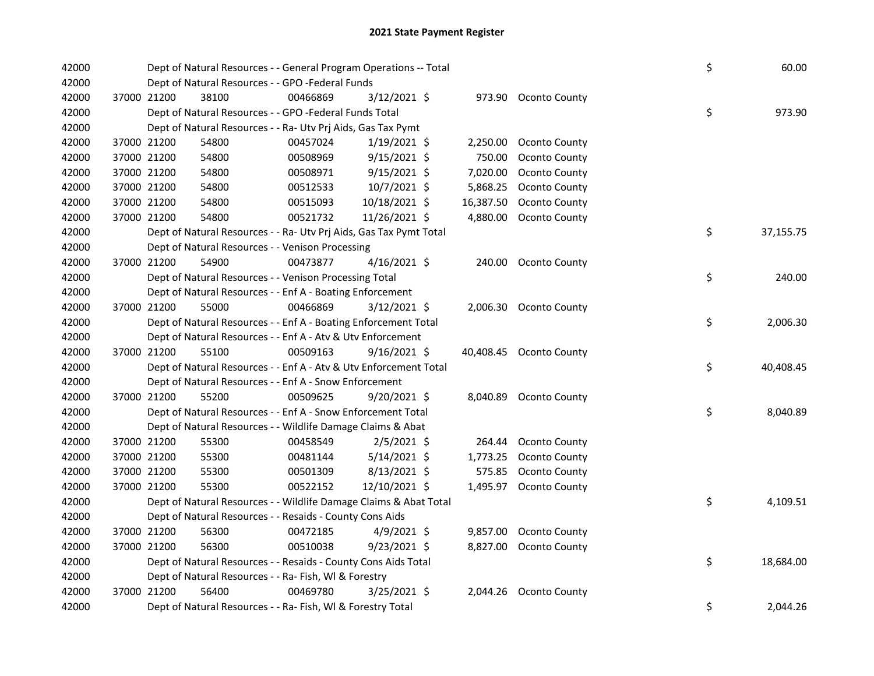| 42000 |             | Dept of Natural Resources - - General Program Operations -- Total  |          |                |           |                         | \$ | 60.00     |
|-------|-------------|--------------------------------------------------------------------|----------|----------------|-----------|-------------------------|----|-----------|
| 42000 |             | Dept of Natural Resources - - GPO -Federal Funds                   |          |                |           |                         |    |           |
| 42000 | 37000 21200 | 38100                                                              | 00466869 | 3/12/2021 \$   |           | 973.90 Oconto County    |    |           |
| 42000 |             | Dept of Natural Resources - - GPO -Federal Funds Total             |          |                |           |                         | \$ | 973.90    |
| 42000 |             | Dept of Natural Resources - - Ra- Utv Prj Aids, Gas Tax Pymt       |          |                |           |                         |    |           |
| 42000 | 37000 21200 | 54800                                                              | 00457024 | $1/19/2021$ \$ | 2,250.00  | Oconto County           |    |           |
| 42000 | 37000 21200 | 54800                                                              | 00508969 | $9/15/2021$ \$ | 750.00    | Oconto County           |    |           |
| 42000 | 37000 21200 | 54800                                                              | 00508971 | $9/15/2021$ \$ | 7,020.00  | Oconto County           |    |           |
| 42000 | 37000 21200 | 54800                                                              | 00512533 | 10/7/2021 \$   | 5,868.25  | Oconto County           |    |           |
| 42000 | 37000 21200 | 54800                                                              | 00515093 | 10/18/2021 \$  | 16,387.50 | Oconto County           |    |           |
| 42000 | 37000 21200 | 54800                                                              | 00521732 | 11/26/2021 \$  | 4,880.00  | Oconto County           |    |           |
| 42000 |             | Dept of Natural Resources - - Ra- Utv Prj Aids, Gas Tax Pymt Total |          |                |           |                         | \$ | 37,155.75 |
| 42000 |             | Dept of Natural Resources - - Venison Processing                   |          |                |           |                         |    |           |
| 42000 | 37000 21200 | 54900                                                              | 00473877 | 4/16/2021 \$   |           | 240.00 Oconto County    |    |           |
| 42000 |             | Dept of Natural Resources - - Venison Processing Total             |          |                |           |                         | \$ | 240.00    |
| 42000 |             | Dept of Natural Resources - - Enf A - Boating Enforcement          |          |                |           |                         |    |           |
| 42000 | 37000 21200 | 55000                                                              | 00466869 | $3/12/2021$ \$ |           | 2,006.30 Oconto County  |    |           |
| 42000 |             | Dept of Natural Resources - - Enf A - Boating Enforcement Total    |          |                |           |                         | \$ | 2,006.30  |
| 42000 |             | Dept of Natural Resources - - Enf A - Atv & Utv Enforcement        |          |                |           |                         |    |           |
| 42000 | 37000 21200 | 55100                                                              | 00509163 | $9/16/2021$ \$ |           | 40,408.45 Oconto County |    |           |
| 42000 |             | Dept of Natural Resources - - Enf A - Atv & Utv Enforcement Total  |          |                |           |                         | \$ | 40,408.45 |
| 42000 |             | Dept of Natural Resources - - Enf A - Snow Enforcement             |          |                |           |                         |    |           |
| 42000 | 37000 21200 | 55200                                                              | 00509625 | $9/20/2021$ \$ |           | 8,040.89 Oconto County  |    |           |
| 42000 |             | Dept of Natural Resources - - Enf A - Snow Enforcement Total       |          |                |           |                         | \$ | 8,040.89  |
| 42000 |             | Dept of Natural Resources - - Wildlife Damage Claims & Abat        |          |                |           |                         |    |           |
| 42000 | 37000 21200 | 55300                                                              | 00458549 | $2/5/2021$ \$  | 264.44    | <b>Oconto County</b>    |    |           |
| 42000 | 37000 21200 | 55300                                                              | 00481144 | $5/14/2021$ \$ | 1,773.25  | Oconto County           |    |           |
| 42000 | 37000 21200 | 55300                                                              | 00501309 | $8/13/2021$ \$ | 575.85    | <b>Oconto County</b>    |    |           |
| 42000 | 37000 21200 | 55300                                                              | 00522152 | 12/10/2021 \$  | 1,495.97  | Oconto County           |    |           |
| 42000 |             | Dept of Natural Resources - - Wildlife Damage Claims & Abat Total  |          |                |           |                         | \$ | 4,109.51  |
| 42000 |             | Dept of Natural Resources - - Resaids - County Cons Aids           |          |                |           |                         |    |           |
| 42000 | 37000 21200 | 56300                                                              | 00472185 | $4/9/2021$ \$  | 9,857.00  | Oconto County           |    |           |
| 42000 | 37000 21200 | 56300                                                              | 00510038 | $9/23/2021$ \$ | 8,827.00  | Oconto County           |    |           |
| 42000 |             | Dept of Natural Resources - - Resaids - County Cons Aids Total     |          |                |           |                         | \$ | 18,684.00 |
| 42000 |             | Dept of Natural Resources - - Ra- Fish, WI & Forestry              |          |                |           |                         |    |           |
| 42000 | 37000 21200 | 56400                                                              | 00469780 | $3/25/2021$ \$ | 2,044.26  | Oconto County           |    |           |
| 42000 |             | Dept of Natural Resources - - Ra- Fish, WI & Forestry Total        |          |                |           |                         | \$ | 2,044.26  |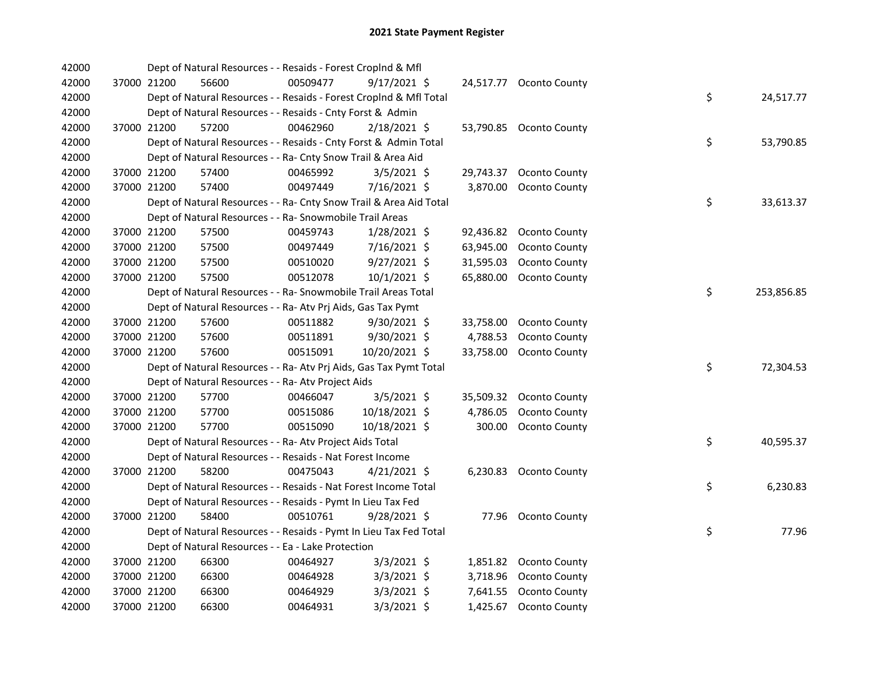| 42000 |             | Dept of Natural Resources - - Resaids - Forest Croplnd & Mfl       |          |                |           |                         |    |            |
|-------|-------------|--------------------------------------------------------------------|----------|----------------|-----------|-------------------------|----|------------|
| 42000 | 37000 21200 | 56600                                                              | 00509477 | $9/17/2021$ \$ |           | 24,517.77 Oconto County |    |            |
| 42000 |             | Dept of Natural Resources - - Resaids - Forest CropInd & Mfl Total |          |                |           |                         | \$ | 24,517.77  |
| 42000 |             | Dept of Natural Resources - - Resaids - Cnty Forst & Admin         |          |                |           |                         |    |            |
| 42000 | 37000 21200 | 57200                                                              | 00462960 | 2/18/2021 \$   |           | 53,790.85 Oconto County |    |            |
| 42000 |             | Dept of Natural Resources - - Resaids - Cnty Forst & Admin Total   |          |                |           |                         | \$ | 53,790.85  |
| 42000 |             | Dept of Natural Resources - - Ra- Cnty Snow Trail & Area Aid       |          |                |           |                         |    |            |
| 42000 | 37000 21200 | 57400                                                              | 00465992 | $3/5/2021$ \$  | 29,743.37 | Oconto County           |    |            |
| 42000 | 37000 21200 | 57400                                                              | 00497449 | 7/16/2021 \$   | 3,870.00  | Oconto County           |    |            |
| 42000 |             | Dept of Natural Resources - - Ra- Cnty Snow Trail & Area Aid Total |          |                |           |                         | \$ | 33,613.37  |
| 42000 |             | Dept of Natural Resources - - Ra- Snowmobile Trail Areas           |          |                |           |                         |    |            |
| 42000 | 37000 21200 | 57500                                                              | 00459743 | 1/28/2021 \$   | 92,436.82 | <b>Oconto County</b>    |    |            |
| 42000 | 37000 21200 | 57500                                                              | 00497449 | 7/16/2021 \$   | 63,945.00 | <b>Oconto County</b>    |    |            |
| 42000 | 37000 21200 | 57500                                                              | 00510020 | $9/27/2021$ \$ | 31,595.03 | <b>Oconto County</b>    |    |            |
| 42000 | 37000 21200 | 57500                                                              | 00512078 | 10/1/2021 \$   | 65,880.00 | Oconto County           |    |            |
| 42000 |             | Dept of Natural Resources - - Ra- Snowmobile Trail Areas Total     |          |                |           |                         | \$ | 253,856.85 |
| 42000 |             | Dept of Natural Resources - - Ra- Atv Prj Aids, Gas Tax Pymt       |          |                |           |                         |    |            |
| 42000 | 37000 21200 | 57600                                                              | 00511882 | $9/30/2021$ \$ | 33,758.00 | Oconto County           |    |            |
| 42000 | 37000 21200 | 57600                                                              | 00511891 | $9/30/2021$ \$ | 4,788.53  | Oconto County           |    |            |
| 42000 | 37000 21200 | 57600                                                              | 00515091 | 10/20/2021 \$  | 33,758.00 | Oconto County           |    |            |
| 42000 |             | Dept of Natural Resources - - Ra- Atv Prj Aids, Gas Tax Pymt Total |          |                |           |                         | \$ | 72,304.53  |
| 42000 |             | Dept of Natural Resources - - Ra- Atv Project Aids                 |          |                |           |                         |    |            |
| 42000 | 37000 21200 | 57700                                                              | 00466047 | 3/5/2021 \$    | 35,509.32 | Oconto County           |    |            |
| 42000 | 37000 21200 | 57700                                                              | 00515086 | 10/18/2021 \$  | 4,786.05  | <b>Oconto County</b>    |    |            |
| 42000 | 37000 21200 | 57700                                                              | 00515090 | 10/18/2021 \$  | 300.00    | Oconto County           |    |            |
| 42000 |             | Dept of Natural Resources - - Ra- Atv Project Aids Total           |          |                |           |                         | \$ | 40,595.37  |
| 42000 |             | Dept of Natural Resources - - Resaids - Nat Forest Income          |          |                |           |                         |    |            |
| 42000 | 37000 21200 | 58200                                                              | 00475043 | $4/21/2021$ \$ |           | 6,230.83 Oconto County  |    |            |
| 42000 |             | Dept of Natural Resources - - Resaids - Nat Forest Income Total    |          |                |           |                         | \$ | 6,230.83   |
| 42000 |             | Dept of Natural Resources - - Resaids - Pymt In Lieu Tax Fed       |          |                |           |                         |    |            |
| 42000 | 37000 21200 | 58400                                                              | 00510761 | 9/28/2021 \$   |           | 77.96 Oconto County     |    |            |
| 42000 |             | Dept of Natural Resources - - Resaids - Pymt In Lieu Tax Fed Total |          |                |           |                         | \$ | 77.96      |
| 42000 |             | Dept of Natural Resources - - Ea - Lake Protection                 |          |                |           |                         |    |            |
| 42000 | 37000 21200 | 66300                                                              | 00464927 | $3/3/2021$ \$  |           | 1,851.82 Oconto County  |    |            |
| 42000 | 37000 21200 | 66300                                                              | 00464928 | $3/3/2021$ \$  | 3,718.96  | Oconto County           |    |            |
| 42000 | 37000 21200 | 66300                                                              | 00464929 | $3/3/2021$ \$  | 7,641.55  | Oconto County           |    |            |
| 42000 | 37000 21200 | 66300                                                              | 00464931 | $3/3/2021$ \$  | 1,425.67  | Oconto County           |    |            |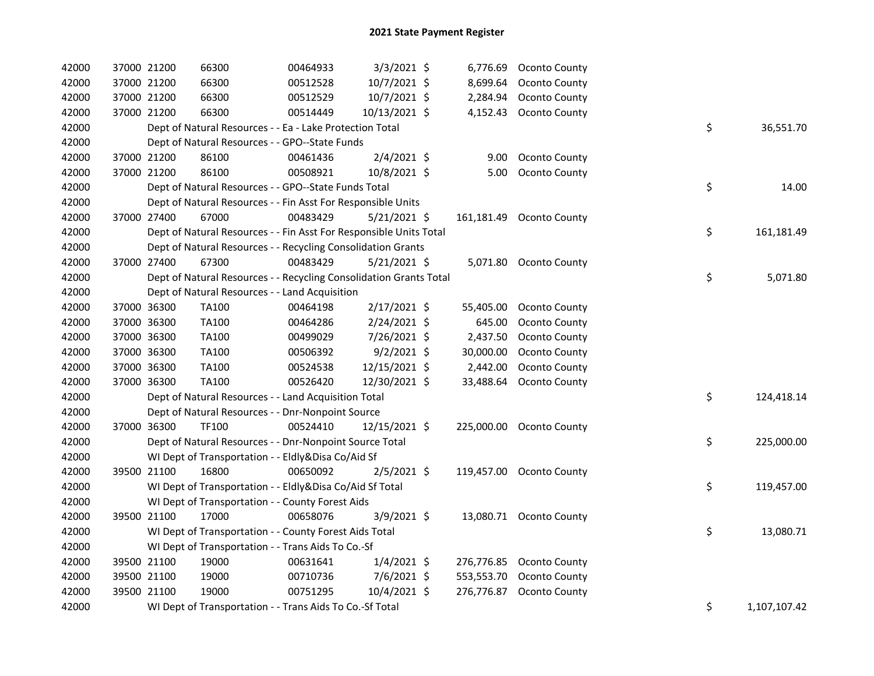| 42000 | 37000 21200 | 66300                                                              | 00464933 | $3/3/2021$ \$  | 6,776.69   | Oconto County            |    |              |
|-------|-------------|--------------------------------------------------------------------|----------|----------------|------------|--------------------------|----|--------------|
| 42000 | 37000 21200 | 66300                                                              | 00512528 | 10/7/2021 \$   | 8,699.64   | Oconto County            |    |              |
| 42000 | 37000 21200 | 66300                                                              | 00512529 | 10/7/2021 \$   | 2,284.94   | Oconto County            |    |              |
| 42000 | 37000 21200 | 66300                                                              | 00514449 | 10/13/2021 \$  | 4,152.43   | Oconto County            |    |              |
| 42000 |             | Dept of Natural Resources - - Ea - Lake Protection Total           |          |                |            |                          | \$ | 36,551.70    |
| 42000 |             | Dept of Natural Resources - - GPO--State Funds                     |          |                |            |                          |    |              |
| 42000 | 37000 21200 | 86100                                                              | 00461436 | $2/4/2021$ \$  | 9.00       | <b>Oconto County</b>     |    |              |
| 42000 | 37000 21200 | 86100                                                              | 00508921 | 10/8/2021 \$   | 5.00       | Oconto County            |    |              |
| 42000 |             | Dept of Natural Resources - - GPO--State Funds Total               |          |                |            |                          | \$ | 14.00        |
| 42000 |             | Dept of Natural Resources - - Fin Asst For Responsible Units       |          |                |            |                          |    |              |
| 42000 | 37000 27400 | 67000                                                              | 00483429 | $5/21/2021$ \$ | 161,181.49 | Oconto County            |    |              |
| 42000 |             | Dept of Natural Resources - - Fin Asst For Responsible Units Total |          |                |            |                          | \$ | 161,181.49   |
| 42000 |             | Dept of Natural Resources - - Recycling Consolidation Grants       |          |                |            |                          |    |              |
| 42000 | 37000 27400 | 67300                                                              | 00483429 | $5/21/2021$ \$ |            | 5,071.80 Oconto County   |    |              |
| 42000 |             | Dept of Natural Resources - - Recycling Consolidation Grants Total |          |                |            |                          | \$ | 5,071.80     |
| 42000 |             | Dept of Natural Resources - - Land Acquisition                     |          |                |            |                          |    |              |
| 42000 | 37000 36300 | TA100                                                              | 00464198 | $2/17/2021$ \$ | 55,405.00  | <b>Oconto County</b>     |    |              |
| 42000 | 37000 36300 | TA100                                                              | 00464286 | 2/24/2021 \$   | 645.00     | Oconto County            |    |              |
| 42000 | 37000 36300 | TA100                                                              | 00499029 | 7/26/2021 \$   | 2,437.50   | Oconto County            |    |              |
| 42000 | 37000 36300 | TA100                                                              | 00506392 | $9/2/2021$ \$  | 30,000.00  | Oconto County            |    |              |
| 42000 | 37000 36300 | TA100                                                              | 00524538 | 12/15/2021 \$  | 2,442.00   | Oconto County            |    |              |
| 42000 | 37000 36300 | <b>TA100</b>                                                       | 00526420 | 12/30/2021 \$  | 33,488.64  | <b>Oconto County</b>     |    |              |
| 42000 |             | Dept of Natural Resources - - Land Acquisition Total               |          |                |            |                          | \$ | 124,418.14   |
| 42000 |             | Dept of Natural Resources - - Dnr-Nonpoint Source                  |          |                |            |                          |    |              |
| 42000 | 37000 36300 | <b>TF100</b>                                                       | 00524410 | 12/15/2021 \$  |            | 225,000.00 Oconto County |    |              |
| 42000 |             | Dept of Natural Resources - - Dnr-Nonpoint Source Total            |          |                |            |                          | \$ | 225,000.00   |
| 42000 |             | WI Dept of Transportation - - Eldly&Disa Co/Aid Sf                 |          |                |            |                          |    |              |
| 42000 | 39500 21100 | 16800                                                              | 00650092 | $2/5/2021$ \$  |            | 119,457.00 Oconto County |    |              |
| 42000 |             | WI Dept of Transportation - - Eldly&Disa Co/Aid Sf Total           |          |                |            |                          | \$ | 119,457.00   |
| 42000 |             | WI Dept of Transportation - - County Forest Aids                   |          |                |            |                          |    |              |
| 42000 | 39500 21100 | 17000                                                              | 00658076 | $3/9/2021$ \$  |            | 13,080.71 Oconto County  |    |              |
| 42000 |             | WI Dept of Transportation - - County Forest Aids Total             |          |                |            |                          | \$ | 13,080.71    |
| 42000 |             | WI Dept of Transportation - - Trans Aids To Co.-Sf                 |          |                |            |                          |    |              |
| 42000 | 39500 21100 | 19000                                                              | 00631641 | $1/4/2021$ \$  | 276,776.85 | <b>Oconto County</b>     |    |              |
| 42000 | 39500 21100 | 19000                                                              | 00710736 | $7/6/2021$ \$  | 553,553.70 | <b>Oconto County</b>     |    |              |
| 42000 | 39500 21100 | 19000                                                              | 00751295 | 10/4/2021 \$   | 276,776.87 | <b>Oconto County</b>     |    |              |
| 42000 |             | WI Dept of Transportation - - Trans Aids To Co.-Sf Total           |          |                |            |                          | \$ | 1,107,107.42 |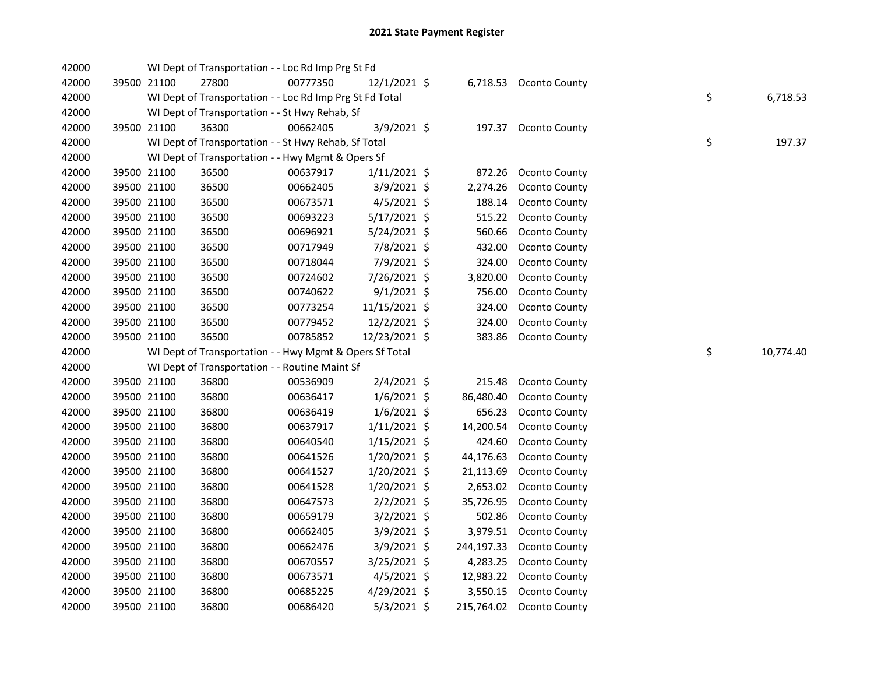| 42000 |             | WI Dept of Transportation - - Loc Rd Imp Prg St Fd       |          |                |            |                        |    |           |
|-------|-------------|----------------------------------------------------------|----------|----------------|------------|------------------------|----|-----------|
| 42000 | 39500 21100 | 27800                                                    | 00777350 | $12/1/2021$ \$ |            | 6,718.53 Oconto County |    |           |
| 42000 |             | WI Dept of Transportation - - Loc Rd Imp Prg St Fd Total |          |                |            |                        | \$ | 6,718.53  |
| 42000 |             | WI Dept of Transportation - - St Hwy Rehab, Sf           |          |                |            |                        |    |           |
| 42000 | 39500 21100 | 36300                                                    | 00662405 | 3/9/2021 \$    |            | 197.37 Oconto County   |    |           |
| 42000 |             | WI Dept of Transportation - - St Hwy Rehab, Sf Total     |          |                |            |                        | \$ | 197.37    |
| 42000 |             | WI Dept of Transportation - - Hwy Mgmt & Opers Sf        |          |                |            |                        |    |           |
| 42000 | 39500 21100 | 36500                                                    | 00637917 | $1/11/2021$ \$ | 872.26     | Oconto County          |    |           |
| 42000 | 39500 21100 | 36500                                                    | 00662405 | 3/9/2021 \$    | 2,274.26   | Oconto County          |    |           |
| 42000 | 39500 21100 | 36500                                                    | 00673571 | $4/5/2021$ \$  | 188.14     | Oconto County          |    |           |
| 42000 | 39500 21100 | 36500                                                    | 00693223 | 5/17/2021 \$   | 515.22     | Oconto County          |    |           |
| 42000 | 39500 21100 | 36500                                                    | 00696921 | 5/24/2021 \$   | 560.66     | Oconto County          |    |           |
| 42000 | 39500 21100 | 36500                                                    | 00717949 | 7/8/2021 \$    | 432.00     | Oconto County          |    |           |
| 42000 | 39500 21100 | 36500                                                    | 00718044 | 7/9/2021 \$    | 324.00     | Oconto County          |    |           |
| 42000 | 39500 21100 | 36500                                                    | 00724602 | 7/26/2021 \$   | 3,820.00   | Oconto County          |    |           |
| 42000 | 39500 21100 | 36500                                                    | 00740622 | $9/1/2021$ \$  | 756.00     | Oconto County          |    |           |
| 42000 | 39500 21100 | 36500                                                    | 00773254 | 11/15/2021 \$  | 324.00     | Oconto County          |    |           |
| 42000 | 39500 21100 | 36500                                                    | 00779452 | 12/2/2021 \$   | 324.00     | Oconto County          |    |           |
| 42000 | 39500 21100 | 36500                                                    | 00785852 | 12/23/2021 \$  | 383.86     | Oconto County          |    |           |
| 42000 |             | WI Dept of Transportation - - Hwy Mgmt & Opers Sf Total  |          |                |            |                        | \$ | 10,774.40 |
| 42000 |             | WI Dept of Transportation - - Routine Maint Sf           |          |                |            |                        |    |           |
| 42000 | 39500 21100 | 36800                                                    | 00536909 | 2/4/2021 \$    | 215.48     | Oconto County          |    |           |
| 42000 | 39500 21100 | 36800                                                    | 00636417 | $1/6/2021$ \$  | 86,480.40  | Oconto County          |    |           |
| 42000 | 39500 21100 | 36800                                                    | 00636419 | $1/6/2021$ \$  | 656.23     | Oconto County          |    |           |
| 42000 | 39500 21100 | 36800                                                    | 00637917 | $1/11/2021$ \$ | 14,200.54  | Oconto County          |    |           |
| 42000 | 39500 21100 | 36800                                                    | 00640540 | $1/15/2021$ \$ | 424.60     | Oconto County          |    |           |
| 42000 | 39500 21100 | 36800                                                    | 00641526 | 1/20/2021 \$   | 44,176.63  | Oconto County          |    |           |
| 42000 | 39500 21100 | 36800                                                    | 00641527 | 1/20/2021 \$   | 21,113.69  | Oconto County          |    |           |
| 42000 | 39500 21100 | 36800                                                    | 00641528 | 1/20/2021 \$   | 2,653.02   | Oconto County          |    |           |
| 42000 | 39500 21100 | 36800                                                    | 00647573 | $2/2/2021$ \$  | 35,726.95  | Oconto County          |    |           |
| 42000 | 39500 21100 | 36800                                                    | 00659179 | 3/2/2021 \$    | 502.86     | Oconto County          |    |           |
| 42000 | 39500 21100 | 36800                                                    | 00662405 | 3/9/2021 \$    | 3,979.51   | Oconto County          |    |           |
| 42000 | 39500 21100 | 36800                                                    | 00662476 | 3/9/2021 \$    | 244,197.33 | Oconto County          |    |           |
| 42000 | 39500 21100 | 36800                                                    | 00670557 | 3/25/2021 \$   | 4,283.25   | Oconto County          |    |           |
| 42000 | 39500 21100 | 36800                                                    | 00673571 | $4/5/2021$ \$  | 12,983.22  | Oconto County          |    |           |
| 42000 | 39500 21100 | 36800                                                    | 00685225 | 4/29/2021 \$   | 3,550.15   | Oconto County          |    |           |
| 42000 | 39500 21100 | 36800                                                    | 00686420 | 5/3/2021 \$    | 215,764.02 | Oconto County          |    |           |
|       |             |                                                          |          |                |            |                        |    |           |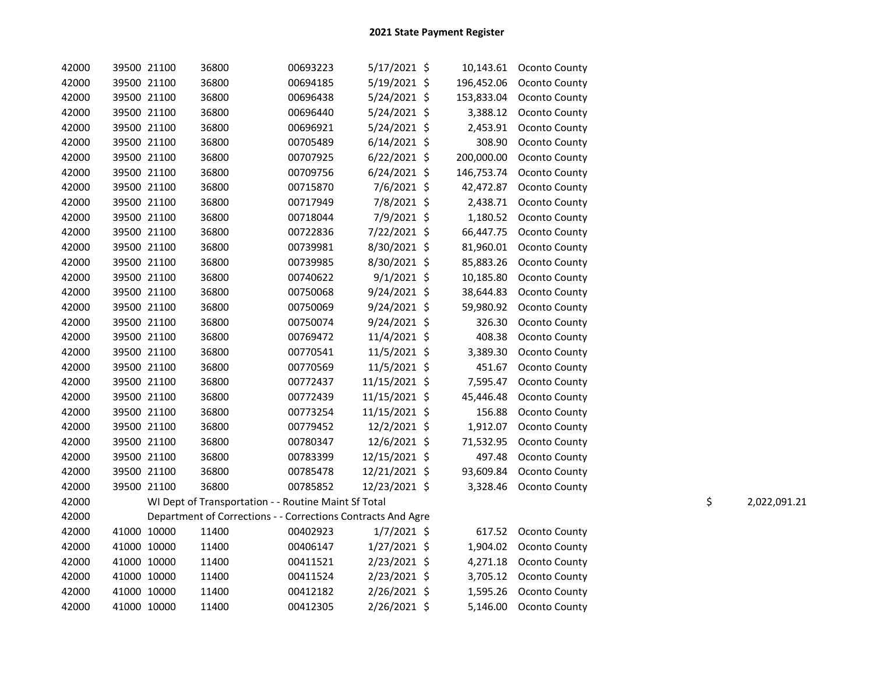| 42000 | 39500 21100 | 36800 | 00693223                                                     | 5/17/2021 \$   | 10,143.61  | Oconto County        |    |              |
|-------|-------------|-------|--------------------------------------------------------------|----------------|------------|----------------------|----|--------------|
| 42000 | 39500 21100 | 36800 | 00694185                                                     | 5/19/2021 \$   | 196,452.06 | <b>Oconto County</b> |    |              |
| 42000 | 39500 21100 | 36800 | 00696438                                                     | 5/24/2021 \$   | 153,833.04 | Oconto County        |    |              |
| 42000 | 39500 21100 | 36800 | 00696440                                                     | 5/24/2021 \$   | 3,388.12   | Oconto County        |    |              |
| 42000 | 39500 21100 | 36800 | 00696921                                                     | 5/24/2021 \$   | 2,453.91   | Oconto County        |    |              |
| 42000 | 39500 21100 | 36800 | 00705489                                                     | $6/14/2021$ \$ | 308.90     | Oconto County        |    |              |
| 42000 | 39500 21100 | 36800 | 00707925                                                     | $6/22/2021$ \$ | 200,000.00 | Oconto County        |    |              |
| 42000 | 39500 21100 | 36800 | 00709756                                                     | $6/24/2021$ \$ | 146,753.74 | Oconto County        |    |              |
| 42000 | 39500 21100 | 36800 | 00715870                                                     | 7/6/2021 \$    | 42,472.87  | Oconto County        |    |              |
| 42000 | 39500 21100 | 36800 | 00717949                                                     | 7/8/2021 \$    | 2,438.71   | Oconto County        |    |              |
| 42000 | 39500 21100 | 36800 | 00718044                                                     | 7/9/2021 \$    | 1,180.52   | Oconto County        |    |              |
| 42000 | 39500 21100 | 36800 | 00722836                                                     | 7/22/2021 \$   | 66,447.75  | Oconto County        |    |              |
| 42000 | 39500 21100 | 36800 | 00739981                                                     | 8/30/2021 \$   | 81,960.01  | Oconto County        |    |              |
| 42000 | 39500 21100 | 36800 | 00739985                                                     | 8/30/2021 \$   | 85,883.26  | Oconto County        |    |              |
| 42000 | 39500 21100 | 36800 | 00740622                                                     | $9/1/2021$ \$  | 10,185.80  | Oconto County        |    |              |
| 42000 | 39500 21100 | 36800 | 00750068                                                     | 9/24/2021 \$   | 38,644.83  | Oconto County        |    |              |
| 42000 | 39500 21100 | 36800 | 00750069                                                     | $9/24/2021$ \$ | 59,980.92  | Oconto County        |    |              |
| 42000 | 39500 21100 | 36800 | 00750074                                                     | $9/24/2021$ \$ | 326.30     | Oconto County        |    |              |
| 42000 | 39500 21100 | 36800 | 00769472                                                     | 11/4/2021 \$   | 408.38     | Oconto County        |    |              |
| 42000 | 39500 21100 | 36800 | 00770541                                                     | 11/5/2021 \$   | 3,389.30   | Oconto County        |    |              |
| 42000 | 39500 21100 | 36800 | 00770569                                                     | 11/5/2021 \$   | 451.67     | Oconto County        |    |              |
| 42000 | 39500 21100 | 36800 | 00772437                                                     | 11/15/2021 \$  | 7,595.47   | Oconto County        |    |              |
| 42000 | 39500 21100 | 36800 | 00772439                                                     | 11/15/2021 \$  | 45,446.48  | Oconto County        |    |              |
| 42000 | 39500 21100 | 36800 | 00773254                                                     | 11/15/2021 \$  | 156.88     | Oconto County        |    |              |
| 42000 | 39500 21100 | 36800 | 00779452                                                     | 12/2/2021 \$   | 1,912.07   | Oconto County        |    |              |
| 42000 | 39500 21100 | 36800 | 00780347                                                     | 12/6/2021 \$   | 71,532.95  | Oconto County        |    |              |
| 42000 | 39500 21100 | 36800 | 00783399                                                     | 12/15/2021 \$  | 497.48     | Oconto County        |    |              |
| 42000 | 39500 21100 | 36800 | 00785478                                                     | 12/21/2021 \$  | 93,609.84  | Oconto County        |    |              |
| 42000 | 39500 21100 | 36800 | 00785852                                                     | 12/23/2021 \$  | 3,328.46   | Oconto County        |    |              |
| 42000 |             |       | WI Dept of Transportation - - Routine Maint Sf Total         |                |            |                      | \$ | 2,022,091.21 |
| 42000 |             |       | Department of Corrections - - Corrections Contracts And Agre |                |            |                      |    |              |
| 42000 | 41000 10000 | 11400 | 00402923                                                     | $1/7/2021$ \$  | 617.52     | Oconto County        |    |              |
| 42000 | 41000 10000 | 11400 | 00406147                                                     | $1/27/2021$ \$ | 1,904.02   | Oconto County        |    |              |
| 42000 | 41000 10000 | 11400 | 00411521                                                     | 2/23/2021 \$   | 4,271.18   | Oconto County        |    |              |
| 42000 | 41000 10000 | 11400 | 00411524                                                     | 2/23/2021 \$   | 3,705.12   | Oconto County        |    |              |
| 42000 | 41000 10000 | 11400 | 00412182                                                     | 2/26/2021 \$   | 1,595.26   | Oconto County        |    |              |
| 42000 | 41000 10000 | 11400 | 00412305                                                     | 2/26/2021 \$   | 5,146.00   | Oconto County        |    |              |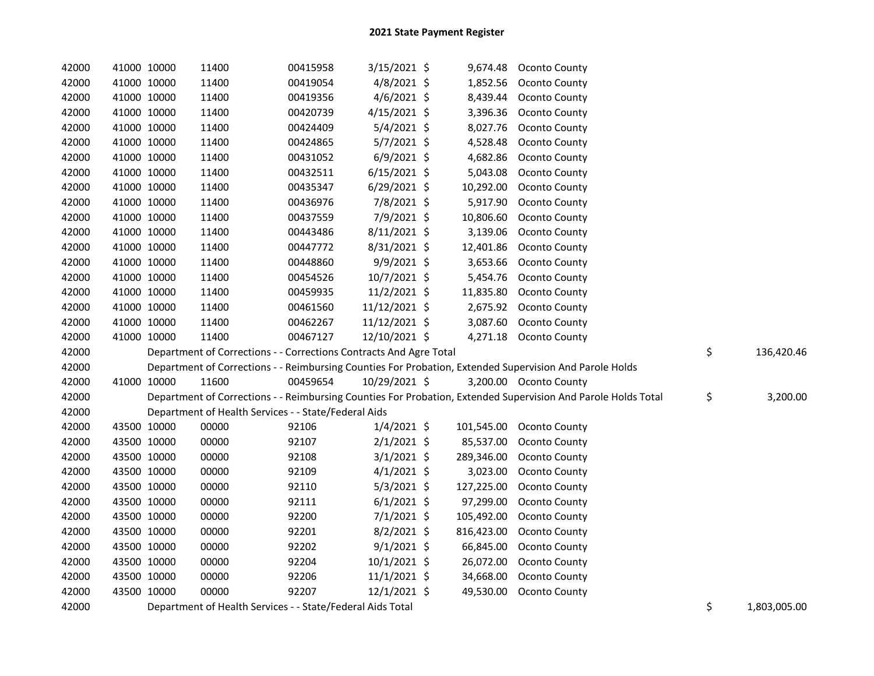| 42000 | 41000 10000 | 11400                                                              | 00415958 | 3/15/2021 \$   | 9,674.48   | Oconto County                                                                                                 |                    |
|-------|-------------|--------------------------------------------------------------------|----------|----------------|------------|---------------------------------------------------------------------------------------------------------------|--------------------|
| 42000 | 41000 10000 | 11400                                                              | 00419054 | $4/8/2021$ \$  | 1,852.56   | Oconto County                                                                                                 |                    |
| 42000 | 41000 10000 | 11400                                                              | 00419356 | 4/6/2021 \$    | 8,439.44   | Oconto County                                                                                                 |                    |
| 42000 | 41000 10000 | 11400                                                              | 00420739 | 4/15/2021 \$   | 3,396.36   | Oconto County                                                                                                 |                    |
| 42000 | 41000 10000 | 11400                                                              | 00424409 | $5/4/2021$ \$  | 8,027.76   | Oconto County                                                                                                 |                    |
| 42000 | 41000 10000 | 11400                                                              | 00424865 | $5/7/2021$ \$  | 4,528.48   | Oconto County                                                                                                 |                    |
| 42000 | 41000 10000 | 11400                                                              | 00431052 | $6/9/2021$ \$  | 4,682.86   | Oconto County                                                                                                 |                    |
| 42000 | 41000 10000 | 11400                                                              | 00432511 | $6/15/2021$ \$ | 5,043.08   | Oconto County                                                                                                 |                    |
| 42000 | 41000 10000 | 11400                                                              | 00435347 | $6/29/2021$ \$ | 10,292.00  | Oconto County                                                                                                 |                    |
| 42000 | 41000 10000 | 11400                                                              | 00436976 | 7/8/2021 \$    | 5,917.90   | Oconto County                                                                                                 |                    |
| 42000 | 41000 10000 | 11400                                                              | 00437559 | 7/9/2021 \$    | 10,806.60  | Oconto County                                                                                                 |                    |
| 42000 | 41000 10000 | 11400                                                              | 00443486 | $8/11/2021$ \$ | 3,139.06   | Oconto County                                                                                                 |                    |
| 42000 | 41000 10000 | 11400                                                              | 00447772 | $8/31/2021$ \$ | 12,401.86  | Oconto County                                                                                                 |                    |
| 42000 | 41000 10000 | 11400                                                              | 00448860 | 9/9/2021 \$    | 3,653.66   | <b>Oconto County</b>                                                                                          |                    |
| 42000 | 41000 10000 | 11400                                                              | 00454526 | 10/7/2021 \$   | 5,454.76   | Oconto County                                                                                                 |                    |
| 42000 | 41000 10000 | 11400                                                              | 00459935 | 11/2/2021 \$   | 11,835.80  | Oconto County                                                                                                 |                    |
| 42000 | 41000 10000 | 11400                                                              | 00461560 | 11/12/2021 \$  | 2,675.92   | <b>Oconto County</b>                                                                                          |                    |
| 42000 | 41000 10000 | 11400                                                              | 00462267 | 11/12/2021 \$  | 3,087.60   | Oconto County                                                                                                 |                    |
| 42000 | 41000 10000 | 11400                                                              | 00467127 | 12/10/2021 \$  |            | 4,271.18 Oconto County                                                                                        |                    |
| 42000 |             | Department of Corrections - - Corrections Contracts And Agre Total |          |                |            |                                                                                                               | \$<br>136,420.46   |
| 42000 |             |                                                                    |          |                |            | Department of Corrections - - Reimbursing Counties For Probation, Extended Supervision And Parole Holds       |                    |
| 42000 | 41000 10000 | 11600                                                              | 00459654 | 10/29/2021 \$  |            | 3,200.00 Oconto County                                                                                        |                    |
| 42000 |             |                                                                    |          |                |            | Department of Corrections - - Reimbursing Counties For Probation, Extended Supervision And Parole Holds Total | \$<br>3,200.00     |
| 42000 |             | Department of Health Services - - State/Federal Aids               |          |                |            |                                                                                                               |                    |
| 42000 | 43500 10000 | 00000                                                              | 92106    | $1/4/2021$ \$  | 101,545.00 | Oconto County                                                                                                 |                    |
| 42000 | 43500 10000 | 00000                                                              | 92107    | $2/1/2021$ \$  | 85,537.00  | <b>Oconto County</b>                                                                                          |                    |
| 42000 | 43500 10000 | 00000                                                              | 92108    | $3/1/2021$ \$  | 289,346.00 | <b>Oconto County</b>                                                                                          |                    |
| 42000 | 43500 10000 | 00000                                                              | 92109    | $4/1/2021$ \$  | 3,023.00   | Oconto County                                                                                                 |                    |
| 42000 | 43500 10000 | 00000                                                              | 92110    | $5/3/2021$ \$  | 127,225.00 | Oconto County                                                                                                 |                    |
| 42000 | 43500 10000 | 00000                                                              | 92111    | $6/1/2021$ \$  | 97,299.00  | Oconto County                                                                                                 |                    |
| 42000 | 43500 10000 | 00000                                                              | 92200    | $7/1/2021$ \$  | 105,492.00 | Oconto County                                                                                                 |                    |
| 42000 | 43500 10000 | 00000                                                              | 92201    | 8/2/2021 \$    | 816,423.00 | Oconto County                                                                                                 |                    |
| 42000 | 43500 10000 | 00000                                                              | 92202    | $9/1/2021$ \$  | 66,845.00  | Oconto County                                                                                                 |                    |
| 42000 | 43500 10000 | 00000                                                              | 92204    | 10/1/2021 \$   | 26,072.00  | Oconto County                                                                                                 |                    |
| 42000 | 43500 10000 | 00000                                                              | 92206    | $11/1/2021$ \$ | 34,668.00  | Oconto County                                                                                                 |                    |
| 42000 | 43500 10000 | 00000                                                              | 92207    | 12/1/2021 \$   | 49,530.00  | Oconto County                                                                                                 |                    |
| 42000 |             | Department of Health Services - - State/Federal Aids Total         |          |                |            |                                                                                                               | \$<br>1,803,005.00 |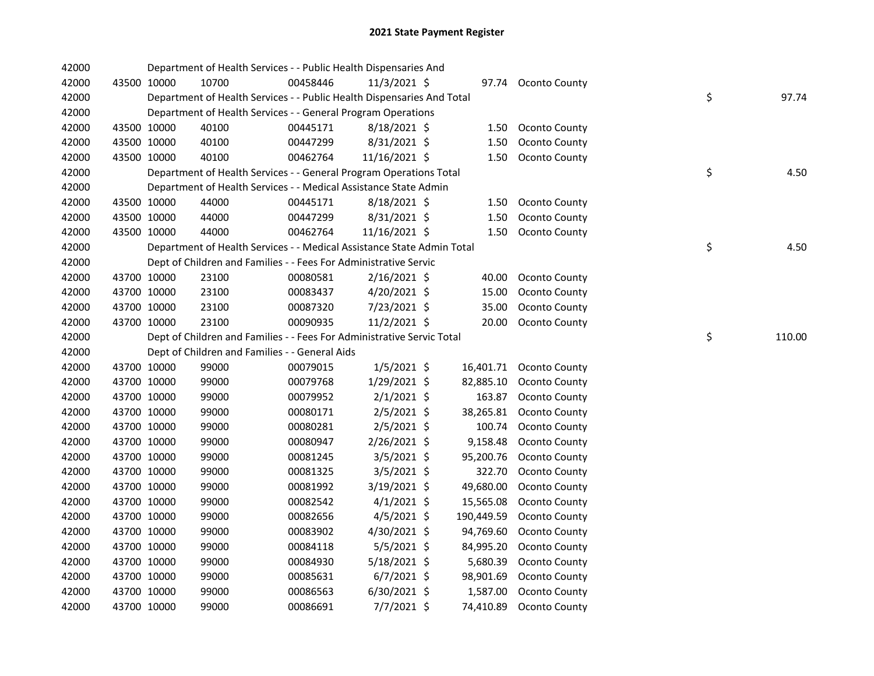| 42000 |             |             | Department of Health Services - - Public Health Dispensaries And       |          |                |            |                      |    |        |
|-------|-------------|-------------|------------------------------------------------------------------------|----------|----------------|------------|----------------------|----|--------|
| 42000 |             | 43500 10000 | 10700                                                                  | 00458446 | $11/3/2021$ \$ |            | 97.74 Oconto County  |    |        |
| 42000 |             |             | Department of Health Services - - Public Health Dispensaries And Total |          |                |            |                      | \$ | 97.74  |
| 42000 |             |             | Department of Health Services - - General Program Operations           |          |                |            |                      |    |        |
| 42000 |             | 43500 10000 | 40100                                                                  | 00445171 | 8/18/2021 \$   | 1.50       | Oconto County        |    |        |
| 42000 |             | 43500 10000 | 40100                                                                  | 00447299 | 8/31/2021 \$   | 1.50       | Oconto County        |    |        |
| 42000 | 43500 10000 |             | 40100                                                                  | 00462764 | 11/16/2021 \$  |            | 1.50 Oconto County   |    |        |
| 42000 |             |             | Department of Health Services - - General Program Operations Total     |          |                |            |                      | \$ | 4.50   |
| 42000 |             |             | Department of Health Services - - Medical Assistance State Admin       |          |                |            |                      |    |        |
| 42000 |             | 43500 10000 | 44000                                                                  | 00445171 | $8/18/2021$ \$ | 1.50       | Oconto County        |    |        |
| 42000 | 43500 10000 |             | 44000                                                                  | 00447299 | $8/31/2021$ \$ | 1.50       | Oconto County        |    |        |
| 42000 | 43500 10000 |             | 44000                                                                  | 00462764 | 11/16/2021 \$  |            | 1.50 Oconto County   |    |        |
| 42000 |             |             | Department of Health Services - - Medical Assistance State Admin Total |          |                |            |                      | \$ | 4.50   |
| 42000 |             |             | Dept of Children and Families - - Fees For Administrative Servic       |          |                |            |                      |    |        |
| 42000 |             | 43700 10000 | 23100                                                                  | 00080581 | $2/16/2021$ \$ | 40.00      | <b>Oconto County</b> |    |        |
| 42000 |             | 43700 10000 | 23100                                                                  | 00083437 | 4/20/2021 \$   | 15.00      | <b>Oconto County</b> |    |        |
| 42000 |             | 43700 10000 | 23100                                                                  | 00087320 | 7/23/2021 \$   | 35.00      | Oconto County        |    |        |
| 42000 | 43700 10000 |             | 23100                                                                  | 00090935 | $11/2/2021$ \$ | 20.00      | <b>Oconto County</b> |    |        |
| 42000 |             |             | Dept of Children and Families - - Fees For Administrative Servic Total |          |                |            |                      | \$ | 110.00 |
| 42000 |             |             | Dept of Children and Families - - General Aids                         |          |                |            |                      |    |        |
| 42000 |             | 43700 10000 | 99000                                                                  | 00079015 | $1/5/2021$ \$  | 16,401.71  | Oconto County        |    |        |
| 42000 |             | 43700 10000 | 99000                                                                  | 00079768 | $1/29/2021$ \$ | 82,885.10  | Oconto County        |    |        |
| 42000 |             | 43700 10000 | 99000                                                                  | 00079952 | $2/1/2021$ \$  | 163.87     | Oconto County        |    |        |
| 42000 |             | 43700 10000 | 99000                                                                  | 00080171 | $2/5/2021$ \$  | 38,265.81  | Oconto County        |    |        |
| 42000 | 43700 10000 |             | 99000                                                                  | 00080281 | $2/5/2021$ \$  | 100.74     | Oconto County        |    |        |
| 42000 | 43700 10000 |             | 99000                                                                  | 00080947 | 2/26/2021 \$   | 9,158.48   | Oconto County        |    |        |
| 42000 | 43700 10000 |             | 99000                                                                  | 00081245 | 3/5/2021 \$    | 95,200.76  | Oconto County        |    |        |
| 42000 | 43700 10000 |             | 99000                                                                  | 00081325 | $3/5/2021$ \$  | 322.70     | Oconto County        |    |        |
| 42000 | 43700 10000 |             | 99000                                                                  | 00081992 | $3/19/2021$ \$ | 49,680.00  | Oconto County        |    |        |
| 42000 | 43700 10000 |             | 99000                                                                  | 00082542 | $4/1/2021$ \$  | 15,565.08  | Oconto County        |    |        |
| 42000 | 43700 10000 |             | 99000                                                                  | 00082656 | $4/5/2021$ \$  | 190,449.59 | Oconto County        |    |        |
| 42000 | 43700 10000 |             | 99000                                                                  | 00083902 | 4/30/2021 \$   | 94,769.60  | Oconto County        |    |        |
| 42000 | 43700 10000 |             | 99000                                                                  | 00084118 | $5/5/2021$ \$  | 84,995.20  | Oconto County        |    |        |
| 42000 | 43700 10000 |             | 99000                                                                  | 00084930 | 5/18/2021 \$   | 5,680.39   | Oconto County        |    |        |
| 42000 | 43700 10000 |             | 99000                                                                  | 00085631 | $6/7/2021$ \$  | 98,901.69  | Oconto County        |    |        |
| 42000 | 43700 10000 |             | 99000                                                                  | 00086563 | $6/30/2021$ \$ | 1,587.00   | Oconto County        |    |        |
| 42000 |             | 43700 10000 | 99000                                                                  | 00086691 | $7/7/2021$ \$  | 74,410.89  | Oconto County        |    |        |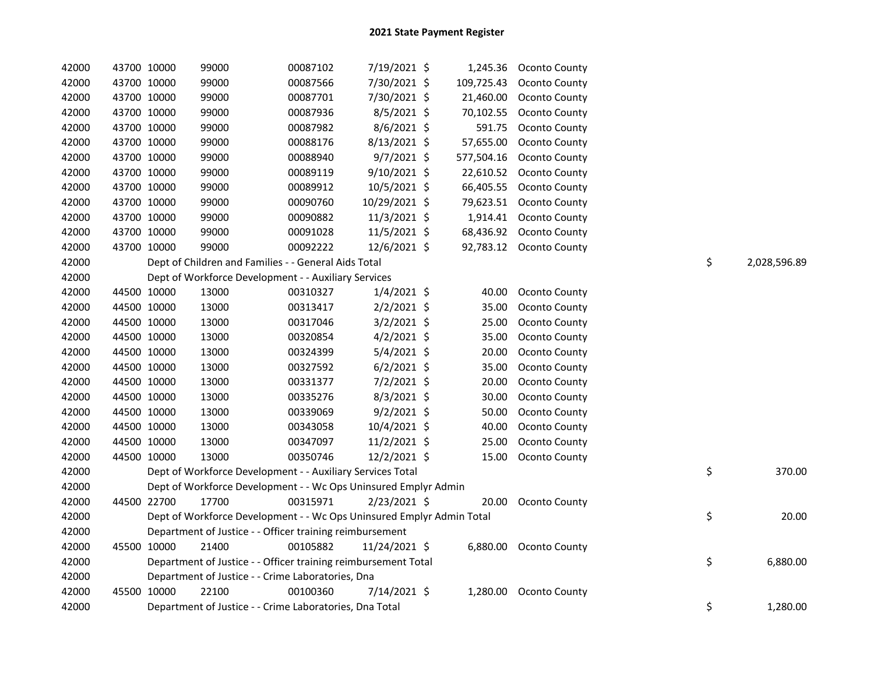| 42000<br>43700 10000<br>99000<br>7/30/2021 \$<br>109,725.43<br>Oconto County<br>00087566<br>42000<br>43700 10000<br>99000<br>7/30/2021 \$<br>21,460.00<br>00087701<br>Oconto County<br>42000<br>43700 10000<br>99000<br>8/5/2021 \$<br>70,102.55<br>00087936<br>Oconto County<br>42000<br>43700 10000<br>99000<br>8/6/2021 \$<br>591.75<br>00087982<br>Oconto County<br>42000<br>43700 10000<br>99000<br>8/13/2021 \$<br>57,655.00<br>Oconto County<br>00088176<br>42000<br>43700 10000<br>99000<br>$9/7/2021$ \$<br>577,504.16<br><b>Oconto County</b><br>00088940<br>9/10/2021 \$<br>42000<br>43700 10000<br>99000<br>00089119<br>22,610.52<br>Oconto County<br>42000<br>43700 10000<br>99000<br>00089912<br>$10/5/2021$ \$<br>66,405.55<br>Oconto County<br>42000<br>43700 10000<br>99000<br>00090760<br>10/29/2021 \$<br>79,623.51<br>Oconto County<br>42000<br>43700 10000<br>99000<br>00090882<br>11/3/2021 \$<br>1,914.41<br>Oconto County<br>42000<br>43700 10000<br>99000<br>00091028<br>11/5/2021 \$<br>68,436.92<br>Oconto County<br>42000<br>43700 10000<br>99000<br>92,783.12 Oconto County<br>00092222<br>12/6/2021 \$<br>\$<br>42000<br>Dept of Children and Families - - General Aids Total<br>42000<br>Dept of Workforce Development - - Auxiliary Services<br>42000<br>44500 10000<br>13000<br>00310327<br>$1/4/2021$ \$<br>40.00<br>Oconto County<br>42000<br>44500 10000<br>13000<br>$2/2/2021$ \$<br>35.00<br>Oconto County<br>00313417<br>42000<br>44500 10000<br>13000<br>$3/2/2021$ \$<br>25.00<br>00317046<br>Oconto County<br>42000<br>44500 10000<br>13000<br>$4/2/2021$ \$<br>35.00<br>00320854<br>Oconto County<br>13000<br>5/4/2021 \$<br>42000<br>44500 10000<br>00324399<br>20.00<br>Oconto County<br>13000<br>$6/2/2021$ \$<br>42000<br>44500 10000<br>00327592<br>35.00<br>Oconto County<br>13000<br>7/2/2021 \$<br>42000<br>44500 10000<br>00331377<br>20.00<br>Oconto County<br>13000<br>8/3/2021 \$<br>42000<br>44500 10000<br>00335276<br>30.00<br>Oconto County | 42000 | 43700 10000 | 99000 | 00087102 | 7/19/2021 \$  | 1,245.36 | Oconto County |  |              |
|--------------------------------------------------------------------------------------------------------------------------------------------------------------------------------------------------------------------------------------------------------------------------------------------------------------------------------------------------------------------------------------------------------------------------------------------------------------------------------------------------------------------------------------------------------------------------------------------------------------------------------------------------------------------------------------------------------------------------------------------------------------------------------------------------------------------------------------------------------------------------------------------------------------------------------------------------------------------------------------------------------------------------------------------------------------------------------------------------------------------------------------------------------------------------------------------------------------------------------------------------------------------------------------------------------------------------------------------------------------------------------------------------------------------------------------------------------------------------------------------------------------------------------------------------------------------------------------------------------------------------------------------------------------------------------------------------------------------------------------------------------------------------------------------------------------------------------------------------------------------------------------------------------------------------------------------------------------------------------------------------------|-------|-------------|-------|----------|---------------|----------|---------------|--|--------------|
|                                                                                                                                                                                                                                                                                                                                                                                                                                                                                                                                                                                                                                                                                                                                                                                                                                                                                                                                                                                                                                                                                                                                                                                                                                                                                                                                                                                                                                                                                                                                                                                                                                                                                                                                                                                                                                                                                                                                                                                                        |       |             |       |          |               |          |               |  |              |
|                                                                                                                                                                                                                                                                                                                                                                                                                                                                                                                                                                                                                                                                                                                                                                                                                                                                                                                                                                                                                                                                                                                                                                                                                                                                                                                                                                                                                                                                                                                                                                                                                                                                                                                                                                                                                                                                                                                                                                                                        |       |             |       |          |               |          |               |  |              |
|                                                                                                                                                                                                                                                                                                                                                                                                                                                                                                                                                                                                                                                                                                                                                                                                                                                                                                                                                                                                                                                                                                                                                                                                                                                                                                                                                                                                                                                                                                                                                                                                                                                                                                                                                                                                                                                                                                                                                                                                        |       |             |       |          |               |          |               |  |              |
|                                                                                                                                                                                                                                                                                                                                                                                                                                                                                                                                                                                                                                                                                                                                                                                                                                                                                                                                                                                                                                                                                                                                                                                                                                                                                                                                                                                                                                                                                                                                                                                                                                                                                                                                                                                                                                                                                                                                                                                                        |       |             |       |          |               |          |               |  |              |
|                                                                                                                                                                                                                                                                                                                                                                                                                                                                                                                                                                                                                                                                                                                                                                                                                                                                                                                                                                                                                                                                                                                                                                                                                                                                                                                                                                                                                                                                                                                                                                                                                                                                                                                                                                                                                                                                                                                                                                                                        |       |             |       |          |               |          |               |  |              |
|                                                                                                                                                                                                                                                                                                                                                                                                                                                                                                                                                                                                                                                                                                                                                                                                                                                                                                                                                                                                                                                                                                                                                                                                                                                                                                                                                                                                                                                                                                                                                                                                                                                                                                                                                                                                                                                                                                                                                                                                        |       |             |       |          |               |          |               |  |              |
|                                                                                                                                                                                                                                                                                                                                                                                                                                                                                                                                                                                                                                                                                                                                                                                                                                                                                                                                                                                                                                                                                                                                                                                                                                                                                                                                                                                                                                                                                                                                                                                                                                                                                                                                                                                                                                                                                                                                                                                                        |       |             |       |          |               |          |               |  |              |
|                                                                                                                                                                                                                                                                                                                                                                                                                                                                                                                                                                                                                                                                                                                                                                                                                                                                                                                                                                                                                                                                                                                                                                                                                                                                                                                                                                                                                                                                                                                                                                                                                                                                                                                                                                                                                                                                                                                                                                                                        |       |             |       |          |               |          |               |  |              |
|                                                                                                                                                                                                                                                                                                                                                                                                                                                                                                                                                                                                                                                                                                                                                                                                                                                                                                                                                                                                                                                                                                                                                                                                                                                                                                                                                                                                                                                                                                                                                                                                                                                                                                                                                                                                                                                                                                                                                                                                        |       |             |       |          |               |          |               |  |              |
|                                                                                                                                                                                                                                                                                                                                                                                                                                                                                                                                                                                                                                                                                                                                                                                                                                                                                                                                                                                                                                                                                                                                                                                                                                                                                                                                                                                                                                                                                                                                                                                                                                                                                                                                                                                                                                                                                                                                                                                                        |       |             |       |          |               |          |               |  |              |
|                                                                                                                                                                                                                                                                                                                                                                                                                                                                                                                                                                                                                                                                                                                                                                                                                                                                                                                                                                                                                                                                                                                                                                                                                                                                                                                                                                                                                                                                                                                                                                                                                                                                                                                                                                                                                                                                                                                                                                                                        |       |             |       |          |               |          |               |  |              |
|                                                                                                                                                                                                                                                                                                                                                                                                                                                                                                                                                                                                                                                                                                                                                                                                                                                                                                                                                                                                                                                                                                                                                                                                                                                                                                                                                                                                                                                                                                                                                                                                                                                                                                                                                                                                                                                                                                                                                                                                        |       |             |       |          |               |          |               |  |              |
|                                                                                                                                                                                                                                                                                                                                                                                                                                                                                                                                                                                                                                                                                                                                                                                                                                                                                                                                                                                                                                                                                                                                                                                                                                                                                                                                                                                                                                                                                                                                                                                                                                                                                                                                                                                                                                                                                                                                                                                                        |       |             |       |          |               |          |               |  | 2,028,596.89 |
|                                                                                                                                                                                                                                                                                                                                                                                                                                                                                                                                                                                                                                                                                                                                                                                                                                                                                                                                                                                                                                                                                                                                                                                                                                                                                                                                                                                                                                                                                                                                                                                                                                                                                                                                                                                                                                                                                                                                                                                                        |       |             |       |          |               |          |               |  |              |
|                                                                                                                                                                                                                                                                                                                                                                                                                                                                                                                                                                                                                                                                                                                                                                                                                                                                                                                                                                                                                                                                                                                                                                                                                                                                                                                                                                                                                                                                                                                                                                                                                                                                                                                                                                                                                                                                                                                                                                                                        |       |             |       |          |               |          |               |  |              |
|                                                                                                                                                                                                                                                                                                                                                                                                                                                                                                                                                                                                                                                                                                                                                                                                                                                                                                                                                                                                                                                                                                                                                                                                                                                                                                                                                                                                                                                                                                                                                                                                                                                                                                                                                                                                                                                                                                                                                                                                        |       |             |       |          |               |          |               |  |              |
|                                                                                                                                                                                                                                                                                                                                                                                                                                                                                                                                                                                                                                                                                                                                                                                                                                                                                                                                                                                                                                                                                                                                                                                                                                                                                                                                                                                                                                                                                                                                                                                                                                                                                                                                                                                                                                                                                                                                                                                                        |       |             |       |          |               |          |               |  |              |
|                                                                                                                                                                                                                                                                                                                                                                                                                                                                                                                                                                                                                                                                                                                                                                                                                                                                                                                                                                                                                                                                                                                                                                                                                                                                                                                                                                                                                                                                                                                                                                                                                                                                                                                                                                                                                                                                                                                                                                                                        |       |             |       |          |               |          |               |  |              |
|                                                                                                                                                                                                                                                                                                                                                                                                                                                                                                                                                                                                                                                                                                                                                                                                                                                                                                                                                                                                                                                                                                                                                                                                                                                                                                                                                                                                                                                                                                                                                                                                                                                                                                                                                                                                                                                                                                                                                                                                        |       |             |       |          |               |          |               |  |              |
|                                                                                                                                                                                                                                                                                                                                                                                                                                                                                                                                                                                                                                                                                                                                                                                                                                                                                                                                                                                                                                                                                                                                                                                                                                                                                                                                                                                                                                                                                                                                                                                                                                                                                                                                                                                                                                                                                                                                                                                                        |       |             |       |          |               |          |               |  |              |
|                                                                                                                                                                                                                                                                                                                                                                                                                                                                                                                                                                                                                                                                                                                                                                                                                                                                                                                                                                                                                                                                                                                                                                                                                                                                                                                                                                                                                                                                                                                                                                                                                                                                                                                                                                                                                                                                                                                                                                                                        |       |             |       |          |               |          |               |  |              |
|                                                                                                                                                                                                                                                                                                                                                                                                                                                                                                                                                                                                                                                                                                                                                                                                                                                                                                                                                                                                                                                                                                                                                                                                                                                                                                                                                                                                                                                                                                                                                                                                                                                                                                                                                                                                                                                                                                                                                                                                        |       |             |       |          |               |          |               |  |              |
|                                                                                                                                                                                                                                                                                                                                                                                                                                                                                                                                                                                                                                                                                                                                                                                                                                                                                                                                                                                                                                                                                                                                                                                                                                                                                                                                                                                                                                                                                                                                                                                                                                                                                                                                                                                                                                                                                                                                                                                                        | 42000 | 44500 10000 | 13000 | 00339069 | $9/2/2021$ \$ | 50.00    | Oconto County |  |              |
| 13000<br>10/4/2021 \$<br>42000<br>44500 10000<br>00343058<br>40.00<br>Oconto County                                                                                                                                                                                                                                                                                                                                                                                                                                                                                                                                                                                                                                                                                                                                                                                                                                                                                                                                                                                                                                                                                                                                                                                                                                                                                                                                                                                                                                                                                                                                                                                                                                                                                                                                                                                                                                                                                                                    |       |             |       |          |               |          |               |  |              |
| 42000<br>13000<br>11/2/2021 \$<br>44500 10000<br>00347097<br>25.00<br>Oconto County                                                                                                                                                                                                                                                                                                                                                                                                                                                                                                                                                                                                                                                                                                                                                                                                                                                                                                                                                                                                                                                                                                                                                                                                                                                                                                                                                                                                                                                                                                                                                                                                                                                                                                                                                                                                                                                                                                                    |       |             |       |          |               |          |               |  |              |
| 42000<br>44500 10000<br>13000<br>12/2/2021 \$<br>15.00<br><b>Oconto County</b><br>00350746                                                                                                                                                                                                                                                                                                                                                                                                                                                                                                                                                                                                                                                                                                                                                                                                                                                                                                                                                                                                                                                                                                                                                                                                                                                                                                                                                                                                                                                                                                                                                                                                                                                                                                                                                                                                                                                                                                             |       |             |       |          |               |          |               |  |              |
| \$<br>42000<br>Dept of Workforce Development - - Auxiliary Services Total                                                                                                                                                                                                                                                                                                                                                                                                                                                                                                                                                                                                                                                                                                                                                                                                                                                                                                                                                                                                                                                                                                                                                                                                                                                                                                                                                                                                                                                                                                                                                                                                                                                                                                                                                                                                                                                                                                                              |       |             |       |          |               |          |               |  | 370.00       |
| 42000<br>Dept of Workforce Development - - Wc Ops Uninsured Emplyr Admin                                                                                                                                                                                                                                                                                                                                                                                                                                                                                                                                                                                                                                                                                                                                                                                                                                                                                                                                                                                                                                                                                                                                                                                                                                                                                                                                                                                                                                                                                                                                                                                                                                                                                                                                                                                                                                                                                                                               |       |             |       |          |               |          |               |  |              |
| 42000<br>44500 22700<br>17700<br>00315971<br>2/23/2021 \$<br>20.00<br>Oconto County                                                                                                                                                                                                                                                                                                                                                                                                                                                                                                                                                                                                                                                                                                                                                                                                                                                                                                                                                                                                                                                                                                                                                                                                                                                                                                                                                                                                                                                                                                                                                                                                                                                                                                                                                                                                                                                                                                                    |       |             |       |          |               |          |               |  |              |
| \$<br>42000<br>Dept of Workforce Development - - Wc Ops Uninsured Emplyr Admin Total                                                                                                                                                                                                                                                                                                                                                                                                                                                                                                                                                                                                                                                                                                                                                                                                                                                                                                                                                                                                                                                                                                                                                                                                                                                                                                                                                                                                                                                                                                                                                                                                                                                                                                                                                                                                                                                                                                                   |       |             |       |          |               |          |               |  | 20.00        |
| 42000<br>Department of Justice - - Officer training reimbursement                                                                                                                                                                                                                                                                                                                                                                                                                                                                                                                                                                                                                                                                                                                                                                                                                                                                                                                                                                                                                                                                                                                                                                                                                                                                                                                                                                                                                                                                                                                                                                                                                                                                                                                                                                                                                                                                                                                                      |       |             |       |          |               |          |               |  |              |
| 42000<br>45500 10000<br>21400<br>00105882<br>11/24/2021 \$<br>6,880.00<br>Oconto County                                                                                                                                                                                                                                                                                                                                                                                                                                                                                                                                                                                                                                                                                                                                                                                                                                                                                                                                                                                                                                                                                                                                                                                                                                                                                                                                                                                                                                                                                                                                                                                                                                                                                                                                                                                                                                                                                                                |       |             |       |          |               |          |               |  |              |
| \$<br>42000<br>Department of Justice - - Officer training reimbursement Total                                                                                                                                                                                                                                                                                                                                                                                                                                                                                                                                                                                                                                                                                                                                                                                                                                                                                                                                                                                                                                                                                                                                                                                                                                                                                                                                                                                                                                                                                                                                                                                                                                                                                                                                                                                                                                                                                                                          |       |             |       |          |               |          |               |  | 6,880.00     |
| 42000<br>Department of Justice - - Crime Laboratories, Dna                                                                                                                                                                                                                                                                                                                                                                                                                                                                                                                                                                                                                                                                                                                                                                                                                                                                                                                                                                                                                                                                                                                                                                                                                                                                                                                                                                                                                                                                                                                                                                                                                                                                                                                                                                                                                                                                                                                                             |       |             |       |          |               |          |               |  |              |
| 42000<br>45500 10000<br>22100<br>00100360<br>7/14/2021 \$<br>1,280.00<br>Oconto County                                                                                                                                                                                                                                                                                                                                                                                                                                                                                                                                                                                                                                                                                                                                                                                                                                                                                                                                                                                                                                                                                                                                                                                                                                                                                                                                                                                                                                                                                                                                                                                                                                                                                                                                                                                                                                                                                                                 |       |             |       |          |               |          |               |  |              |
| \$<br>42000<br>Department of Justice - - Crime Laboratories, Dna Total                                                                                                                                                                                                                                                                                                                                                                                                                                                                                                                                                                                                                                                                                                                                                                                                                                                                                                                                                                                                                                                                                                                                                                                                                                                                                                                                                                                                                                                                                                                                                                                                                                                                                                                                                                                                                                                                                                                                 |       |             |       |          |               |          |               |  | 1,280.00     |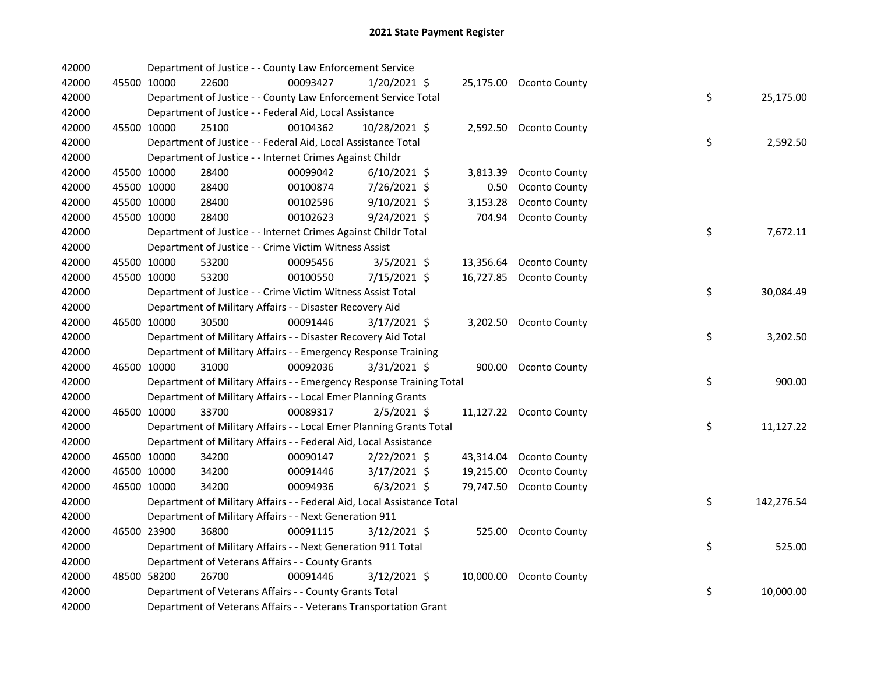| 42000 |             | Department of Justice - - County Law Enforcement Service               |          |                |           |                         |    |            |
|-------|-------------|------------------------------------------------------------------------|----------|----------------|-----------|-------------------------|----|------------|
| 42000 | 45500 10000 | 22600                                                                  | 00093427 | $1/20/2021$ \$ |           | 25,175.00 Oconto County |    |            |
| 42000 |             | Department of Justice - - County Law Enforcement Service Total         |          |                |           |                         | \$ | 25,175.00  |
| 42000 |             | Department of Justice - - Federal Aid, Local Assistance                |          |                |           |                         |    |            |
| 42000 | 45500 10000 | 25100                                                                  | 00104362 | 10/28/2021 \$  |           | 2,592.50 Oconto County  |    |            |
| 42000 |             | Department of Justice - - Federal Aid, Local Assistance Total          |          |                |           |                         | \$ | 2,592.50   |
| 42000 |             | Department of Justice - - Internet Crimes Against Childr               |          |                |           |                         |    |            |
| 42000 | 45500 10000 | 28400                                                                  | 00099042 | $6/10/2021$ \$ | 3,813.39  | Oconto County           |    |            |
| 42000 | 45500 10000 | 28400                                                                  | 00100874 | 7/26/2021 \$   | 0.50      | Oconto County           |    |            |
| 42000 | 45500 10000 | 28400                                                                  | 00102596 | 9/10/2021 \$   | 3,153.28  | Oconto County           |    |            |
| 42000 | 45500 10000 | 28400                                                                  | 00102623 | 9/24/2021 \$   | 704.94    | Oconto County           |    |            |
| 42000 |             | Department of Justice - - Internet Crimes Against Childr Total         |          |                |           |                         | \$ | 7,672.11   |
| 42000 |             | Department of Justice - - Crime Victim Witness Assist                  |          |                |           |                         |    |            |
| 42000 | 45500 10000 | 53200                                                                  | 00095456 | $3/5/2021$ \$  | 13,356.64 | Oconto County           |    |            |
| 42000 | 45500 10000 | 53200                                                                  | 00100550 | 7/15/2021 \$   |           | 16,727.85 Oconto County |    |            |
| 42000 |             | Department of Justice - - Crime Victim Witness Assist Total            |          |                |           |                         | \$ | 30,084.49  |
| 42000 |             | Department of Military Affairs - - Disaster Recovery Aid               |          |                |           |                         |    |            |
| 42000 | 46500 10000 | 30500                                                                  | 00091446 | 3/17/2021 \$   |           | 3,202.50 Oconto County  |    |            |
| 42000 |             | Department of Military Affairs - - Disaster Recovery Aid Total         |          |                |           |                         | \$ | 3,202.50   |
| 42000 |             | Department of Military Affairs - - Emergency Response Training         |          |                |           |                         |    |            |
| 42000 | 46500 10000 | 31000                                                                  | 00092036 | 3/31/2021 \$   |           | 900.00 Oconto County    |    |            |
| 42000 |             | Department of Military Affairs - - Emergency Response Training Total   |          |                |           |                         | \$ | 900.00     |
| 42000 |             | Department of Military Affairs - - Local Emer Planning Grants          |          |                |           |                         |    |            |
| 42000 | 46500 10000 | 33700                                                                  | 00089317 | $2/5/2021$ \$  |           | 11,127.22 Oconto County |    |            |
| 42000 |             | Department of Military Affairs - - Local Emer Planning Grants Total    |          |                |           |                         | \$ | 11,127.22  |
| 42000 |             | Department of Military Affairs - - Federal Aid, Local Assistance       |          |                |           |                         |    |            |
| 42000 | 46500 10000 | 34200                                                                  | 00090147 | $2/22/2021$ \$ |           | 43,314.04 Oconto County |    |            |
| 42000 | 46500 10000 | 34200                                                                  | 00091446 | 3/17/2021 \$   | 19,215.00 | Oconto County           |    |            |
| 42000 | 46500 10000 | 34200                                                                  | 00094936 | $6/3/2021$ \$  |           | 79,747.50 Oconto County |    |            |
| 42000 |             | Department of Military Affairs - - Federal Aid, Local Assistance Total |          |                |           |                         | \$ | 142,276.54 |
| 42000 |             | Department of Military Affairs - - Next Generation 911                 |          |                |           |                         |    |            |
| 42000 | 46500 23900 | 36800                                                                  | 00091115 | $3/12/2021$ \$ |           | 525.00 Oconto County    |    |            |
| 42000 |             | Department of Military Affairs - - Next Generation 911 Total           |          |                |           |                         | \$ | 525.00     |
| 42000 |             | Department of Veterans Affairs - - County Grants                       |          |                |           |                         |    |            |
| 42000 | 48500 58200 | 26700                                                                  | 00091446 | 3/12/2021 \$   |           | 10,000.00 Oconto County |    |            |
| 42000 |             | Department of Veterans Affairs - - County Grants Total                 |          |                |           |                         | \$ | 10,000.00  |
| 42000 |             | Department of Veterans Affairs - - Veterans Transportation Grant       |          |                |           |                         |    |            |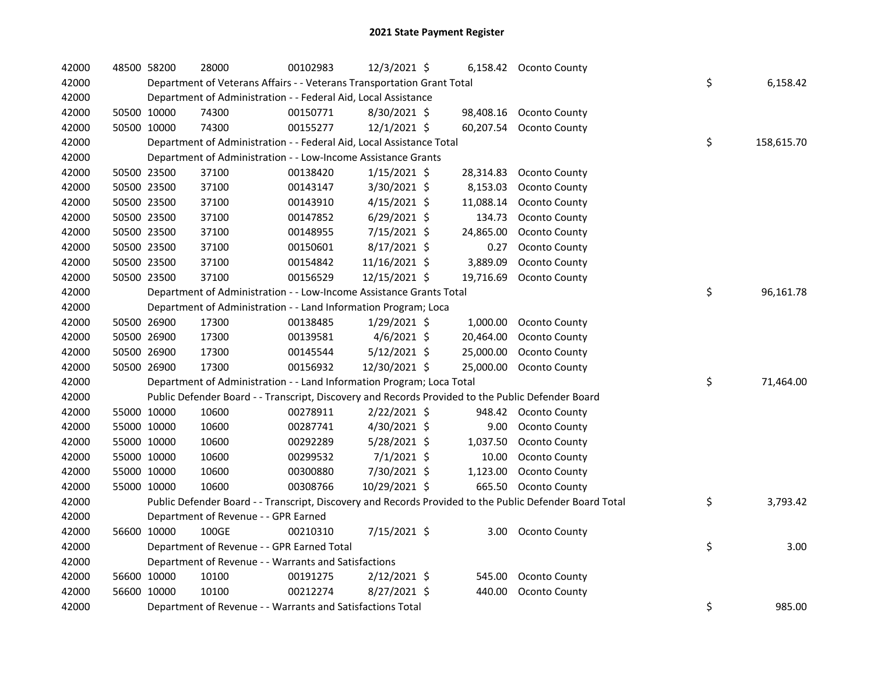| 42000 | 48500 58200 | 28000                                                                                             | 00102983 | 12/3/2021 \$   |           | 6,158.42 Oconto County                                                                                  |                  |
|-------|-------------|---------------------------------------------------------------------------------------------------|----------|----------------|-----------|---------------------------------------------------------------------------------------------------------|------------------|
| 42000 |             | Department of Veterans Affairs - - Veterans Transportation Grant Total                            |          |                |           |                                                                                                         | \$<br>6,158.42   |
| 42000 |             | Department of Administration - - Federal Aid, Local Assistance                                    |          |                |           |                                                                                                         |                  |
| 42000 | 50500 10000 | 74300                                                                                             | 00150771 | $8/30/2021$ \$ |           | 98,408.16 Oconto County                                                                                 |                  |
| 42000 | 50500 10000 | 74300                                                                                             | 00155277 | 12/1/2021 \$   |           | 60,207.54 Oconto County                                                                                 |                  |
| 42000 |             | Department of Administration - - Federal Aid, Local Assistance Total                              |          |                |           |                                                                                                         | \$<br>158,615.70 |
| 42000 |             | Department of Administration - - Low-Income Assistance Grants                                     |          |                |           |                                                                                                         |                  |
| 42000 | 50500 23500 | 37100                                                                                             | 00138420 | $1/15/2021$ \$ | 28,314.83 | Oconto County                                                                                           |                  |
| 42000 | 50500 23500 | 37100                                                                                             | 00143147 | 3/30/2021 \$   | 8,153.03  | Oconto County                                                                                           |                  |
| 42000 | 50500 23500 | 37100                                                                                             | 00143910 | $4/15/2021$ \$ | 11,088.14 | <b>Oconto County</b>                                                                                    |                  |
| 42000 | 50500 23500 | 37100                                                                                             | 00147852 | $6/29/2021$ \$ | 134.73    | Oconto County                                                                                           |                  |
| 42000 | 50500 23500 | 37100                                                                                             | 00148955 | 7/15/2021 \$   | 24,865.00 | <b>Oconto County</b>                                                                                    |                  |
| 42000 | 50500 23500 | 37100                                                                                             | 00150601 | 8/17/2021 \$   | 0.27      | Oconto County                                                                                           |                  |
| 42000 | 50500 23500 | 37100                                                                                             | 00154842 | 11/16/2021 \$  | 3,889.09  | Oconto County                                                                                           |                  |
| 42000 | 50500 23500 | 37100                                                                                             | 00156529 | 12/15/2021 \$  | 19,716.69 | <b>Oconto County</b>                                                                                    |                  |
| 42000 |             | Department of Administration - - Low-Income Assistance Grants Total                               |          |                |           |                                                                                                         | \$<br>96,161.78  |
| 42000 |             | Department of Administration - - Land Information Program; Loca                                   |          |                |           |                                                                                                         |                  |
| 42000 | 50500 26900 | 17300                                                                                             | 00138485 | 1/29/2021 \$   | 1,000.00  | Oconto County                                                                                           |                  |
| 42000 | 50500 26900 | 17300                                                                                             | 00139581 | $4/6/2021$ \$  | 20,464.00 | Oconto County                                                                                           |                  |
| 42000 | 50500 26900 | 17300                                                                                             | 00145544 | 5/12/2021 \$   | 25,000.00 | <b>Oconto County</b>                                                                                    |                  |
| 42000 | 50500 26900 | 17300                                                                                             | 00156932 | 12/30/2021 \$  | 25,000.00 | Oconto County                                                                                           |                  |
| 42000 |             | Department of Administration - - Land Information Program; Loca Total                             |          |                |           |                                                                                                         | \$<br>71,464.00  |
| 42000 |             | Public Defender Board - - Transcript, Discovery and Records Provided to the Public Defender Board |          |                |           |                                                                                                         |                  |
| 42000 | 55000 10000 | 10600                                                                                             | 00278911 | 2/22/2021 \$   |           | 948.42 Oconto County                                                                                    |                  |
| 42000 | 55000 10000 | 10600                                                                                             | 00287741 | 4/30/2021 \$   | 9.00      | Oconto County                                                                                           |                  |
| 42000 | 55000 10000 | 10600                                                                                             | 00292289 | 5/28/2021 \$   | 1,037.50  | Oconto County                                                                                           |                  |
| 42000 | 55000 10000 | 10600                                                                                             | 00299532 | $7/1/2021$ \$  | 10.00     | Oconto County                                                                                           |                  |
| 42000 | 55000 10000 | 10600                                                                                             | 00300880 | 7/30/2021 \$   | 1,123.00  | Oconto County                                                                                           |                  |
| 42000 | 55000 10000 | 10600                                                                                             | 00308766 | 10/29/2021 \$  |           | 665.50 Oconto County                                                                                    |                  |
| 42000 |             |                                                                                                   |          |                |           | Public Defender Board - - Transcript, Discovery and Records Provided to the Public Defender Board Total | \$<br>3,793.42   |
| 42000 |             | Department of Revenue - - GPR Earned                                                              |          |                |           |                                                                                                         |                  |
| 42000 | 56600 10000 | 100GE                                                                                             | 00210310 | 7/15/2021 \$   | 3.00      | Oconto County                                                                                           |                  |
| 42000 |             | Department of Revenue - - GPR Earned Total                                                        |          |                |           |                                                                                                         | \$<br>3.00       |
| 42000 |             | Department of Revenue - - Warrants and Satisfactions                                              |          |                |           |                                                                                                         |                  |
| 42000 | 56600 10000 | 10100                                                                                             | 00191275 | 2/12/2021 \$   | 545.00    | Oconto County                                                                                           |                  |
| 42000 | 56600 10000 | 10100                                                                                             | 00212274 | $8/27/2021$ \$ | 440.00    | Oconto County                                                                                           |                  |
| 42000 |             | Department of Revenue - - Warrants and Satisfactions Total                                        |          |                |           |                                                                                                         | \$<br>985.00     |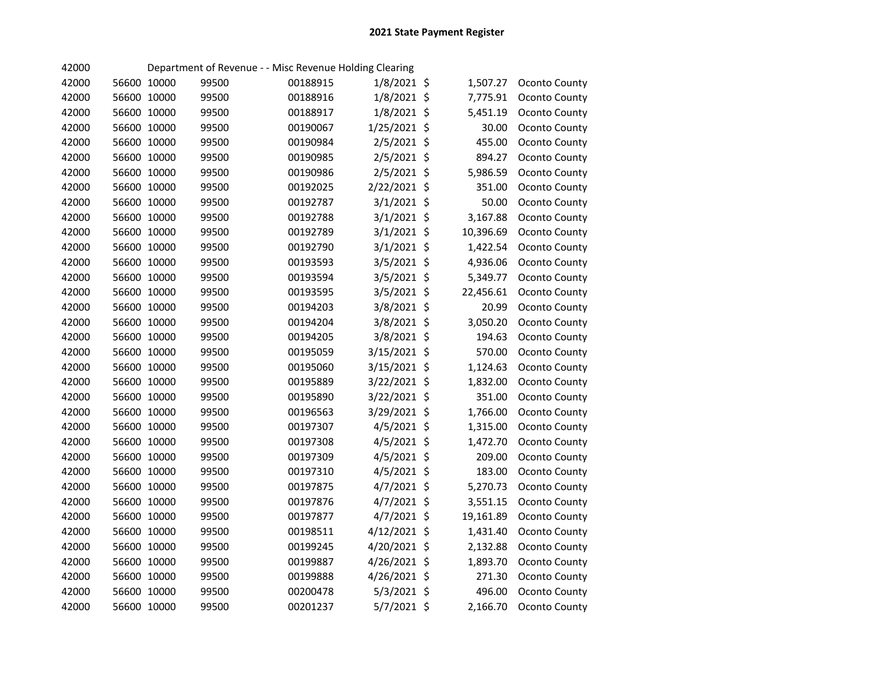| 42000 |             |       | Department of Revenue - - Misc Revenue Holding Clearing |               |           |               |
|-------|-------------|-------|---------------------------------------------------------|---------------|-----------|---------------|
| 42000 | 56600 10000 | 99500 | 00188915                                                | $1/8/2021$ \$ | 1,507.27  | Oconto County |
| 42000 | 56600 10000 | 99500 | 00188916                                                | 1/8/2021 \$   | 7,775.91  | Oconto County |
| 42000 | 56600 10000 | 99500 | 00188917                                                | 1/8/2021 \$   | 5,451.19  | Oconto County |
| 42000 | 56600 10000 | 99500 | 00190067                                                | 1/25/2021 \$  | 30.00     | Oconto County |
| 42000 | 56600 10000 | 99500 | 00190984                                                | 2/5/2021 \$   | 455.00    | Oconto County |
| 42000 | 56600 10000 | 99500 | 00190985                                                | 2/5/2021 \$   | 894.27    | Oconto County |
| 42000 | 56600 10000 | 99500 | 00190986                                                | $2/5/2021$ \$ | 5,986.59  | Oconto County |
| 42000 | 56600 10000 | 99500 | 00192025                                                | 2/22/2021 \$  | 351.00    | Oconto County |
| 42000 | 56600 10000 | 99500 | 00192787                                                | $3/1/2021$ \$ | 50.00     | Oconto County |
| 42000 | 56600 10000 | 99500 | 00192788                                                | $3/1/2021$ \$ | 3,167.88  | Oconto County |
| 42000 | 56600 10000 | 99500 | 00192789                                                | $3/1/2021$ \$ | 10,396.69 | Oconto County |
| 42000 | 56600 10000 | 99500 | 00192790                                                | $3/1/2021$ \$ | 1,422.54  | Oconto County |
| 42000 | 56600 10000 | 99500 | 00193593                                                | 3/5/2021 \$   | 4,936.06  | Oconto County |
| 42000 | 56600 10000 | 99500 | 00193594                                                | 3/5/2021 \$   | 5,349.77  | Oconto County |
| 42000 | 56600 10000 | 99500 | 00193595                                                | 3/5/2021 \$   | 22,456.61 | Oconto County |
| 42000 | 56600 10000 | 99500 | 00194203                                                | 3/8/2021 \$   | 20.99     | Oconto County |
| 42000 | 56600 10000 | 99500 | 00194204                                                | 3/8/2021 \$   | 3,050.20  | Oconto County |
| 42000 | 56600 10000 | 99500 | 00194205                                                | 3/8/2021 \$   | 194.63    | Oconto County |
| 42000 | 56600 10000 | 99500 | 00195059                                                | 3/15/2021 \$  | 570.00    | Oconto County |
| 42000 | 56600 10000 | 99500 | 00195060                                                | 3/15/2021 \$  | 1,124.63  | Oconto County |
| 42000 | 56600 10000 | 99500 | 00195889                                                | 3/22/2021 \$  | 1,832.00  | Oconto County |
| 42000 | 56600 10000 | 99500 | 00195890                                                | 3/22/2021 \$  | 351.00    | Oconto County |
| 42000 | 56600 10000 | 99500 | 00196563                                                | 3/29/2021 \$  | 1,766.00  | Oconto County |
| 42000 | 56600 10000 | 99500 | 00197307                                                | $4/5/2021$ \$ | 1,315.00  | Oconto County |
| 42000 | 56600 10000 | 99500 | 00197308                                                | $4/5/2021$ \$ | 1,472.70  | Oconto County |
| 42000 | 56600 10000 | 99500 | 00197309                                                | 4/5/2021 \$   | 209.00    | Oconto County |
| 42000 | 56600 10000 | 99500 | 00197310                                                | 4/5/2021 \$   | 183.00    | Oconto County |
| 42000 | 56600 10000 | 99500 | 00197875                                                | 4/7/2021 \$   | 5,270.73  | Oconto County |
| 42000 | 56600 10000 | 99500 | 00197876                                                | $4/7/2021$ \$ | 3,551.15  | Oconto County |
| 42000 | 56600 10000 | 99500 | 00197877                                                | 4/7/2021 \$   | 19,161.89 | Oconto County |
| 42000 | 56600 10000 | 99500 | 00198511                                                | 4/12/2021 \$  | 1,431.40  | Oconto County |
| 42000 | 56600 10000 | 99500 | 00199245                                                | 4/20/2021 \$  | 2,132.88  | Oconto County |
| 42000 | 56600 10000 | 99500 | 00199887                                                | 4/26/2021 \$  | 1,893.70  | Oconto County |
| 42000 | 56600 10000 | 99500 | 00199888                                                | 4/26/2021 \$  | 271.30    | Oconto County |
| 42000 | 56600 10000 | 99500 | 00200478                                                | $5/3/2021$ \$ | 496.00    | Oconto County |
| 42000 | 56600 10000 | 99500 | 00201237                                                | 5/7/2021 \$   | 2,166.70  | Oconto County |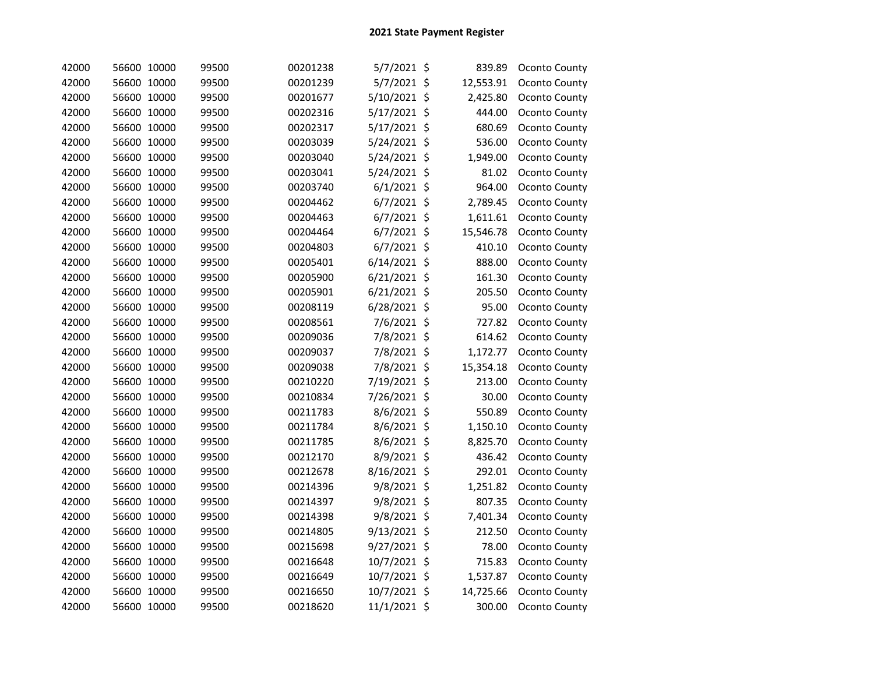| 42000 | 56600 10000 | 99500 | 00201238 | 5/7/2021 \$    |      | 839.89    | Oconto County |
|-------|-------------|-------|----------|----------------|------|-----------|---------------|
| 42000 | 56600 10000 | 99500 | 00201239 | 5/7/2021 \$    |      | 12,553.91 | Oconto County |
| 42000 | 56600 10000 | 99500 | 00201677 | 5/10/2021      | \$   | 2,425.80  | Oconto County |
| 42000 | 56600 10000 | 99500 | 00202316 | 5/17/2021      | \$   | 444.00    | Oconto County |
| 42000 | 56600 10000 | 99500 | 00202317 | 5/17/2021 \$   |      | 680.69    | Oconto County |
| 42000 | 56600 10000 | 99500 | 00203039 | 5/24/2021      | \$   | 536.00    | Oconto County |
| 42000 | 56600 10000 | 99500 | 00203040 | 5/24/2021 \$   |      | 1,949.00  | Oconto County |
| 42000 | 56600 10000 | 99500 | 00203041 | 5/24/2021      | - \$ | 81.02     | Oconto County |
| 42000 | 56600 10000 | 99500 | 00203740 | $6/1/2021$ \$  |      | 964.00    | Oconto County |
| 42000 | 56600 10000 | 99500 | 00204462 | $6/7/2021$ \$  |      | 2,789.45  | Oconto County |
| 42000 | 56600 10000 | 99500 | 00204463 | $6/7/2021$ \$  |      | 1,611.61  | Oconto County |
| 42000 | 56600 10000 | 99500 | 00204464 | $6/7/2021$ \$  |      | 15,546.78 | Oconto County |
| 42000 | 56600 10000 | 99500 | 00204803 | 6/7/2021 \$    |      | 410.10    | Oconto County |
| 42000 | 56600 10000 | 99500 | 00205401 | $6/14/2021$ \$ |      | 888.00    | Oconto County |
| 42000 | 56600 10000 | 99500 | 00205900 | $6/21/2021$ \$ |      | 161.30    | Oconto County |
| 42000 | 56600 10000 | 99500 | 00205901 | $6/21/2021$ \$ |      | 205.50    | Oconto County |
| 42000 | 56600 10000 | 99500 | 00208119 | $6/28/2021$ \$ |      | 95.00     | Oconto County |
| 42000 | 56600 10000 | 99500 | 00208561 | 7/6/2021 \$    |      | 727.82    | Oconto County |
| 42000 | 56600 10000 | 99500 | 00209036 | 7/8/2021 \$    |      | 614.62    | Oconto County |
| 42000 | 56600 10000 | 99500 | 00209037 | 7/8/2021 \$    |      | 1,172.77  | Oconto County |
| 42000 | 56600 10000 | 99500 | 00209038 | 7/8/2021 \$    |      | 15,354.18 | Oconto County |
| 42000 | 56600 10000 | 99500 | 00210220 | 7/19/2021 \$   |      | 213.00    | Oconto County |
| 42000 | 56600 10000 | 99500 | 00210834 | 7/26/2021 \$   |      | 30.00     | Oconto County |
| 42000 | 56600 10000 | 99500 | 00211783 | 8/6/2021 \$    |      | 550.89    | Oconto County |
| 42000 | 56600 10000 | 99500 | 00211784 | 8/6/2021 \$    |      | 1,150.10  | Oconto County |
| 42000 | 56600 10000 | 99500 | 00211785 | 8/6/2021 \$    |      | 8,825.70  | Oconto County |
| 42000 | 56600 10000 | 99500 | 00212170 | 8/9/2021 \$    |      | 436.42    | Oconto County |
| 42000 | 56600 10000 | 99500 | 00212678 | 8/16/2021      | \$   | 292.01    | Oconto County |
| 42000 | 56600 10000 | 99500 | 00214396 | 9/8/2021 \$    |      | 1,251.82  | Oconto County |
| 42000 | 56600 10000 | 99500 | 00214397 | 9/8/2021 \$    |      | 807.35    | Oconto County |
| 42000 | 56600 10000 | 99500 | 00214398 | 9/8/2021 \$    |      | 7,401.34  | Oconto County |
| 42000 | 56600 10000 | 99500 | 00214805 | 9/13/2021 \$   |      | 212.50    | Oconto County |
| 42000 | 56600 10000 | 99500 | 00215698 | 9/27/2021 \$   |      | 78.00     | Oconto County |
| 42000 | 56600 10000 | 99500 | 00216648 | 10/7/2021 \$   |      | 715.83    | Oconto County |
| 42000 | 56600 10000 | 99500 | 00216649 | 10/7/2021 \$   |      | 1,537.87  | Oconto County |
| 42000 | 56600 10000 | 99500 | 00216650 | 10/7/2021      | \$   | 14,725.66 | Oconto County |
| 42000 | 56600 10000 | 99500 | 00218620 | 11/1/2021 \$   |      | 300.00    | Oconto County |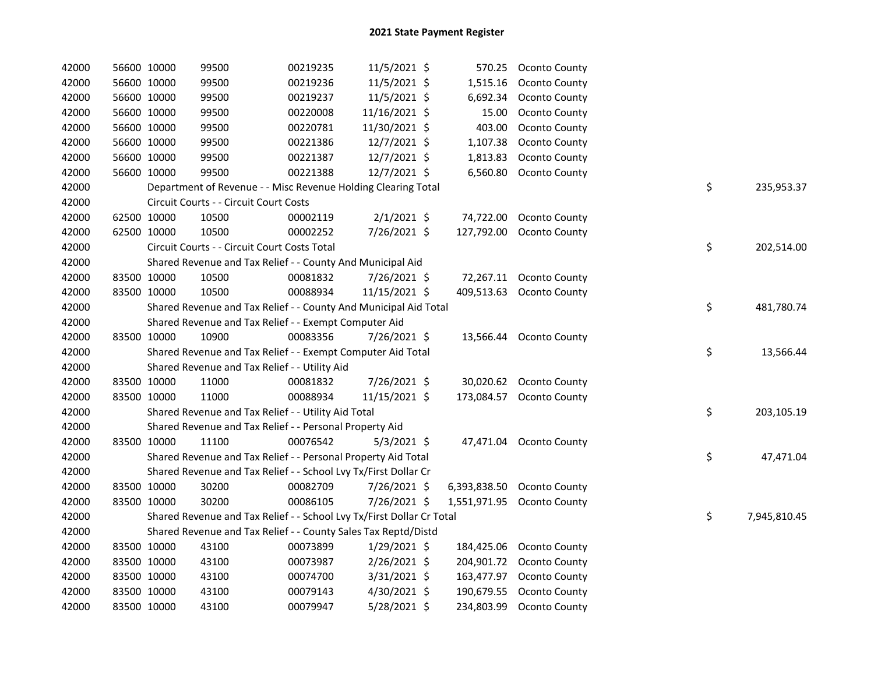| 42000 | 56600 10000 |             | 99500                                                                 | 00219235 | 11/5/2021 \$   |            | 570.25 Oconto County       |    |              |
|-------|-------------|-------------|-----------------------------------------------------------------------|----------|----------------|------------|----------------------------|----|--------------|
| 42000 | 56600 10000 |             | 99500                                                                 | 00219236 | 11/5/2021 \$   | 1,515.16   | <b>Oconto County</b>       |    |              |
| 42000 |             | 56600 10000 | 99500                                                                 | 00219237 | 11/5/2021 \$   | 6,692.34   | Oconto County              |    |              |
| 42000 |             | 56600 10000 | 99500                                                                 | 00220008 | 11/16/2021 \$  | 15.00      | <b>Oconto County</b>       |    |              |
| 42000 |             | 56600 10000 | 99500                                                                 | 00220781 | 11/30/2021 \$  | 403.00     | Oconto County              |    |              |
| 42000 |             | 56600 10000 | 99500                                                                 | 00221386 | $12/7/2021$ \$ | 1,107.38   | Oconto County              |    |              |
| 42000 |             | 56600 10000 | 99500                                                                 | 00221387 | 12/7/2021 \$   | 1,813.83   | Oconto County              |    |              |
| 42000 |             | 56600 10000 | 99500                                                                 | 00221388 | 12/7/2021 \$   | 6,560.80   | Oconto County              |    |              |
| 42000 |             |             | Department of Revenue - - Misc Revenue Holding Clearing Total         |          |                |            |                            | \$ | 235,953.37   |
| 42000 |             |             | Circuit Courts - - Circuit Court Costs                                |          |                |            |                            |    |              |
| 42000 |             | 62500 10000 | 10500                                                                 | 00002119 | $2/1/2021$ \$  |            | 74,722.00 Oconto County    |    |              |
| 42000 | 62500 10000 |             | 10500                                                                 | 00002252 | 7/26/2021 \$   | 127,792.00 | Oconto County              |    |              |
| 42000 |             |             | Circuit Courts - - Circuit Court Costs Total                          |          |                |            |                            | \$ | 202,514.00   |
| 42000 |             |             | Shared Revenue and Tax Relief - - County And Municipal Aid            |          |                |            |                            |    |              |
| 42000 | 83500 10000 |             | 10500                                                                 | 00081832 | 7/26/2021 \$   |            | 72,267.11 Oconto County    |    |              |
| 42000 | 83500 10000 |             | 10500                                                                 | 00088934 | 11/15/2021 \$  | 409,513.63 | Oconto County              |    |              |
| 42000 |             |             | Shared Revenue and Tax Relief - - County And Municipal Aid Total      |          |                |            |                            | \$ | 481,780.74   |
| 42000 |             |             | Shared Revenue and Tax Relief - - Exempt Computer Aid                 |          |                |            |                            |    |              |
| 42000 | 83500 10000 |             | 10900                                                                 | 00083356 | 7/26/2021 \$   |            | 13,566.44 Oconto County    |    |              |
| 42000 |             |             | Shared Revenue and Tax Relief - - Exempt Computer Aid Total           |          |                |            |                            | \$ | 13,566.44    |
| 42000 |             |             | Shared Revenue and Tax Relief - - Utility Aid                         |          |                |            |                            |    |              |
| 42000 |             | 83500 10000 | 11000                                                                 | 00081832 | 7/26/2021 \$   |            | 30,020.62 Oconto County    |    |              |
| 42000 |             | 83500 10000 | 11000                                                                 | 00088934 | 11/15/2021 \$  | 173,084.57 | Oconto County              |    |              |
| 42000 |             |             | Shared Revenue and Tax Relief - - Utility Aid Total                   |          |                |            |                            | \$ | 203,105.19   |
| 42000 |             |             | Shared Revenue and Tax Relief - - Personal Property Aid               |          |                |            |                            |    |              |
| 42000 | 83500 10000 |             | 11100                                                                 | 00076542 | $5/3/2021$ \$  |            | 47,471.04 Oconto County    |    |              |
| 42000 |             |             | Shared Revenue and Tax Relief - - Personal Property Aid Total         |          |                |            |                            | \$ | 47,471.04    |
| 42000 |             |             | Shared Revenue and Tax Relief - - School Lvy Tx/First Dollar Cr       |          |                |            |                            |    |              |
| 42000 |             | 83500 10000 | 30200                                                                 | 00082709 | 7/26/2021 \$   |            | 6,393,838.50 Oconto County |    |              |
| 42000 | 83500 10000 |             | 30200                                                                 | 00086105 | 7/26/2021 \$   |            | 1,551,971.95 Oconto County |    |              |
| 42000 |             |             | Shared Revenue and Tax Relief - - School Lvy Tx/First Dollar Cr Total |          |                |            |                            | \$ | 7,945,810.45 |
| 42000 |             |             | Shared Revenue and Tax Relief - - County Sales Tax Reptd/Distd        |          |                |            |                            |    |              |
| 42000 |             | 83500 10000 | 43100                                                                 | 00073899 | $1/29/2021$ \$ | 184,425.06 | Oconto County              |    |              |
| 42000 | 83500 10000 |             | 43100                                                                 | 00073987 | $2/26/2021$ \$ | 204,901.72 | Oconto County              |    |              |
| 42000 | 83500 10000 |             | 43100                                                                 | 00074700 | 3/31/2021 \$   | 163,477.97 | <b>Oconto County</b>       |    |              |
| 42000 | 83500 10000 |             | 43100                                                                 | 00079143 | 4/30/2021 \$   | 190,679.55 | Oconto County              |    |              |
| 42000 | 83500 10000 |             | 43100                                                                 | 00079947 | 5/28/2021 \$   | 234,803.99 | Oconto County              |    |              |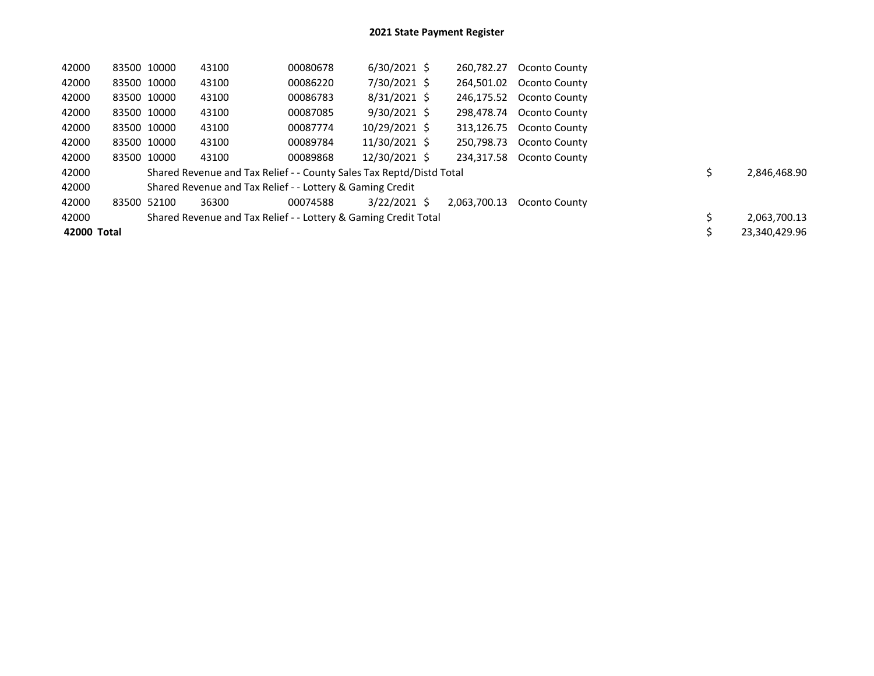| 42000       | 83500 10000 | 43100                                                                | 00080678 | $6/30/2021$ \$ | 260,782.27   | Oconto County            |  |               |
|-------------|-------------|----------------------------------------------------------------------|----------|----------------|--------------|--------------------------|--|---------------|
| 42000       | 83500 10000 | 43100                                                                | 00086220 | 7/30/2021 \$   | 264.501.02   | Oconto County            |  |               |
| 42000       | 83500 10000 | 43100                                                                | 00086783 | $8/31/2021$ \$ | 246.175.52   | Oconto County            |  |               |
| 42000       | 83500 10000 | 43100                                                                | 00087085 | $9/30/2021$ \$ | 298.478.74   | Oconto County            |  |               |
| 42000       | 83500 10000 | 43100                                                                | 00087774 | 10/29/2021 \$  |              | 313,126.75 Oconto County |  |               |
| 42000       | 83500 10000 | 43100                                                                | 00089784 | 11/30/2021 \$  | 250.798.73   | Oconto County            |  |               |
| 42000       | 83500 10000 | 43100                                                                | 00089868 | 12/30/2021 \$  |              | 234,317.58 Oconto County |  |               |
| 42000       |             | Shared Revenue and Tax Relief - - County Sales Tax Reptd/Distd Total |          |                |              |                          |  | 2,846,468.90  |
| 42000       |             | Shared Revenue and Tax Relief - - Lottery & Gaming Credit            |          |                |              |                          |  |               |
| 42000       | 83500 52100 | 36300                                                                | 00074588 | 3/22/2021 \$   | 2.063.700.13 | Oconto County            |  |               |
| 42000       |             | Shared Revenue and Tax Relief - - Lottery & Gaming Credit Total      |          |                |              |                          |  | 2,063,700.13  |
| 42000 Total |             |                                                                      |          |                |              |                          |  | 23.340.429.96 |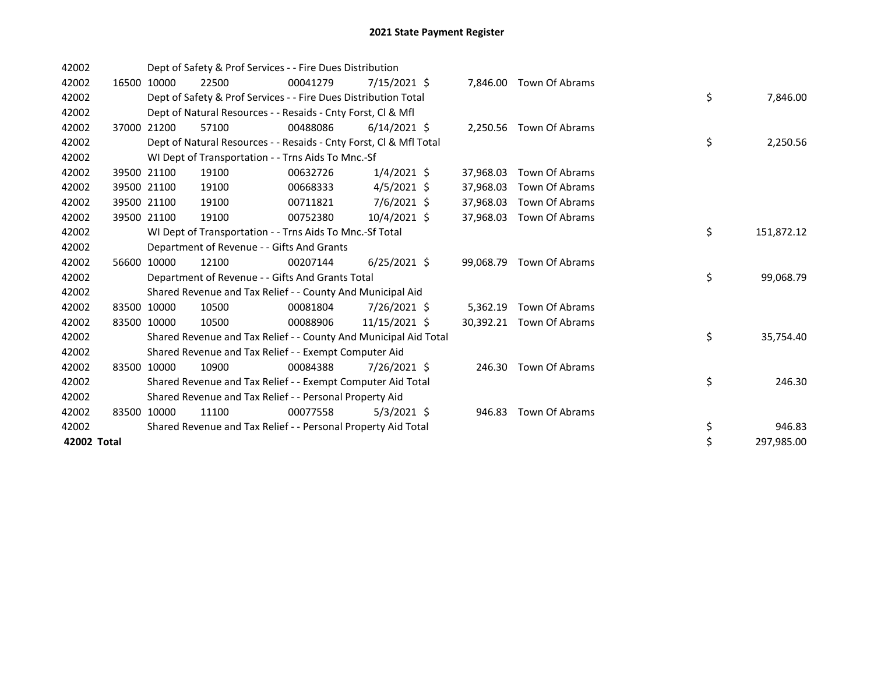| 42002       |       |             | Dept of Safety & Prof Services - - Fire Dues Distribution          |          |                |           |                         |    |            |
|-------------|-------|-------------|--------------------------------------------------------------------|----------|----------------|-----------|-------------------------|----|------------|
| 42002       | 16500 | 10000       | 22500                                                              | 00041279 | $7/15/2021$ \$ | 7,846.00  | Town Of Abrams          |    |            |
| 42002       |       |             | Dept of Safety & Prof Services - - Fire Dues Distribution Total    |          |                |           |                         | \$ | 7,846.00   |
| 42002       |       |             | Dept of Natural Resources - - Resaids - Cnty Forst, CI & Mfl       |          |                |           |                         |    |            |
| 42002       |       | 37000 21200 | 57100                                                              | 00488086 | $6/14/2021$ \$ |           | 2,250.56 Town Of Abrams |    |            |
| 42002       |       |             | Dept of Natural Resources - - Resaids - Cnty Forst, CI & Mfl Total |          |                |           |                         | \$ | 2,250.56   |
| 42002       |       |             | WI Dept of Transportation - - Trns Aids To Mnc.-Sf                 |          |                |           |                         |    |            |
| 42002       |       | 39500 21100 | 19100                                                              | 00632726 | $1/4/2021$ \$  | 37,968.03 | Town Of Abrams          |    |            |
| 42002       |       | 39500 21100 | 19100                                                              | 00668333 | $4/5/2021$ \$  | 37.968.03 | Town Of Abrams          |    |            |
| 42002       |       | 39500 21100 | 19100                                                              | 00711821 | 7/6/2021 \$    | 37,968.03 | Town Of Abrams          |    |            |
| 42002       |       | 39500 21100 | 19100                                                              | 00752380 | $10/4/2021$ \$ | 37,968.03 | Town Of Abrams          |    |            |
| 42002       |       |             | WI Dept of Transportation - - Trns Aids To Mnc.-Sf Total           |          |                |           |                         | \$ | 151,872.12 |
| 42002       |       |             | Department of Revenue - - Gifts And Grants                         |          |                |           |                         |    |            |
| 42002       |       | 56600 10000 | 12100                                                              | 00207144 | $6/25/2021$ \$ | 99,068.79 | Town Of Abrams          |    |            |
| 42002       |       |             | Department of Revenue - - Gifts And Grants Total                   |          |                |           |                         | \$ | 99,068.79  |
| 42002       |       |             | Shared Revenue and Tax Relief - - County And Municipal Aid         |          |                |           |                         |    |            |
| 42002       |       | 83500 10000 | 10500                                                              | 00081804 | 7/26/2021 \$   | 5,362.19  | Town Of Abrams          |    |            |
| 42002       | 83500 | 10000       | 10500                                                              | 00088906 | 11/15/2021 \$  | 30,392.21 | Town Of Abrams          |    |            |
| 42002       |       |             | Shared Revenue and Tax Relief - - County And Municipal Aid Total   |          |                |           |                         | \$ | 35,754.40  |
| 42002       |       |             | Shared Revenue and Tax Relief - - Exempt Computer Aid              |          |                |           |                         |    |            |
| 42002       |       | 83500 10000 | 10900                                                              | 00084388 | 7/26/2021 \$   | 246.30    | Town Of Abrams          |    |            |
| 42002       |       |             | Shared Revenue and Tax Relief - - Exempt Computer Aid Total        |          |                |           |                         | \$ | 246.30     |
| 42002       |       |             | Shared Revenue and Tax Relief - - Personal Property Aid            |          |                |           |                         |    |            |
| 42002       |       | 83500 10000 | 11100                                                              | 00077558 | $5/3/2021$ \$  | 946.83    | Town Of Abrams          |    |            |
| 42002       |       |             | Shared Revenue and Tax Relief - - Personal Property Aid Total      |          |                |           |                         | \$ | 946.83     |
| 42002 Total |       |             |                                                                    |          |                |           |                         | \$ | 297,985.00 |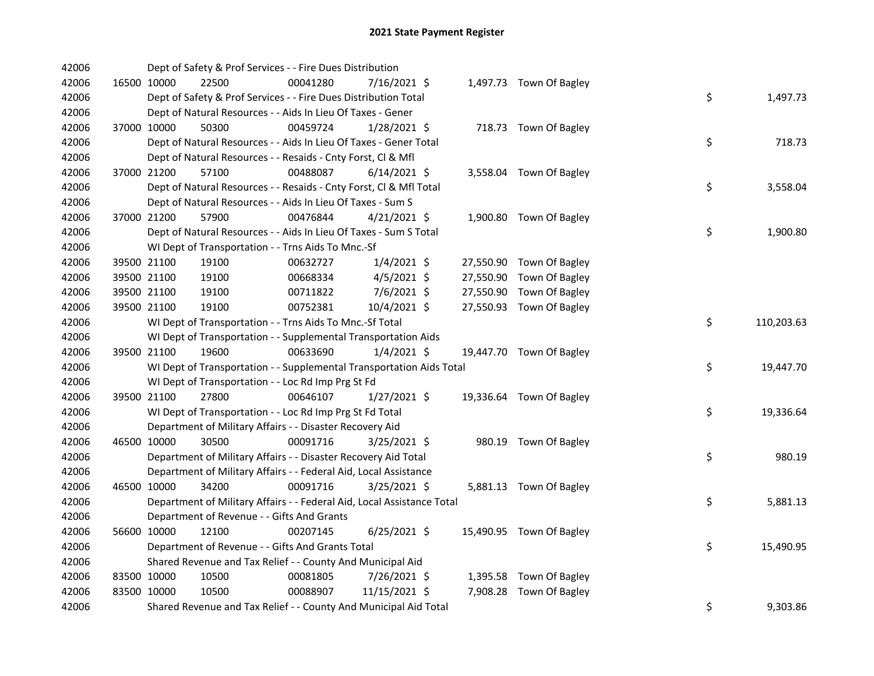| 42006 |             |             | Dept of Safety & Prof Services - - Fire Dues Distribution              |          |                |  |                          |    |            |
|-------|-------------|-------------|------------------------------------------------------------------------|----------|----------------|--|--------------------------|----|------------|
| 42006 |             | 16500 10000 | 22500                                                                  | 00041280 | 7/16/2021 \$   |  | 1,497.73 Town Of Bagley  |    |            |
| 42006 |             |             | Dept of Safety & Prof Services - - Fire Dues Distribution Total        |          |                |  |                          | \$ | 1,497.73   |
| 42006 |             |             | Dept of Natural Resources - - Aids In Lieu Of Taxes - Gener            |          |                |  |                          |    |            |
| 42006 | 37000 10000 |             | 50300                                                                  | 00459724 | $1/28/2021$ \$ |  | 718.73 Town Of Bagley    |    |            |
| 42006 |             |             | Dept of Natural Resources - - Aids In Lieu Of Taxes - Gener Total      |          |                |  |                          | \$ | 718.73     |
| 42006 |             |             | Dept of Natural Resources - - Resaids - Cnty Forst, Cl & Mfl           |          |                |  |                          |    |            |
| 42006 | 37000 21200 |             | 57100                                                                  | 00488087 | $6/14/2021$ \$ |  | 3,558.04 Town Of Bagley  |    |            |
| 42006 |             |             | Dept of Natural Resources - - Resaids - Cnty Forst, Cl & Mfl Total     |          |                |  |                          | \$ | 3,558.04   |
| 42006 |             |             | Dept of Natural Resources - - Aids In Lieu Of Taxes - Sum S            |          |                |  |                          |    |            |
| 42006 | 37000 21200 |             | 57900                                                                  | 00476844 | $4/21/2021$ \$ |  | 1,900.80 Town Of Bagley  |    |            |
| 42006 |             |             | Dept of Natural Resources - - Aids In Lieu Of Taxes - Sum S Total      |          |                |  |                          | \$ | 1,900.80   |
| 42006 |             |             | WI Dept of Transportation - - Trns Aids To Mnc.-Sf                     |          |                |  |                          |    |            |
| 42006 | 39500 21100 |             | 19100                                                                  | 00632727 | $1/4/2021$ \$  |  | 27,550.90 Town Of Bagley |    |            |
| 42006 | 39500 21100 |             | 19100                                                                  | 00668334 | $4/5/2021$ \$  |  | 27,550.90 Town Of Bagley |    |            |
| 42006 | 39500 21100 |             | 19100                                                                  | 00711822 | $7/6/2021$ \$  |  | 27,550.90 Town Of Bagley |    |            |
| 42006 | 39500 21100 |             | 19100                                                                  | 00752381 | 10/4/2021 \$   |  | 27,550.93 Town Of Bagley |    |            |
| 42006 |             |             | WI Dept of Transportation - - Trns Aids To Mnc.-Sf Total               |          |                |  |                          | \$ | 110,203.63 |
| 42006 |             |             | WI Dept of Transportation - - Supplemental Transportation Aids         |          |                |  |                          |    |            |
| 42006 |             | 39500 21100 | 19600                                                                  | 00633690 | $1/4/2021$ \$  |  | 19,447.70 Town Of Bagley |    |            |
| 42006 |             |             | WI Dept of Transportation - - Supplemental Transportation Aids Total   |          |                |  |                          | \$ | 19,447.70  |
| 42006 |             |             | WI Dept of Transportation - - Loc Rd Imp Prg St Fd                     |          |                |  |                          |    |            |
| 42006 | 39500 21100 |             | 27800                                                                  | 00646107 | $1/27/2021$ \$ |  | 19,336.64 Town Of Bagley |    |            |
| 42006 |             |             | WI Dept of Transportation - - Loc Rd Imp Prg St Fd Total               |          |                |  |                          | \$ | 19,336.64  |
| 42006 |             |             | Department of Military Affairs - - Disaster Recovery Aid               |          |                |  |                          |    |            |
| 42006 | 46500 10000 |             | 30500                                                                  | 00091716 | 3/25/2021 \$   |  | 980.19 Town Of Bagley    |    |            |
| 42006 |             |             | Department of Military Affairs - - Disaster Recovery Aid Total         |          |                |  |                          | \$ | 980.19     |
| 42006 |             |             | Department of Military Affairs - - Federal Aid, Local Assistance       |          |                |  |                          |    |            |
| 42006 | 46500 10000 |             | 34200                                                                  | 00091716 | $3/25/2021$ \$ |  | 5,881.13 Town Of Bagley  |    |            |
| 42006 |             |             | Department of Military Affairs - - Federal Aid, Local Assistance Total |          |                |  |                          | \$ | 5,881.13   |
| 42006 |             |             | Department of Revenue - - Gifts And Grants                             |          |                |  |                          |    |            |
| 42006 |             | 56600 10000 | 12100                                                                  | 00207145 | $6/25/2021$ \$ |  | 15,490.95 Town Of Bagley |    |            |
| 42006 |             |             | Department of Revenue - - Gifts And Grants Total                       |          |                |  |                          | \$ | 15,490.95  |
| 42006 |             |             | Shared Revenue and Tax Relief - - County And Municipal Aid             |          |                |  |                          |    |            |
| 42006 | 83500 10000 |             | 10500                                                                  | 00081805 | 7/26/2021 \$   |  | 1,395.58 Town Of Bagley  |    |            |
| 42006 | 83500 10000 |             | 10500                                                                  | 00088907 | 11/15/2021 \$  |  | 7,908.28 Town Of Bagley  |    |            |
| 42006 |             |             | Shared Revenue and Tax Relief - - County And Municipal Aid Total       |          |                |  |                          | \$ | 9,303.86   |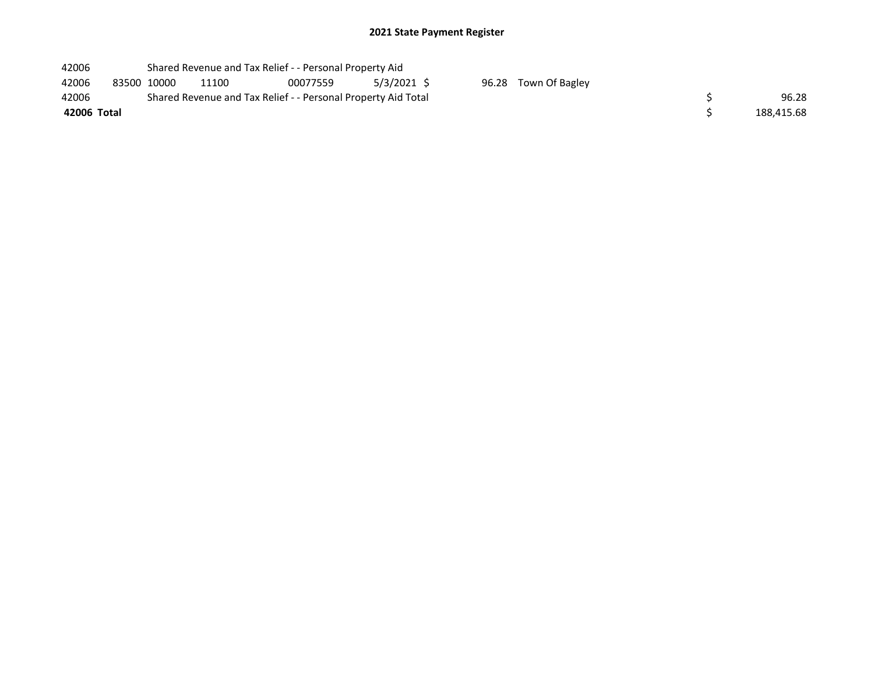| 42006       |             | Shared Revenue and Tax Relief - - Personal Property Aid       |          |             |                      |            |
|-------------|-------------|---------------------------------------------------------------|----------|-------------|----------------------|------------|
| 42006       | 83500 10000 | 11100                                                         | 00077559 | 5/3/2021 \$ | 96.28 Town Of Bagley |            |
| 42006       |             | Shared Revenue and Tax Relief - - Personal Property Aid Total |          |             |                      | 96.28      |
| 42006 Total |             |                                                               |          |             |                      | 188,415.68 |
|             |             |                                                               |          |             |                      |            |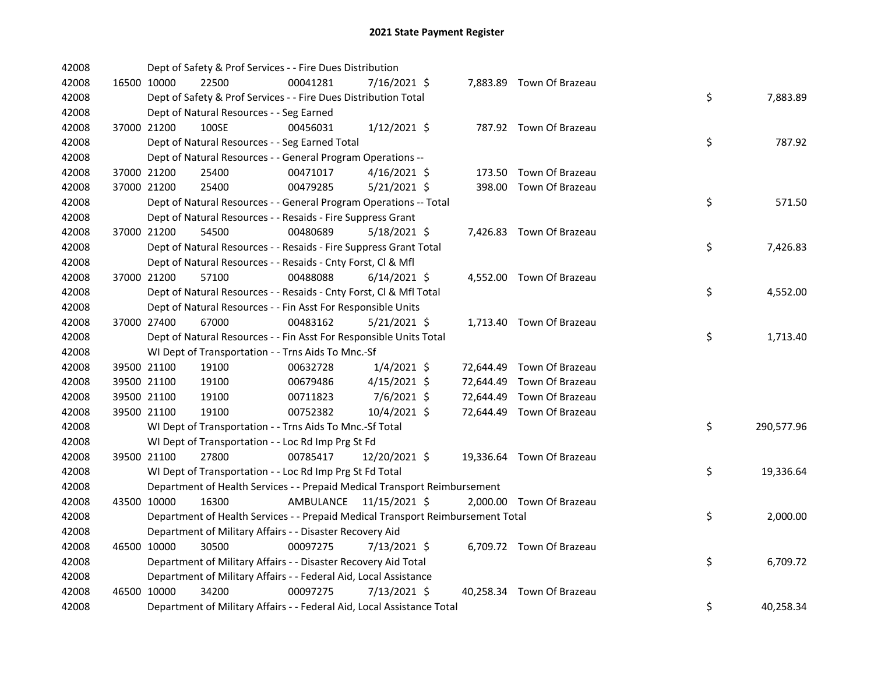| 42008 |             | Dept of Safety & Prof Services - - Fire Dues Distribution                       |           |                |  |                           |    |            |
|-------|-------------|---------------------------------------------------------------------------------|-----------|----------------|--|---------------------------|----|------------|
| 42008 | 16500 10000 | 22500                                                                           | 00041281  | 7/16/2021 \$   |  | 7,883.89 Town Of Brazeau  |    |            |
| 42008 |             | Dept of Safety & Prof Services - - Fire Dues Distribution Total                 |           |                |  |                           | \$ | 7,883.89   |
| 42008 |             | Dept of Natural Resources - - Seg Earned                                        |           |                |  |                           |    |            |
| 42008 | 37000 21200 | 100SE                                                                           | 00456031  | $1/12/2021$ \$ |  | 787.92 Town Of Brazeau    |    |            |
| 42008 |             | Dept of Natural Resources - - Seg Earned Total                                  |           |                |  |                           | \$ | 787.92     |
| 42008 |             | Dept of Natural Resources - - General Program Operations --                     |           |                |  |                           |    |            |
| 42008 | 37000 21200 | 25400                                                                           | 00471017  | $4/16/2021$ \$ |  | 173.50 Town Of Brazeau    |    |            |
| 42008 | 37000 21200 | 25400                                                                           | 00479285  | $5/21/2021$ \$ |  | 398.00 Town Of Brazeau    |    |            |
| 42008 |             | Dept of Natural Resources - - General Program Operations -- Total               |           |                |  |                           | \$ | 571.50     |
| 42008 |             | Dept of Natural Resources - - Resaids - Fire Suppress Grant                     |           |                |  |                           |    |            |
| 42008 | 37000 21200 | 54500                                                                           | 00480689  | $5/18/2021$ \$ |  | 7,426.83 Town Of Brazeau  |    |            |
| 42008 |             | Dept of Natural Resources - - Resaids - Fire Suppress Grant Total               |           |                |  |                           | \$ | 7,426.83   |
| 42008 |             | Dept of Natural Resources - - Resaids - Cnty Forst, Cl & Mfl                    |           |                |  |                           |    |            |
| 42008 | 37000 21200 | 57100                                                                           | 00488088  | $6/14/2021$ \$ |  | 4,552.00 Town Of Brazeau  |    |            |
| 42008 |             | Dept of Natural Resources - - Resaids - Cnty Forst, Cl & Mfl Total              |           |                |  |                           | \$ | 4,552.00   |
| 42008 |             | Dept of Natural Resources - - Fin Asst For Responsible Units                    |           |                |  |                           |    |            |
| 42008 | 37000 27400 | 67000                                                                           | 00483162  | $5/21/2021$ \$ |  | 1,713.40 Town Of Brazeau  |    |            |
| 42008 |             | Dept of Natural Resources - - Fin Asst For Responsible Units Total              |           |                |  |                           | \$ | 1,713.40   |
| 42008 |             | WI Dept of Transportation - - Trns Aids To Mnc.-Sf                              |           |                |  |                           |    |            |
| 42008 | 39500 21100 | 19100                                                                           | 00632728  | $1/4/2021$ \$  |  | 72,644.49 Town Of Brazeau |    |            |
| 42008 | 39500 21100 | 19100                                                                           | 00679486  | $4/15/2021$ \$ |  | 72,644.49 Town Of Brazeau |    |            |
| 42008 | 39500 21100 | 19100                                                                           | 00711823  | 7/6/2021 \$    |  | 72,644.49 Town Of Brazeau |    |            |
| 42008 | 39500 21100 | 19100                                                                           | 00752382  | 10/4/2021 \$   |  | 72,644.49 Town Of Brazeau |    |            |
| 42008 |             | WI Dept of Transportation - - Trns Aids To Mnc.-Sf Total                        |           |                |  |                           | \$ | 290,577.96 |
| 42008 |             | WI Dept of Transportation - - Loc Rd Imp Prg St Fd                              |           |                |  |                           |    |            |
| 42008 | 39500 21100 | 27800                                                                           | 00785417  | 12/20/2021 \$  |  | 19,336.64 Town Of Brazeau |    |            |
| 42008 |             | WI Dept of Transportation - - Loc Rd Imp Prg St Fd Total                        |           |                |  |                           | \$ | 19,336.64  |
| 42008 |             | Department of Health Services - - Prepaid Medical Transport Reimbursement       |           |                |  |                           |    |            |
| 42008 | 43500 10000 | 16300                                                                           | AMBULANCE | 11/15/2021 \$  |  | 2,000.00 Town Of Brazeau  |    |            |
| 42008 |             | Department of Health Services - - Prepaid Medical Transport Reimbursement Total |           |                |  |                           | \$ | 2,000.00   |
| 42008 |             | Department of Military Affairs - - Disaster Recovery Aid                        |           |                |  |                           |    |            |
| 42008 | 46500 10000 | 30500                                                                           | 00097275  | $7/13/2021$ \$ |  | 6,709.72 Town Of Brazeau  |    |            |
| 42008 |             | Department of Military Affairs - - Disaster Recovery Aid Total                  |           |                |  |                           | \$ | 6,709.72   |
| 42008 |             | Department of Military Affairs - - Federal Aid, Local Assistance                |           |                |  |                           |    |            |
| 42008 | 46500 10000 | 34200                                                                           | 00097275  | 7/13/2021 \$   |  | 40,258.34 Town Of Brazeau |    |            |
| 42008 |             | Department of Military Affairs - - Federal Aid, Local Assistance Total          |           |                |  |                           | \$ | 40,258.34  |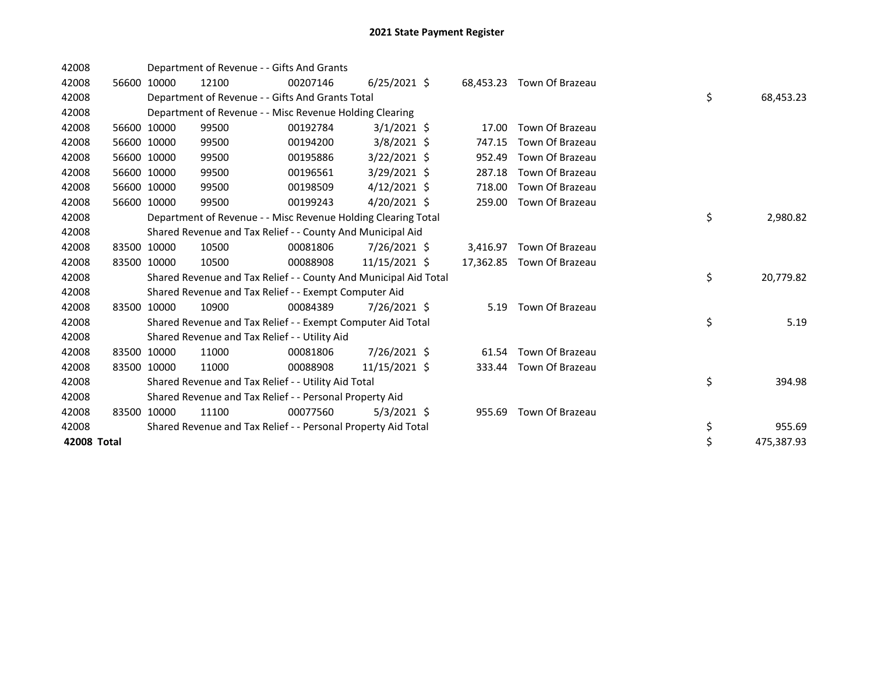| 42008       |             |             | Department of Revenue - - Gifts And Grants                       |          |                |           |                           |    |            |
|-------------|-------------|-------------|------------------------------------------------------------------|----------|----------------|-----------|---------------------------|----|------------|
| 42008       | 56600       | 10000       | 12100                                                            | 00207146 | $6/25/2021$ \$ | 68,453.23 | Town Of Brazeau           |    |            |
| 42008       |             |             | Department of Revenue - - Gifts And Grants Total                 |          |                |           |                           | \$ | 68,453.23  |
| 42008       |             |             | Department of Revenue - - Misc Revenue Holding Clearing          |          |                |           |                           |    |            |
| 42008       |             | 56600 10000 | 99500                                                            | 00192784 | $3/1/2021$ \$  | 17.00     | Town Of Brazeau           |    |            |
| 42008       |             | 56600 10000 | 99500                                                            | 00194200 | $3/8/2021$ \$  | 747.15    | Town Of Brazeau           |    |            |
| 42008       | 56600       | 10000       | 99500                                                            | 00195886 | $3/22/2021$ \$ | 952.49    | Town Of Brazeau           |    |            |
| 42008       | 56600       | 10000       | 99500                                                            | 00196561 | 3/29/2021 \$   | 287.18    | Town Of Brazeau           |    |            |
| 42008       |             | 56600 10000 | 99500                                                            | 00198509 | $4/12/2021$ \$ | 718.00    | Town Of Brazeau           |    |            |
| 42008       | 56600 10000 |             | 99500                                                            | 00199243 | $4/20/2021$ \$ | 259.00    | Town Of Brazeau           |    |            |
| 42008       |             |             | Department of Revenue - - Misc Revenue Holding Clearing Total    |          |                |           |                           | \$ | 2,980.82   |
| 42008       |             |             | Shared Revenue and Tax Relief - - County And Municipal Aid       |          |                |           |                           |    |            |
| 42008       |             | 83500 10000 | 10500                                                            | 00081806 | 7/26/2021 \$   | 3,416.97  | Town Of Brazeau           |    |            |
| 42008       | 83500 10000 |             | 10500                                                            | 00088908 | 11/15/2021 \$  |           | 17,362.85 Town Of Brazeau |    |            |
| 42008       |             |             | Shared Revenue and Tax Relief - - County And Municipal Aid Total |          |                |           |                           | \$ | 20,779.82  |
| 42008       |             |             | Shared Revenue and Tax Relief - - Exempt Computer Aid            |          |                |           |                           |    |            |
| 42008       |             | 83500 10000 | 10900                                                            | 00084389 | 7/26/2021 \$   | 5.19      | Town Of Brazeau           |    |            |
| 42008       |             |             | Shared Revenue and Tax Relief - - Exempt Computer Aid Total      |          |                |           |                           | \$ | 5.19       |
| 42008       |             |             | Shared Revenue and Tax Relief - - Utility Aid                    |          |                |           |                           |    |            |
| 42008       | 83500 10000 |             | 11000                                                            | 00081806 | 7/26/2021 \$   | 61.54     | Town Of Brazeau           |    |            |
| 42008       | 83500 10000 |             | 11000                                                            | 00088908 | 11/15/2021 \$  | 333.44    | Town Of Brazeau           |    |            |
| 42008       |             |             | Shared Revenue and Tax Relief - - Utility Aid Total              |          |                |           |                           | \$ | 394.98     |
| 42008       |             |             | Shared Revenue and Tax Relief - - Personal Property Aid          |          |                |           |                           |    |            |
| 42008       | 83500       | 10000       | 11100                                                            | 00077560 | $5/3/2021$ \$  | 955.69    | Town Of Brazeau           |    |            |
| 42008       |             |             | Shared Revenue and Tax Relief - - Personal Property Aid Total    |          |                |           |                           | \$ | 955.69     |
| 42008 Total |             |             |                                                                  |          |                |           |                           | \$ | 475,387.93 |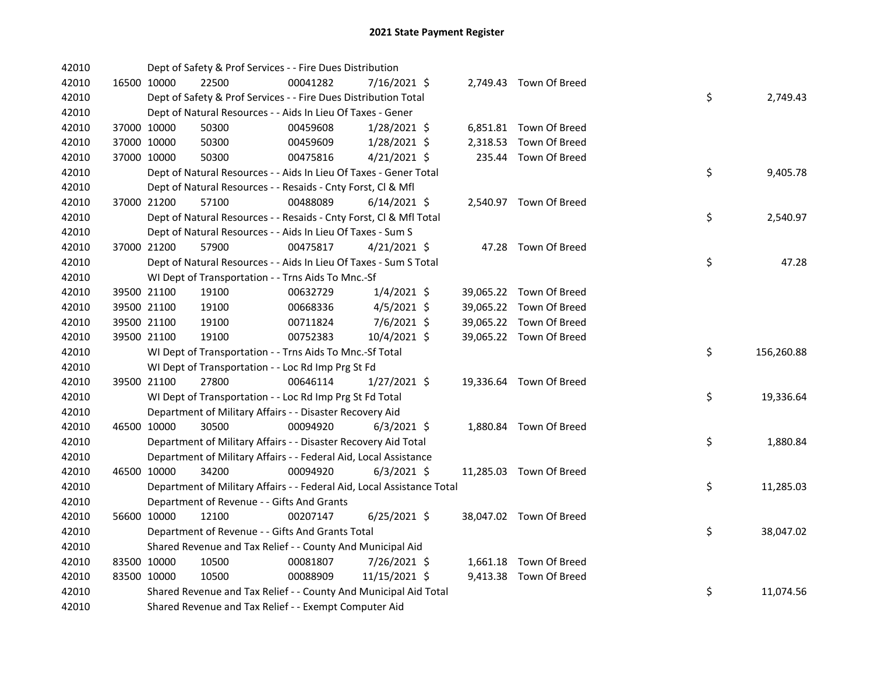| 42010 |             | Dept of Safety & Prof Services - - Fire Dues Distribution              |          |                |  |                         |    |            |
|-------|-------------|------------------------------------------------------------------------|----------|----------------|--|-------------------------|----|------------|
| 42010 | 16500 10000 | 22500                                                                  | 00041282 | 7/16/2021 \$   |  | 2,749.43 Town Of Breed  |    |            |
| 42010 |             | Dept of Safety & Prof Services - - Fire Dues Distribution Total        |          |                |  |                         | \$ | 2,749.43   |
| 42010 |             | Dept of Natural Resources - - Aids In Lieu Of Taxes - Gener            |          |                |  |                         |    |            |
| 42010 | 37000 10000 | 50300                                                                  | 00459608 | 1/28/2021 \$   |  | 6,851.81 Town Of Breed  |    |            |
| 42010 | 37000 10000 | 50300                                                                  | 00459609 | 1/28/2021 \$   |  | 2,318.53 Town Of Breed  |    |            |
| 42010 | 37000 10000 | 50300                                                                  | 00475816 | $4/21/2021$ \$ |  | 235.44 Town Of Breed    |    |            |
| 42010 |             | Dept of Natural Resources - - Aids In Lieu Of Taxes - Gener Total      |          |                |  |                         | \$ | 9,405.78   |
| 42010 |             | Dept of Natural Resources - - Resaids - Cnty Forst, Cl & Mfl           |          |                |  |                         |    |            |
| 42010 | 37000 21200 | 57100                                                                  | 00488089 | $6/14/2021$ \$ |  | 2,540.97 Town Of Breed  |    |            |
| 42010 |             | Dept of Natural Resources - - Resaids - Cnty Forst, Cl & Mfl Total     |          |                |  |                         | \$ | 2,540.97   |
| 42010 |             | Dept of Natural Resources - - Aids In Lieu Of Taxes - Sum S            |          |                |  |                         |    |            |
| 42010 | 37000 21200 | 57900                                                                  | 00475817 | $4/21/2021$ \$ |  | 47.28 Town Of Breed     |    |            |
| 42010 |             | Dept of Natural Resources - - Aids In Lieu Of Taxes - Sum S Total      |          |                |  |                         | \$ | 47.28      |
| 42010 |             | WI Dept of Transportation - - Trns Aids To Mnc.-Sf                     |          |                |  |                         |    |            |
| 42010 | 39500 21100 | 19100                                                                  | 00632729 | $1/4/2021$ \$  |  | 39,065.22 Town Of Breed |    |            |
| 42010 | 39500 21100 | 19100                                                                  | 00668336 | $4/5/2021$ \$  |  | 39,065.22 Town Of Breed |    |            |
| 42010 | 39500 21100 | 19100                                                                  | 00711824 | $7/6/2021$ \$  |  | 39,065.22 Town Of Breed |    |            |
| 42010 | 39500 21100 | 19100                                                                  | 00752383 | 10/4/2021 \$   |  | 39,065.22 Town Of Breed |    |            |
| 42010 |             | WI Dept of Transportation - - Trns Aids To Mnc.-Sf Total               |          |                |  |                         | \$ | 156,260.88 |
| 42010 |             | WI Dept of Transportation - - Loc Rd Imp Prg St Fd                     |          |                |  |                         |    |            |
| 42010 | 39500 21100 | 27800                                                                  | 00646114 | $1/27/2021$ \$ |  | 19,336.64 Town Of Breed |    |            |
| 42010 |             | WI Dept of Transportation - - Loc Rd Imp Prg St Fd Total               |          |                |  |                         | \$ | 19,336.64  |
| 42010 |             | Department of Military Affairs - - Disaster Recovery Aid               |          |                |  |                         |    |            |
| 42010 | 46500 10000 | 30500                                                                  | 00094920 | $6/3/2021$ \$  |  | 1,880.84 Town Of Breed  |    |            |
| 42010 |             | Department of Military Affairs - - Disaster Recovery Aid Total         |          |                |  |                         | \$ | 1,880.84   |
| 42010 |             | Department of Military Affairs - - Federal Aid, Local Assistance       |          |                |  |                         |    |            |
| 42010 | 46500 10000 | 34200                                                                  | 00094920 | $6/3/2021$ \$  |  | 11,285.03 Town Of Breed |    |            |
| 42010 |             | Department of Military Affairs - - Federal Aid, Local Assistance Total |          |                |  |                         | \$ | 11,285.03  |
| 42010 |             | Department of Revenue - - Gifts And Grants                             |          |                |  |                         |    |            |
| 42010 | 56600 10000 | 12100                                                                  | 00207147 | $6/25/2021$ \$ |  | 38,047.02 Town Of Breed |    |            |
| 42010 |             | Department of Revenue - - Gifts And Grants Total                       |          |                |  |                         | \$ | 38,047.02  |
| 42010 |             | Shared Revenue and Tax Relief - - County And Municipal Aid             |          |                |  |                         |    |            |
| 42010 | 83500 10000 | 10500                                                                  | 00081807 | 7/26/2021 \$   |  | 1,661.18 Town Of Breed  |    |            |
| 42010 | 83500 10000 | 10500                                                                  | 00088909 | 11/15/2021 \$  |  | 9,413.38 Town Of Breed  |    |            |
| 42010 |             | Shared Revenue and Tax Relief - - County And Municipal Aid Total       |          |                |  |                         | \$ | 11,074.56  |
| 42010 |             | Shared Revenue and Tax Relief - - Exempt Computer Aid                  |          |                |  |                         |    |            |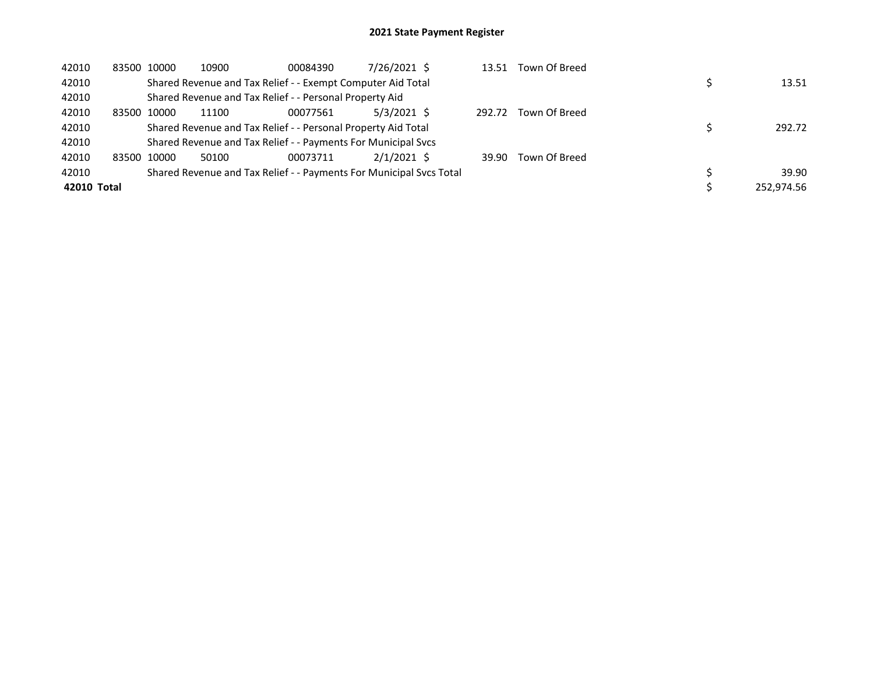| 42010       |       | 83500 10000 | 10900                                                         | 00084390 | 7/26/2021 \$                                                        | 13.51  | Town Of Breed |            |
|-------------|-------|-------------|---------------------------------------------------------------|----------|---------------------------------------------------------------------|--------|---------------|------------|
| 42010       |       |             | Shared Revenue and Tax Relief - - Exempt Computer Aid Total   |          |                                                                     |        |               | 13.51      |
| 42010       |       |             | Shared Revenue and Tax Relief - - Personal Property Aid       |          |                                                                     |        |               |            |
| 42010       | 83500 | 10000       | 11100                                                         | 00077561 | 5/3/2021 \$                                                         | 292.72 | Town Of Breed |            |
| 42010       |       |             | Shared Revenue and Tax Relief - - Personal Property Aid Total |          |                                                                     |        |               | 292.72     |
| 42010       |       |             | Shared Revenue and Tax Relief - - Payments For Municipal Svcs |          |                                                                     |        |               |            |
| 42010       |       | 83500 10000 | 50100                                                         | 00073711 | $2/1/2021$ \$                                                       | 39.90  | Town Of Breed |            |
| 42010       |       |             |                                                               |          | Shared Revenue and Tax Relief - - Payments For Municipal Svcs Total |        |               | 39.90      |
| 42010 Total |       |             |                                                               |          |                                                                     |        |               | 252.974.56 |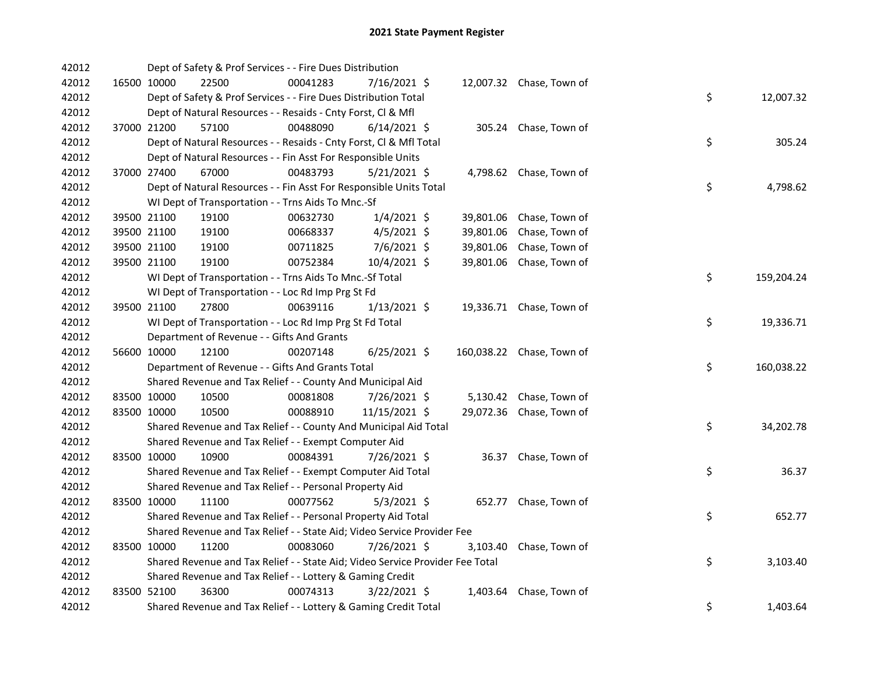| 42012 |             | Dept of Safety & Prof Services - - Fire Dues Distribution                     |          |                |           |                           |    |            |
|-------|-------------|-------------------------------------------------------------------------------|----------|----------------|-----------|---------------------------|----|------------|
| 42012 |             | 16500 10000<br>22500                                                          | 00041283 | 7/16/2021 \$   |           | 12,007.32 Chase, Town of  |    |            |
| 42012 |             | Dept of Safety & Prof Services - - Fire Dues Distribution Total               |          |                |           |                           | \$ | 12,007.32  |
| 42012 |             | Dept of Natural Resources - - Resaids - Cnty Forst, Cl & Mfl                  |          |                |           |                           |    |            |
| 42012 | 37000 21200 | 57100                                                                         | 00488090 | $6/14/2021$ \$ |           | 305.24 Chase, Town of     |    |            |
| 42012 |             | Dept of Natural Resources - - Resaids - Cnty Forst, Cl & Mfl Total            |          |                |           |                           | \$ | 305.24     |
| 42012 |             | Dept of Natural Resources - - Fin Asst For Responsible Units                  |          |                |           |                           |    |            |
| 42012 | 37000 27400 | 67000                                                                         | 00483793 | $5/21/2021$ \$ |           | 4,798.62 Chase, Town of   |    |            |
| 42012 |             | Dept of Natural Resources - - Fin Asst For Responsible Units Total            |          |                |           |                           | \$ | 4,798.62   |
| 42012 |             | WI Dept of Transportation - - Trns Aids To Mnc.-Sf                            |          |                |           |                           |    |            |
| 42012 |             | 39500 21100<br>19100                                                          | 00632730 | $1/4/2021$ \$  |           | 39,801.06 Chase, Town of  |    |            |
| 42012 |             | 39500 21100<br>19100                                                          | 00668337 | $4/5/2021$ \$  | 39,801.06 | Chase, Town of            |    |            |
| 42012 |             | 39500 21100<br>19100                                                          | 00711825 | $7/6/2021$ \$  | 39,801.06 | Chase, Town of            |    |            |
| 42012 | 39500 21100 | 19100                                                                         | 00752384 | 10/4/2021 \$   |           | 39,801.06 Chase, Town of  |    |            |
| 42012 |             | WI Dept of Transportation - - Trns Aids To Mnc.-Sf Total                      |          |                |           |                           | \$ | 159,204.24 |
| 42012 |             | WI Dept of Transportation - - Loc Rd Imp Prg St Fd                            |          |                |           |                           |    |            |
| 42012 | 39500 21100 | 27800                                                                         | 00639116 | $1/13/2021$ \$ |           | 19,336.71 Chase, Town of  |    |            |
| 42012 |             | WI Dept of Transportation - - Loc Rd Imp Prg St Fd Total                      |          |                |           |                           | \$ | 19,336.71  |
| 42012 |             | Department of Revenue - - Gifts And Grants                                    |          |                |           |                           |    |            |
| 42012 |             | 12100<br>56600 10000                                                          | 00207148 | $6/25/2021$ \$ |           | 160,038.22 Chase, Town of |    |            |
| 42012 |             | Department of Revenue - - Gifts And Grants Total                              |          |                |           |                           | \$ | 160,038.22 |
| 42012 |             | Shared Revenue and Tax Relief - - County And Municipal Aid                    |          |                |           |                           |    |            |
| 42012 | 83500 10000 | 10500                                                                         | 00081808 | 7/26/2021 \$   |           | 5,130.42 Chase, Town of   |    |            |
| 42012 | 83500 10000 | 10500                                                                         | 00088910 | 11/15/2021 \$  |           | 29,072.36 Chase, Town of  |    |            |
| 42012 |             | Shared Revenue and Tax Relief - - County And Municipal Aid Total              |          |                |           |                           | \$ | 34,202.78  |
| 42012 |             | Shared Revenue and Tax Relief - - Exempt Computer Aid                         |          |                |           |                           |    |            |
| 42012 | 83500 10000 | 10900                                                                         | 00084391 | 7/26/2021 \$   |           | 36.37 Chase, Town of      |    |            |
| 42012 |             | Shared Revenue and Tax Relief - - Exempt Computer Aid Total                   |          |                |           |                           | \$ | 36.37      |
| 42012 |             | Shared Revenue and Tax Relief - - Personal Property Aid                       |          |                |           |                           |    |            |
| 42012 |             | 83500 10000<br>11100                                                          | 00077562 | $5/3/2021$ \$  |           | 652.77 Chase, Town of     |    |            |
| 42012 |             | Shared Revenue and Tax Relief - - Personal Property Aid Total                 |          |                |           |                           | \$ | 652.77     |
| 42012 |             | Shared Revenue and Tax Relief - - State Aid; Video Service Provider Fee       |          |                |           |                           |    |            |
| 42012 | 83500 10000 | 11200                                                                         | 00083060 | 7/26/2021 \$   |           | 3,103.40 Chase, Town of   |    |            |
| 42012 |             | Shared Revenue and Tax Relief - - State Aid; Video Service Provider Fee Total |          |                |           |                           | \$ | 3,103.40   |
| 42012 |             | Shared Revenue and Tax Relief - - Lottery & Gaming Credit                     |          |                |           |                           |    |            |
| 42012 | 83500 52100 | 36300                                                                         | 00074313 | $3/22/2021$ \$ |           | 1,403.64 Chase, Town of   |    |            |
| 42012 |             | Shared Revenue and Tax Relief - - Lottery & Gaming Credit Total               |          |                |           |                           | \$ | 1,403.64   |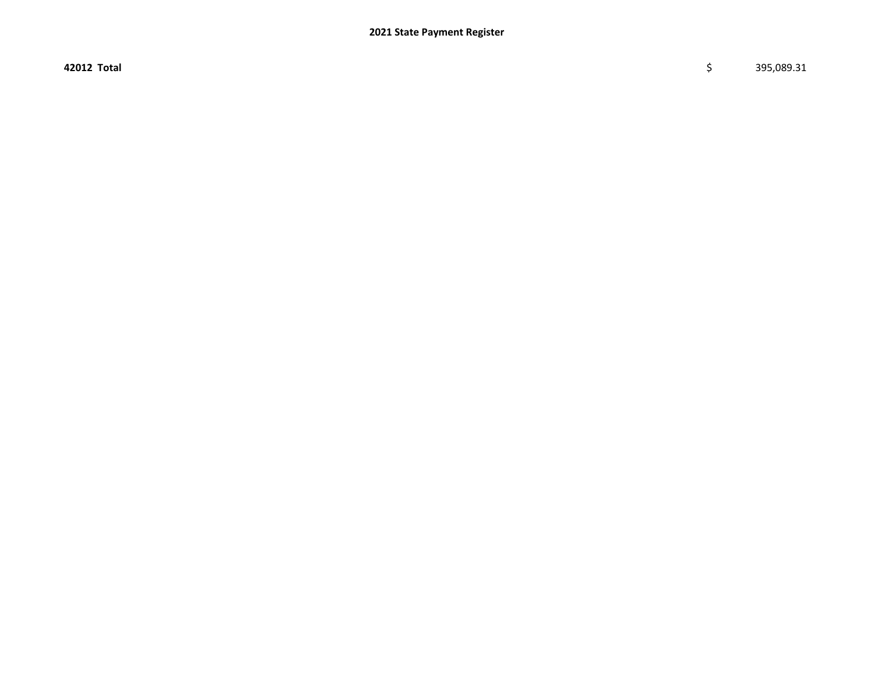42012 Total \$ 395,089.31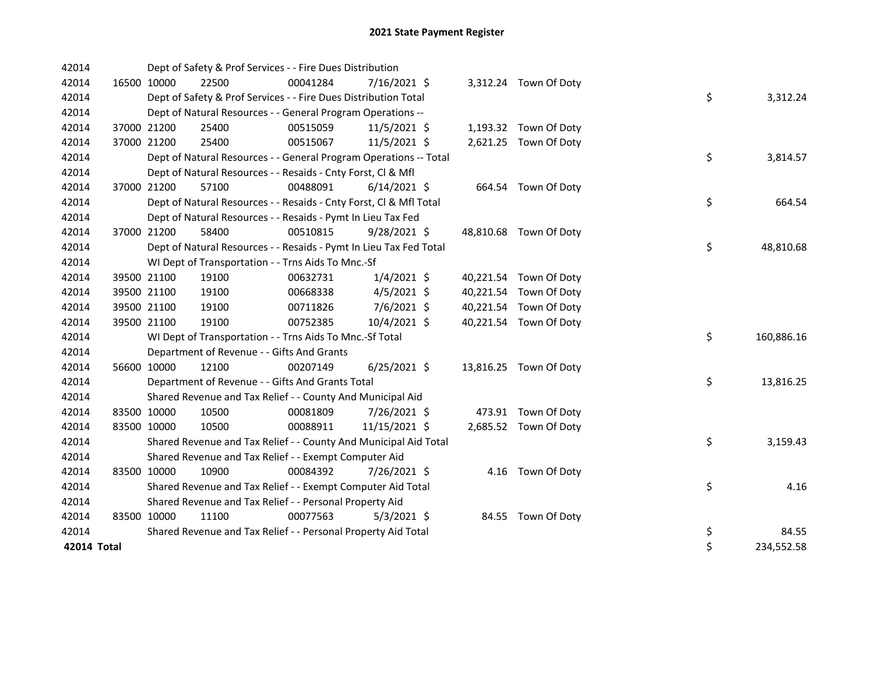| 42014       |             |             | Dept of Safety & Prof Services - - Fire Dues Distribution          |          |                |  |                        |    |            |
|-------------|-------------|-------------|--------------------------------------------------------------------|----------|----------------|--|------------------------|----|------------|
| 42014       | 16500 10000 |             | 22500                                                              | 00041284 | 7/16/2021 \$   |  | 3,312.24 Town Of Doty  |    |            |
| 42014       |             |             | Dept of Safety & Prof Services - - Fire Dues Distribution Total    |          |                |  |                        | \$ | 3,312.24   |
| 42014       |             |             | Dept of Natural Resources - - General Program Operations --        |          |                |  |                        |    |            |
| 42014       |             | 37000 21200 | 25400                                                              | 00515059 | 11/5/2021 \$   |  | 1,193.32 Town Of Doty  |    |            |
| 42014       |             | 37000 21200 | 25400                                                              | 00515067 | 11/5/2021 \$   |  | 2,621.25 Town Of Doty  |    |            |
| 42014       |             |             | Dept of Natural Resources - - General Program Operations -- Total  |          |                |  |                        | \$ | 3,814.57   |
| 42014       |             |             | Dept of Natural Resources - - Resaids - Cnty Forst, Cl & Mfl       |          |                |  |                        |    |            |
| 42014       | 37000 21200 |             | 57100                                                              | 00488091 | $6/14/2021$ \$ |  | 664.54 Town Of Doty    |    |            |
| 42014       |             |             | Dept of Natural Resources - - Resaids - Cnty Forst, Cl & Mfl Total |          |                |  |                        | \$ | 664.54     |
| 42014       |             |             | Dept of Natural Resources - - Resaids - Pymt In Lieu Tax Fed       |          |                |  |                        |    |            |
| 42014       |             | 37000 21200 | 58400                                                              | 00510815 | $9/28/2021$ \$ |  | 48,810.68 Town Of Doty |    |            |
| 42014       |             |             | Dept of Natural Resources - - Resaids - Pymt In Lieu Tax Fed Total |          |                |  |                        | \$ | 48,810.68  |
| 42014       |             |             | WI Dept of Transportation - - Trns Aids To Mnc.-Sf                 |          |                |  |                        |    |            |
| 42014       |             | 39500 21100 | 19100                                                              | 00632731 | $1/4/2021$ \$  |  | 40,221.54 Town Of Doty |    |            |
| 42014       |             | 39500 21100 | 19100                                                              | 00668338 | $4/5/2021$ \$  |  | 40,221.54 Town Of Doty |    |            |
| 42014       |             | 39500 21100 | 19100                                                              | 00711826 | 7/6/2021 \$    |  | 40,221.54 Town Of Doty |    |            |
| 42014       |             | 39500 21100 | 19100                                                              | 00752385 | 10/4/2021 \$   |  | 40,221.54 Town Of Doty |    |            |
| 42014       |             |             | WI Dept of Transportation - - Trns Aids To Mnc.-Sf Total           |          |                |  |                        | \$ | 160,886.16 |
| 42014       |             |             | Department of Revenue - - Gifts And Grants                         |          |                |  |                        |    |            |
| 42014       |             | 56600 10000 | 12100                                                              | 00207149 | $6/25/2021$ \$ |  | 13,816.25 Town Of Doty |    |            |
| 42014       |             |             | Department of Revenue - - Gifts And Grants Total                   |          |                |  |                        | \$ | 13,816.25  |
| 42014       |             |             | Shared Revenue and Tax Relief - - County And Municipal Aid         |          |                |  |                        |    |            |
| 42014       | 83500 10000 |             | 10500                                                              | 00081809 | 7/26/2021 \$   |  | 473.91 Town Of Doty    |    |            |
| 42014       |             | 83500 10000 | 10500                                                              | 00088911 | 11/15/2021 \$  |  | 2,685.52 Town Of Doty  |    |            |
| 42014       |             |             | Shared Revenue and Tax Relief - - County And Municipal Aid Total   |          |                |  |                        | \$ | 3,159.43   |
| 42014       |             |             | Shared Revenue and Tax Relief - - Exempt Computer Aid              |          |                |  |                        |    |            |
| 42014       |             | 83500 10000 | 10900                                                              | 00084392 | 7/26/2021 \$   |  | 4.16 Town Of Doty      |    |            |
| 42014       |             |             | Shared Revenue and Tax Relief - - Exempt Computer Aid Total        |          |                |  |                        | \$ | 4.16       |
| 42014       |             |             | Shared Revenue and Tax Relief - - Personal Property Aid            |          |                |  |                        |    |            |
| 42014       |             | 83500 10000 | 11100                                                              | 00077563 | $5/3/2021$ \$  |  | 84.55 Town Of Doty     |    |            |
| 42014       |             |             | Shared Revenue and Tax Relief - - Personal Property Aid Total      |          |                |  |                        | \$ | 84.55      |
| 42014 Total |             |             |                                                                    |          |                |  |                        | \$ | 234,552.58 |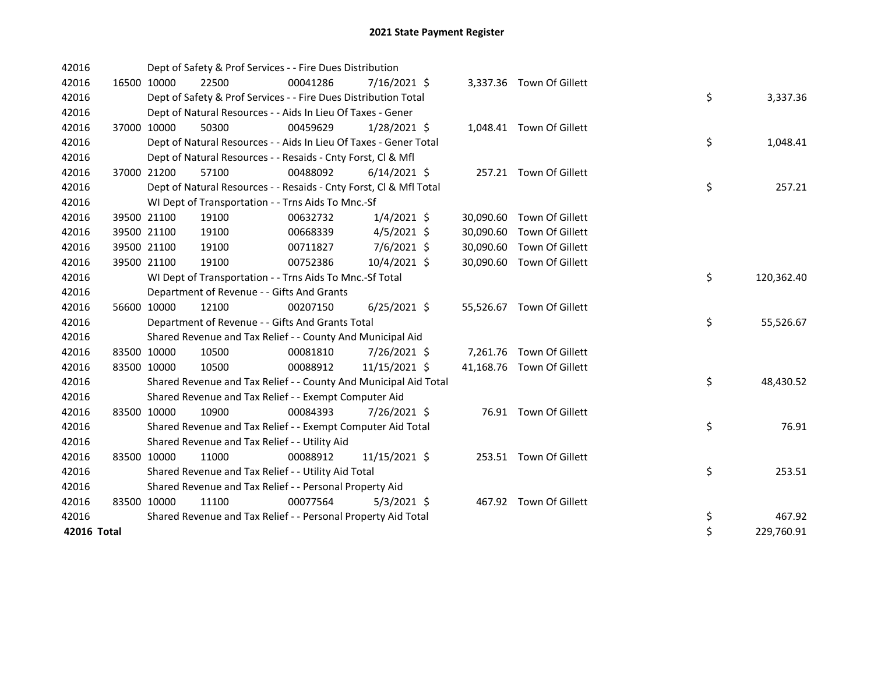| 42016       |             | Dept of Safety & Prof Services - - Fire Dues Distribution          |          |                |  |                           |    |            |
|-------------|-------------|--------------------------------------------------------------------|----------|----------------|--|---------------------------|----|------------|
| 42016       | 16500 10000 | 22500                                                              | 00041286 | 7/16/2021 \$   |  | 3,337.36 Town Of Gillett  |    |            |
| 42016       |             | Dept of Safety & Prof Services - - Fire Dues Distribution Total    |          |                |  |                           | \$ | 3,337.36   |
| 42016       |             | Dept of Natural Resources - - Aids In Lieu Of Taxes - Gener        |          |                |  |                           |    |            |
| 42016       | 37000 10000 | 50300                                                              | 00459629 | $1/28/2021$ \$ |  | 1,048.41 Town Of Gillett  |    |            |
| 42016       |             | Dept of Natural Resources - - Aids In Lieu Of Taxes - Gener Total  |          |                |  |                           | \$ | 1,048.41   |
| 42016       |             | Dept of Natural Resources - - Resaids - Cnty Forst, Cl & Mfl       |          |                |  |                           |    |            |
| 42016       | 37000 21200 | 57100                                                              | 00488092 | $6/14/2021$ \$ |  | 257.21 Town Of Gillett    |    |            |
| 42016       |             | Dept of Natural Resources - - Resaids - Cnty Forst, CI & Mfl Total |          |                |  |                           | \$ | 257.21     |
| 42016       |             | WI Dept of Transportation - - Trns Aids To Mnc.-Sf                 |          |                |  |                           |    |            |
| 42016       | 39500 21100 | 19100                                                              | 00632732 | $1/4/2021$ \$  |  | 30,090.60 Town Of Gillett |    |            |
| 42016       | 39500 21100 | 19100                                                              | 00668339 | $4/5/2021$ \$  |  | 30,090.60 Town Of Gillett |    |            |
| 42016       | 39500 21100 | 19100                                                              | 00711827 | $7/6/2021$ \$  |  | 30,090.60 Town Of Gillett |    |            |
| 42016       | 39500 21100 | 19100                                                              | 00752386 | 10/4/2021 \$   |  | 30,090.60 Town Of Gillett |    |            |
| 42016       |             | WI Dept of Transportation - - Trns Aids To Mnc.-Sf Total           |          |                |  |                           | \$ | 120,362.40 |
| 42016       |             | Department of Revenue - - Gifts And Grants                         |          |                |  |                           |    |            |
| 42016       | 56600 10000 | 12100                                                              | 00207150 | $6/25/2021$ \$ |  | 55,526.67 Town Of Gillett |    |            |
| 42016       |             | Department of Revenue - - Gifts And Grants Total                   |          |                |  |                           | \$ | 55,526.67  |
| 42016       |             | Shared Revenue and Tax Relief - - County And Municipal Aid         |          |                |  |                           |    |            |
| 42016       | 83500 10000 | 10500                                                              | 00081810 | 7/26/2021 \$   |  | 7,261.76 Town Of Gillett  |    |            |
| 42016       | 83500 10000 | 10500                                                              | 00088912 | 11/15/2021 \$  |  | 41,168.76 Town Of Gillett |    |            |
| 42016       |             | Shared Revenue and Tax Relief - - County And Municipal Aid Total   |          |                |  |                           | \$ | 48,430.52  |
| 42016       |             | Shared Revenue and Tax Relief - - Exempt Computer Aid              |          |                |  |                           |    |            |
| 42016       | 83500 10000 | 10900                                                              | 00084393 | 7/26/2021 \$   |  | 76.91 Town Of Gillett     |    |            |
| 42016       |             | Shared Revenue and Tax Relief - - Exempt Computer Aid Total        |          |                |  |                           | \$ | 76.91      |
| 42016       |             | Shared Revenue and Tax Relief - - Utility Aid                      |          |                |  |                           |    |            |
| 42016       | 83500 10000 | 11000                                                              | 00088912 | 11/15/2021 \$  |  | 253.51 Town Of Gillett    |    |            |
| 42016       |             | Shared Revenue and Tax Relief - - Utility Aid Total                |          |                |  |                           | \$ | 253.51     |
| 42016       |             | Shared Revenue and Tax Relief - - Personal Property Aid            |          |                |  |                           |    |            |
| 42016       | 83500 10000 | 11100                                                              | 00077564 | $5/3/2021$ \$  |  | 467.92 Town Of Gillett    |    |            |
| 42016       |             | Shared Revenue and Tax Relief - - Personal Property Aid Total      |          |                |  |                           | \$ | 467.92     |
| 42016 Total |             |                                                                    |          |                |  |                           | \$ | 229,760.91 |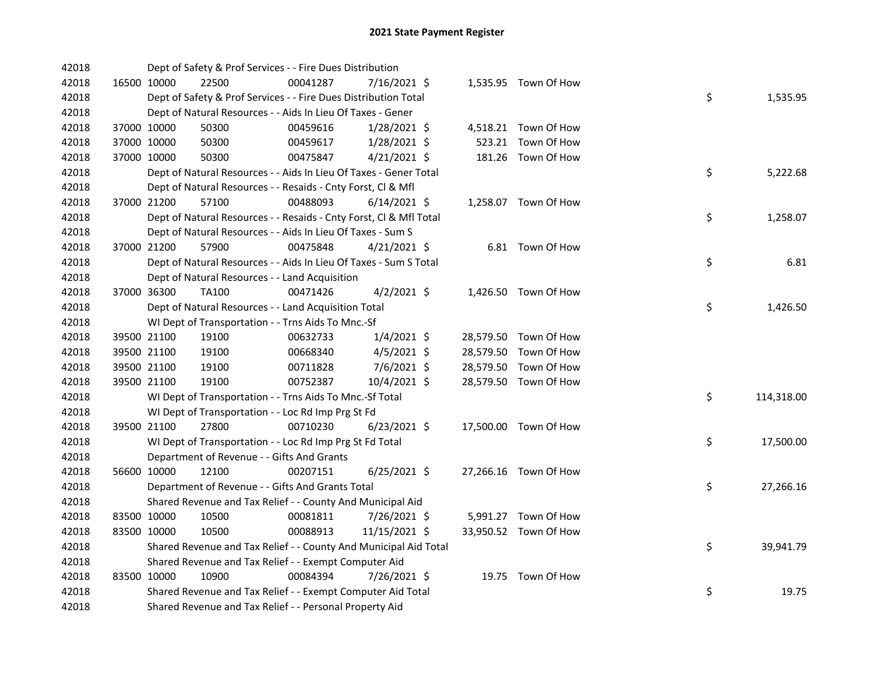| 42018 |             | Dept of Safety & Prof Services - - Fire Dues Distribution          |          |                |  |                       |    |            |
|-------|-------------|--------------------------------------------------------------------|----------|----------------|--|-----------------------|----|------------|
| 42018 | 16500 10000 | 22500                                                              | 00041287 | 7/16/2021 \$   |  | 1,535.95 Town Of How  |    |            |
| 42018 |             | Dept of Safety & Prof Services - - Fire Dues Distribution Total    |          |                |  |                       | \$ | 1,535.95   |
| 42018 |             | Dept of Natural Resources - - Aids In Lieu Of Taxes - Gener        |          |                |  |                       |    |            |
| 42018 | 37000 10000 | 50300                                                              | 00459616 | 1/28/2021 \$   |  | 4,518.21 Town Of How  |    |            |
| 42018 | 37000 10000 | 50300                                                              | 00459617 | 1/28/2021 \$   |  | 523.21 Town Of How    |    |            |
| 42018 | 37000 10000 | 50300                                                              | 00475847 | $4/21/2021$ \$ |  | 181.26 Town Of How    |    |            |
| 42018 |             | Dept of Natural Resources - - Aids In Lieu Of Taxes - Gener Total  |          |                |  |                       | \$ | 5,222.68   |
| 42018 |             | Dept of Natural Resources - - Resaids - Cnty Forst, Cl & Mfl       |          |                |  |                       |    |            |
| 42018 | 37000 21200 | 57100                                                              | 00488093 | $6/14/2021$ \$ |  | 1,258.07 Town Of How  |    |            |
| 42018 |             | Dept of Natural Resources - - Resaids - Cnty Forst, CI & Mfl Total |          |                |  |                       | \$ | 1,258.07   |
| 42018 |             | Dept of Natural Resources - - Aids In Lieu Of Taxes - Sum S        |          |                |  |                       |    |            |
| 42018 | 37000 21200 | 57900                                                              | 00475848 | $4/21/2021$ \$ |  | 6.81 Town Of How      |    |            |
| 42018 |             | Dept of Natural Resources - - Aids In Lieu Of Taxes - Sum S Total  |          |                |  |                       | \$ | 6.81       |
| 42018 |             | Dept of Natural Resources - - Land Acquisition                     |          |                |  |                       |    |            |
| 42018 | 37000 36300 | <b>TA100</b>                                                       | 00471426 | $4/2/2021$ \$  |  | 1,426.50 Town Of How  |    |            |
| 42018 |             | Dept of Natural Resources - - Land Acquisition Total               |          |                |  |                       | \$ | 1,426.50   |
| 42018 |             | WI Dept of Transportation - - Trns Aids To Mnc.-Sf                 |          |                |  |                       |    |            |
| 42018 | 39500 21100 | 19100                                                              | 00632733 | $1/4/2021$ \$  |  | 28,579.50 Town Of How |    |            |
| 42018 | 39500 21100 | 19100                                                              | 00668340 | 4/5/2021 \$    |  | 28,579.50 Town Of How |    |            |
| 42018 | 39500 21100 | 19100                                                              | 00711828 | 7/6/2021 \$    |  | 28,579.50 Town Of How |    |            |
| 42018 | 39500 21100 | 19100                                                              | 00752387 | 10/4/2021 \$   |  | 28,579.50 Town Of How |    |            |
| 42018 |             | WI Dept of Transportation - - Trns Aids To Mnc.-Sf Total           |          |                |  |                       | \$ | 114,318.00 |
| 42018 |             | WI Dept of Transportation - - Loc Rd Imp Prg St Fd                 |          |                |  |                       |    |            |
| 42018 | 39500 21100 | 27800                                                              | 00710230 | $6/23/2021$ \$ |  | 17,500.00 Town Of How |    |            |
| 42018 |             | WI Dept of Transportation - - Loc Rd Imp Prg St Fd Total           |          |                |  |                       | \$ | 17,500.00  |
| 42018 |             | Department of Revenue - - Gifts And Grants                         |          |                |  |                       |    |            |
| 42018 | 56600 10000 | 12100                                                              | 00207151 | $6/25/2021$ \$ |  | 27,266.16 Town Of How |    |            |
| 42018 |             | Department of Revenue - - Gifts And Grants Total                   |          |                |  |                       | \$ | 27,266.16  |
| 42018 |             | Shared Revenue and Tax Relief - - County And Municipal Aid         |          |                |  |                       |    |            |
| 42018 | 83500 10000 | 10500                                                              | 00081811 | 7/26/2021 \$   |  | 5,991.27 Town Of How  |    |            |
| 42018 | 83500 10000 | 10500                                                              | 00088913 | 11/15/2021 \$  |  | 33,950.52 Town Of How |    |            |
| 42018 |             | Shared Revenue and Tax Relief - - County And Municipal Aid Total   |          |                |  |                       | \$ | 39,941.79  |
| 42018 |             | Shared Revenue and Tax Relief - - Exempt Computer Aid              |          |                |  |                       |    |            |
| 42018 | 83500 10000 | 10900                                                              | 00084394 | 7/26/2021 \$   |  | 19.75 Town Of How     |    |            |
| 42018 |             | Shared Revenue and Tax Relief - - Exempt Computer Aid Total        |          |                |  |                       | \$ | 19.75      |
| 42018 |             | Shared Revenue and Tax Relief - - Personal Property Aid            |          |                |  |                       |    |            |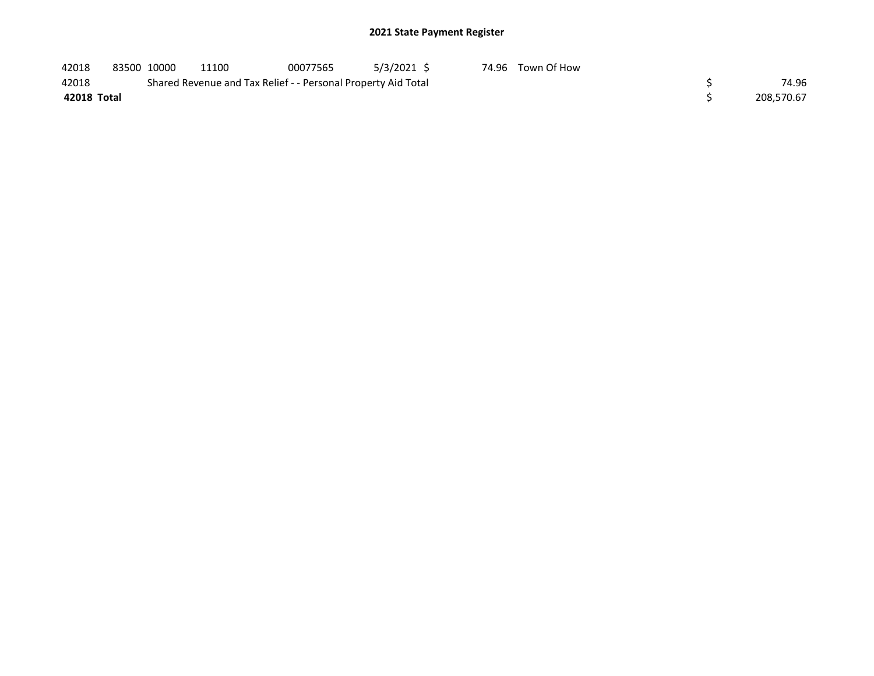| 42018       | 83500 10000 | 11100                                                         | 00077565 | 5/3/2021 \$ | 74.96 Town Of How |            |
|-------------|-------------|---------------------------------------------------------------|----------|-------------|-------------------|------------|
| 42018       |             | Shared Revenue and Tax Relief - - Personal Property Aid Total |          |             |                   | 74.96      |
| 42018 Total |             |                                                               |          |             |                   | 208.570.67 |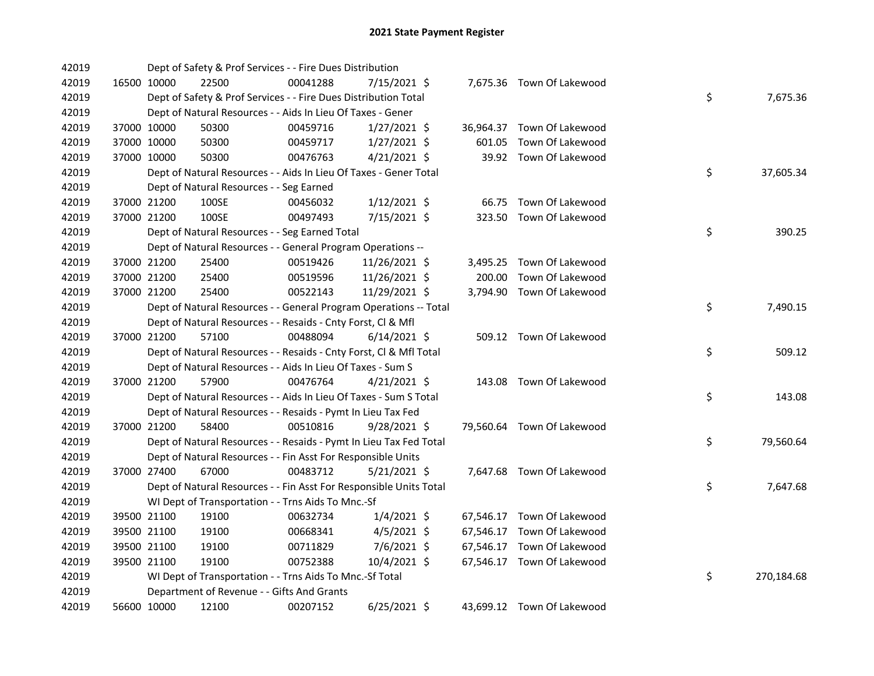| 42019 |             | Dept of Safety & Prof Services - - Fire Dues Distribution          |          |                |        |                            |    |            |
|-------|-------------|--------------------------------------------------------------------|----------|----------------|--------|----------------------------|----|------------|
| 42019 | 16500 10000 | 22500                                                              | 00041288 | 7/15/2021 \$   |        | 7,675.36 Town Of Lakewood  |    |            |
| 42019 |             | Dept of Safety & Prof Services - - Fire Dues Distribution Total    |          |                |        |                            | \$ | 7,675.36   |
| 42019 |             | Dept of Natural Resources - - Aids In Lieu Of Taxes - Gener        |          |                |        |                            |    |            |
| 42019 | 37000 10000 | 50300                                                              | 00459716 | $1/27/2021$ \$ |        | 36,964.37 Town Of Lakewood |    |            |
| 42019 | 37000 10000 | 50300                                                              | 00459717 | $1/27/2021$ \$ | 601.05 | Town Of Lakewood           |    |            |
| 42019 | 37000 10000 | 50300                                                              | 00476763 | $4/21/2021$ \$ |        | 39.92 Town Of Lakewood     |    |            |
| 42019 |             | Dept of Natural Resources - - Aids In Lieu Of Taxes - Gener Total  |          |                |        |                            | \$ | 37,605.34  |
| 42019 |             | Dept of Natural Resources - - Seg Earned                           |          |                |        |                            |    |            |
| 42019 | 37000 21200 | 100SE                                                              | 00456032 | $1/12/2021$ \$ |        | 66.75 Town Of Lakewood     |    |            |
| 42019 | 37000 21200 | 100SE                                                              | 00497493 | 7/15/2021 \$   |        | 323.50 Town Of Lakewood    |    |            |
| 42019 |             | Dept of Natural Resources - - Seg Earned Total                     |          |                |        |                            | \$ | 390.25     |
| 42019 |             | Dept of Natural Resources - - General Program Operations --        |          |                |        |                            |    |            |
| 42019 | 37000 21200 | 25400                                                              | 00519426 | 11/26/2021 \$  |        | 3,495.25 Town Of Lakewood  |    |            |
| 42019 | 37000 21200 | 25400                                                              | 00519596 | 11/26/2021 \$  | 200.00 | Town Of Lakewood           |    |            |
| 42019 | 37000 21200 | 25400                                                              | 00522143 | 11/29/2021 \$  |        | 3,794.90 Town Of Lakewood  |    |            |
| 42019 |             | Dept of Natural Resources - - General Program Operations -- Total  |          |                |        |                            | \$ | 7,490.15   |
| 42019 |             | Dept of Natural Resources - - Resaids - Cnty Forst, Cl & Mfl       |          |                |        |                            |    |            |
| 42019 | 37000 21200 | 57100                                                              | 00488094 | $6/14/2021$ \$ |        | 509.12 Town Of Lakewood    |    |            |
| 42019 |             | Dept of Natural Resources - - Resaids - Cnty Forst, CI & Mfl Total |          |                |        |                            | \$ | 509.12     |
| 42019 |             | Dept of Natural Resources - - Aids In Lieu Of Taxes - Sum S        |          |                |        |                            |    |            |
| 42019 | 37000 21200 | 57900                                                              | 00476764 | $4/21/2021$ \$ |        | 143.08 Town Of Lakewood    |    |            |
| 42019 |             | Dept of Natural Resources - - Aids In Lieu Of Taxes - Sum S Total  |          |                |        |                            | \$ | 143.08     |
| 42019 |             | Dept of Natural Resources - - Resaids - Pymt In Lieu Tax Fed       |          |                |        |                            |    |            |
| 42019 | 37000 21200 | 58400                                                              | 00510816 | 9/28/2021 \$   |        | 79,560.64 Town Of Lakewood |    |            |
| 42019 |             | Dept of Natural Resources - - Resaids - Pymt In Lieu Tax Fed Total |          |                |        |                            | \$ | 79,560.64  |
| 42019 |             | Dept of Natural Resources - - Fin Asst For Responsible Units       |          |                |        |                            |    |            |
| 42019 | 37000 27400 | 67000                                                              | 00483712 | $5/21/2021$ \$ |        | 7,647.68 Town Of Lakewood  |    |            |
| 42019 |             | Dept of Natural Resources - - Fin Asst For Responsible Units Total |          |                |        |                            | \$ | 7,647.68   |
| 42019 |             | WI Dept of Transportation - - Trns Aids To Mnc.-Sf                 |          |                |        |                            |    |            |
| 42019 | 39500 21100 | 19100                                                              | 00632734 | $1/4/2021$ \$  |        | 67,546.17 Town Of Lakewood |    |            |
| 42019 | 39500 21100 | 19100                                                              | 00668341 | $4/5/2021$ \$  |        | 67,546.17 Town Of Lakewood |    |            |
| 42019 | 39500 21100 | 19100                                                              | 00711829 | 7/6/2021 \$    |        | 67,546.17 Town Of Lakewood |    |            |
| 42019 | 39500 21100 | 19100                                                              | 00752388 | 10/4/2021 \$   |        | 67,546.17 Town Of Lakewood |    |            |
| 42019 |             | WI Dept of Transportation - - Trns Aids To Mnc.-Sf Total           |          |                |        |                            | \$ | 270,184.68 |
| 42019 |             | Department of Revenue - - Gifts And Grants                         |          |                |        |                            |    |            |
| 42019 | 56600 10000 | 12100                                                              | 00207152 | $6/25/2021$ \$ |        | 43,699.12 Town Of Lakewood |    |            |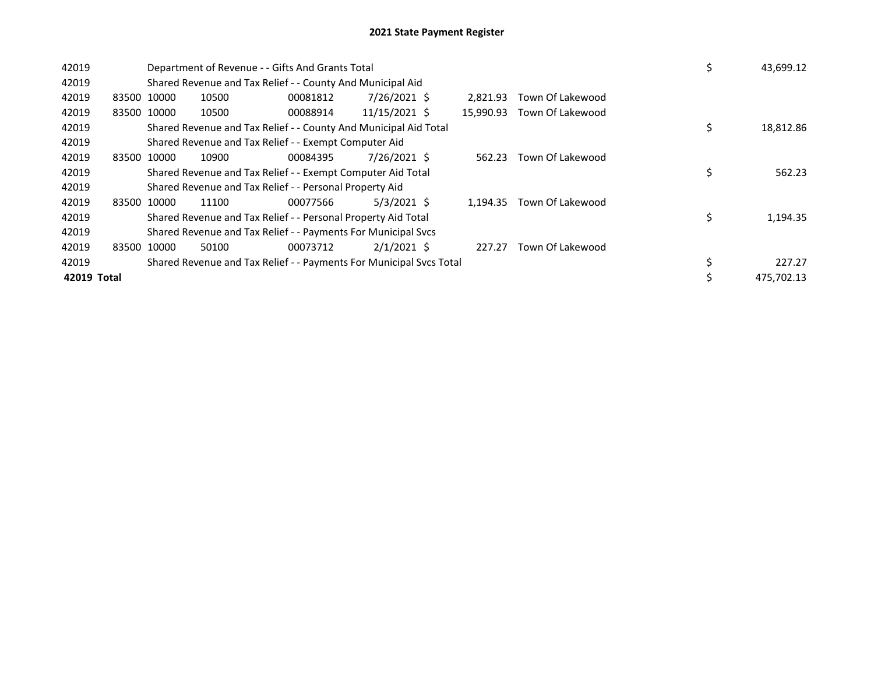| 42019       |       |             |       | Department of Revenue - - Gifts And Grants Total                    |               | \$<br>43,699.12 |                  |                 |
|-------------|-------|-------------|-------|---------------------------------------------------------------------|---------------|-----------------|------------------|-----------------|
| 42019       |       |             |       | Shared Revenue and Tax Relief - - County And Municipal Aid          |               |                 |                  |                 |
| 42019       |       | 83500 10000 | 10500 | 00081812                                                            | 7/26/2021 \$  | 2,821.93        | Town Of Lakewood |                 |
| 42019       |       | 83500 10000 | 10500 | 00088914                                                            | 11/15/2021 \$ | 15,990.93       | Town Of Lakewood |                 |
| 42019       |       |             |       | Shared Revenue and Tax Relief - - County And Municipal Aid Total    |               |                 |                  | \$<br>18,812.86 |
| 42019       |       |             |       | Shared Revenue and Tax Relief - - Exempt Computer Aid               |               |                 |                  |                 |
| 42019       | 83500 | 10000       | 10900 | 00084395                                                            | 7/26/2021 \$  | 562.23          | Town Of Lakewood |                 |
| 42019       |       |             |       | Shared Revenue and Tax Relief - - Exempt Computer Aid Total         |               |                 |                  | \$<br>562.23    |
| 42019       |       |             |       | Shared Revenue and Tax Relief - - Personal Property Aid             |               |                 |                  |                 |
| 42019       |       | 83500 10000 | 11100 | 00077566                                                            | $5/3/2021$ \$ | 1.194.35        | Town Of Lakewood |                 |
| 42019       |       |             |       | Shared Revenue and Tax Relief - - Personal Property Aid Total       |               |                 |                  | \$<br>1,194.35  |
| 42019       |       |             |       | Shared Revenue and Tax Relief - - Payments For Municipal Svcs       |               |                 |                  |                 |
| 42019       | 83500 | 10000       | 50100 | 00073712                                                            | $2/1/2021$ \$ | 227.27          | Town Of Lakewood |                 |
| 42019       |       |             |       | Shared Revenue and Tax Relief - - Payments For Municipal Svcs Total |               |                 |                  | \$<br>227.27    |
| 42019 Total |       |             |       |                                                                     |               |                 |                  | 475.702.13      |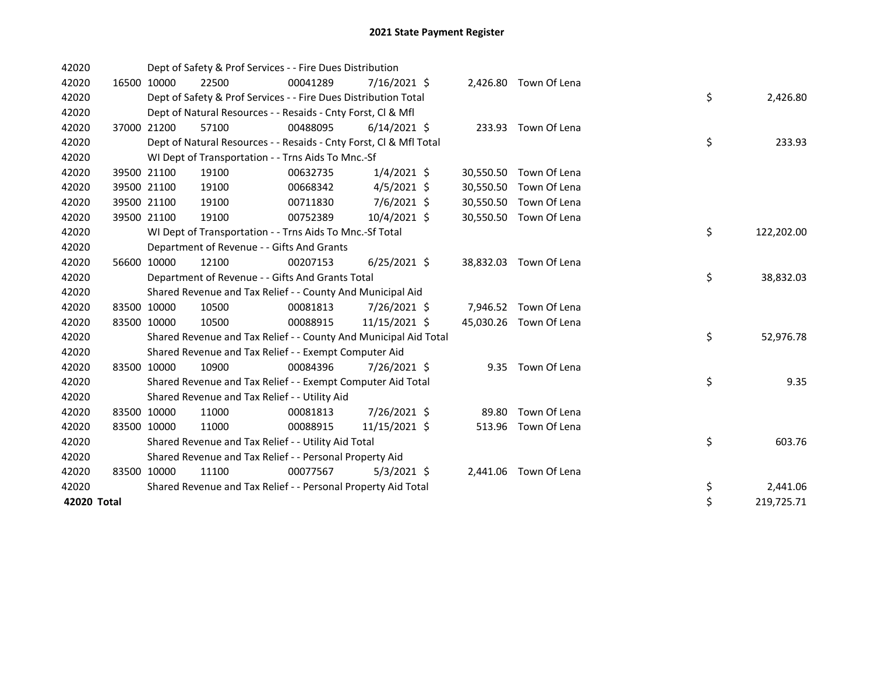| 42020       |             |             | Dept of Safety & Prof Services - - Fire Dues Distribution          |          |                |           |                        |    |            |
|-------------|-------------|-------------|--------------------------------------------------------------------|----------|----------------|-----------|------------------------|----|------------|
| 42020       |             | 16500 10000 | 22500                                                              | 00041289 | $7/16/2021$ \$ |           | 2,426.80 Town Of Lena  |    |            |
| 42020       |             |             | Dept of Safety & Prof Services - - Fire Dues Distribution Total    |          |                |           |                        | \$ | 2,426.80   |
| 42020       |             |             | Dept of Natural Resources - - Resaids - Cnty Forst, Cl & Mfl       |          |                |           |                        |    |            |
| 42020       | 37000 21200 |             | 57100                                                              | 00488095 | $6/14/2021$ \$ |           | 233.93 Town Of Lena    |    |            |
| 42020       |             |             | Dept of Natural Resources - - Resaids - Cnty Forst, CI & Mfl Total |          |                |           |                        | \$ | 233.93     |
| 42020       |             |             | WI Dept of Transportation - - Trns Aids To Mnc.-Sf                 |          |                |           |                        |    |            |
| 42020       |             | 39500 21100 | 19100                                                              | 00632735 | $1/4/2021$ \$  |           | 30,550.50 Town Of Lena |    |            |
| 42020       |             | 39500 21100 | 19100                                                              | 00668342 | $4/5/2021$ \$  | 30,550.50 | Town Of Lena           |    |            |
| 42020       |             | 39500 21100 | 19100                                                              | 00711830 | 7/6/2021 \$    | 30,550.50 | Town Of Lena           |    |            |
| 42020       |             | 39500 21100 | 19100                                                              | 00752389 | $10/4/2021$ \$ | 30,550.50 | Town Of Lena           |    |            |
| 42020       |             |             | WI Dept of Transportation - - Trns Aids To Mnc.-Sf Total           |          |                |           |                        | \$ | 122,202.00 |
| 42020       |             |             | Department of Revenue - - Gifts And Grants                         |          |                |           |                        |    |            |
| 42020       |             | 56600 10000 | 12100                                                              | 00207153 | $6/25/2021$ \$ |           | 38,832.03 Town Of Lena |    |            |
| 42020       |             |             | Department of Revenue - - Gifts And Grants Total                   |          |                |           |                        | \$ | 38,832.03  |
| 42020       |             |             | Shared Revenue and Tax Relief - - County And Municipal Aid         |          |                |           |                        |    |            |
| 42020       |             | 83500 10000 | 10500                                                              | 00081813 | 7/26/2021 \$   |           | 7,946.52 Town Of Lena  |    |            |
| 42020       |             | 83500 10000 | 10500                                                              | 00088915 | 11/15/2021 \$  |           | 45,030.26 Town Of Lena |    |            |
| 42020       |             |             | Shared Revenue and Tax Relief - - County And Municipal Aid Total   |          |                |           |                        | \$ | 52,976.78  |
| 42020       |             |             | Shared Revenue and Tax Relief - - Exempt Computer Aid              |          |                |           |                        |    |            |
| 42020       |             | 83500 10000 | 10900                                                              | 00084396 | 7/26/2021 \$   |           | 9.35 Town Of Lena      |    |            |
| 42020       |             |             | Shared Revenue and Tax Relief - - Exempt Computer Aid Total        |          |                |           |                        | \$ | 9.35       |
| 42020       |             |             | Shared Revenue and Tax Relief - - Utility Aid                      |          |                |           |                        |    |            |
| 42020       | 83500 10000 |             | 11000                                                              | 00081813 | 7/26/2021 \$   |           | 89.80 Town Of Lena     |    |            |
| 42020       | 83500 10000 |             | 11000                                                              | 00088915 | 11/15/2021 \$  |           | 513.96 Town Of Lena    |    |            |
| 42020       |             |             | Shared Revenue and Tax Relief - - Utility Aid Total                |          |                |           |                        | \$ | 603.76     |
| 42020       |             |             | Shared Revenue and Tax Relief - - Personal Property Aid            |          |                |           |                        |    |            |
| 42020       |             | 83500 10000 | 11100                                                              | 00077567 | $5/3/2021$ \$  |           | 2,441.06 Town Of Lena  |    |            |
| 42020       |             |             | Shared Revenue and Tax Relief - - Personal Property Aid Total      |          |                |           |                        | \$ | 2,441.06   |
| 42020 Total |             |             |                                                                    |          |                |           |                        | \$ | 219,725.71 |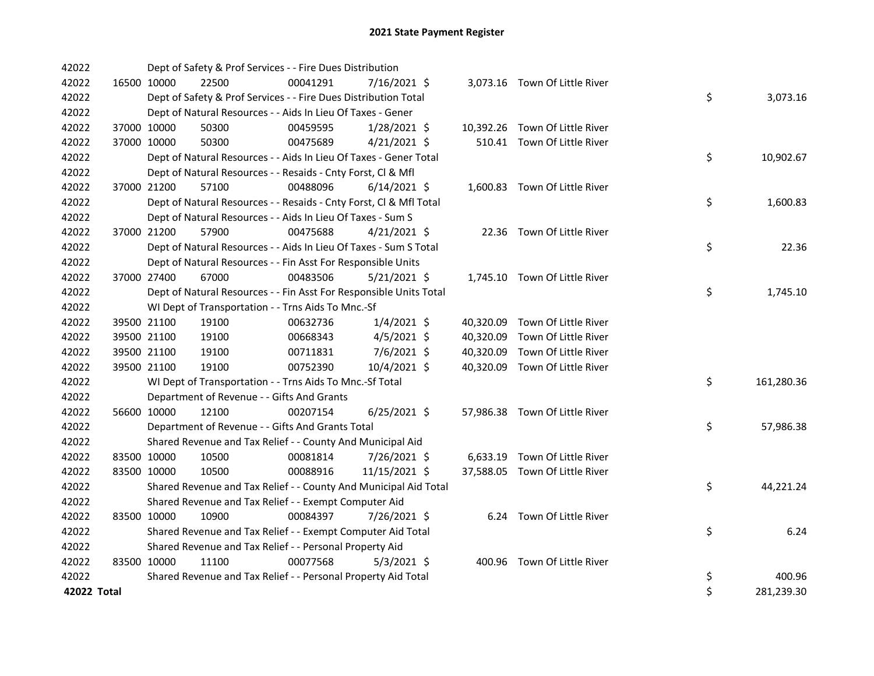| 42022       |             |             | Dept of Safety & Prof Services - - Fire Dues Distribution          |          |                |  |                                |    |            |
|-------------|-------------|-------------|--------------------------------------------------------------------|----------|----------------|--|--------------------------------|----|------------|
| 42022       |             | 16500 10000 | 22500                                                              | 00041291 | 7/16/2021 \$   |  | 3,073.16 Town Of Little River  |    |            |
| 42022       |             |             | Dept of Safety & Prof Services - - Fire Dues Distribution Total    |          |                |  |                                | \$ | 3,073.16   |
| 42022       |             |             | Dept of Natural Resources - - Aids In Lieu Of Taxes - Gener        |          |                |  |                                |    |            |
| 42022       |             | 37000 10000 | 50300                                                              | 00459595 | 1/28/2021 \$   |  | 10,392.26 Town Of Little River |    |            |
| 42022       |             | 37000 10000 | 50300                                                              | 00475689 | $4/21/2021$ \$ |  | 510.41 Town Of Little River    |    |            |
| 42022       |             |             | Dept of Natural Resources - - Aids In Lieu Of Taxes - Gener Total  |          |                |  |                                | \$ | 10,902.67  |
| 42022       |             |             | Dept of Natural Resources - - Resaids - Cnty Forst, Cl & Mfl       |          |                |  |                                |    |            |
| 42022       |             | 37000 21200 | 57100                                                              | 00488096 | $6/14/2021$ \$ |  | 1,600.83 Town Of Little River  |    |            |
| 42022       |             |             | Dept of Natural Resources - - Resaids - Cnty Forst, Cl & Mfl Total |          |                |  |                                | \$ | 1,600.83   |
| 42022       |             |             | Dept of Natural Resources - - Aids In Lieu Of Taxes - Sum S        |          |                |  |                                |    |            |
| 42022       |             | 37000 21200 | 57900                                                              | 00475688 | $4/21/2021$ \$ |  | 22.36 Town Of Little River     |    |            |
| 42022       |             |             | Dept of Natural Resources - - Aids In Lieu Of Taxes - Sum S Total  |          |                |  |                                | \$ | 22.36      |
| 42022       |             |             | Dept of Natural Resources - - Fin Asst For Responsible Units       |          |                |  |                                |    |            |
| 42022       | 37000 27400 |             | 67000                                                              | 00483506 | $5/21/2021$ \$ |  | 1,745.10 Town Of Little River  |    |            |
| 42022       |             |             | Dept of Natural Resources - - Fin Asst For Responsible Units Total |          |                |  |                                | \$ | 1,745.10   |
| 42022       |             |             | WI Dept of Transportation - - Trns Aids To Mnc.-Sf                 |          |                |  |                                |    |            |
| 42022       |             | 39500 21100 | 19100                                                              | 00632736 | $1/4/2021$ \$  |  | 40,320.09 Town Of Little River |    |            |
| 42022       |             | 39500 21100 | 19100                                                              | 00668343 | $4/5/2021$ \$  |  | 40,320.09 Town Of Little River |    |            |
| 42022       |             | 39500 21100 | 19100                                                              | 00711831 | 7/6/2021 \$    |  | 40,320.09 Town Of Little River |    |            |
| 42022       |             | 39500 21100 | 19100                                                              | 00752390 | 10/4/2021 \$   |  | 40,320.09 Town Of Little River |    |            |
| 42022       |             |             | WI Dept of Transportation - - Trns Aids To Mnc.-Sf Total           |          |                |  |                                | \$ | 161,280.36 |
| 42022       |             |             | Department of Revenue - - Gifts And Grants                         |          |                |  |                                |    |            |
| 42022       |             | 56600 10000 | 12100                                                              | 00207154 | $6/25/2021$ \$ |  | 57,986.38 Town Of Little River |    |            |
| 42022       |             |             | Department of Revenue - - Gifts And Grants Total                   |          |                |  |                                | \$ | 57,986.38  |
| 42022       |             |             | Shared Revenue and Tax Relief - - County And Municipal Aid         |          |                |  |                                |    |            |
| 42022       |             | 83500 10000 | 10500                                                              | 00081814 | 7/26/2021 \$   |  | 6,633.19 Town Of Little River  |    |            |
| 42022       |             | 83500 10000 | 10500                                                              | 00088916 | 11/15/2021 \$  |  | 37,588.05 Town Of Little River |    |            |
| 42022       |             |             | Shared Revenue and Tax Relief - - County And Municipal Aid Total   |          |                |  |                                | \$ | 44,221.24  |
| 42022       |             |             | Shared Revenue and Tax Relief - - Exempt Computer Aid              |          |                |  |                                |    |            |
| 42022       |             | 83500 10000 | 10900                                                              | 00084397 | 7/26/2021 \$   |  | 6.24 Town Of Little River      |    |            |
| 42022       |             |             | Shared Revenue and Tax Relief - - Exempt Computer Aid Total        |          |                |  |                                | \$ | 6.24       |
| 42022       |             |             | Shared Revenue and Tax Relief - - Personal Property Aid            |          |                |  |                                |    |            |
| 42022       |             | 83500 10000 | 11100                                                              | 00077568 | $5/3/2021$ \$  |  | 400.96 Town Of Little River    |    |            |
| 42022       |             |             | Shared Revenue and Tax Relief - - Personal Property Aid Total      |          |                |  |                                | \$ | 400.96     |
| 42022 Total |             |             |                                                                    |          |                |  |                                | \$ | 281,239.30 |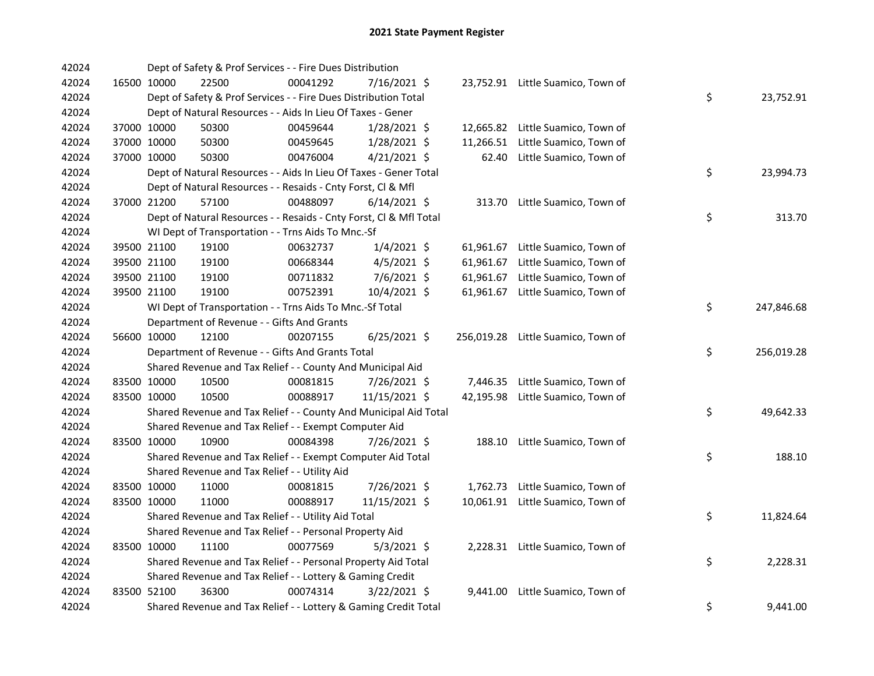| 42024 |             | Dept of Safety & Prof Services - - Fire Dues Distribution          |          |                |           |                                    |    |            |
|-------|-------------|--------------------------------------------------------------------|----------|----------------|-----------|------------------------------------|----|------------|
| 42024 | 16500 10000 | 22500                                                              | 00041292 | 7/16/2021 \$   |           | 23,752.91 Little Suamico, Town of  |    |            |
| 42024 |             | Dept of Safety & Prof Services - - Fire Dues Distribution Total    |          |                |           |                                    | \$ | 23,752.91  |
| 42024 |             | Dept of Natural Resources - - Aids In Lieu Of Taxes - Gener        |          |                |           |                                    |    |            |
| 42024 | 37000 10000 | 50300                                                              | 00459644 | $1/28/2021$ \$ | 12,665.82 | Little Suamico, Town of            |    |            |
| 42024 | 37000 10000 | 50300                                                              | 00459645 | 1/28/2021 \$   | 11,266.51 | Little Suamico, Town of            |    |            |
| 42024 | 37000 10000 | 50300                                                              | 00476004 | $4/21/2021$ \$ | 62.40     | Little Suamico, Town of            |    |            |
| 42024 |             | Dept of Natural Resources - - Aids In Lieu Of Taxes - Gener Total  |          |                |           |                                    | \$ | 23,994.73  |
| 42024 |             | Dept of Natural Resources - - Resaids - Cnty Forst, Cl & Mfl       |          |                |           |                                    |    |            |
| 42024 | 37000 21200 | 57100                                                              | 00488097 | $6/14/2021$ \$ |           | 313.70 Little Suamico, Town of     |    |            |
| 42024 |             | Dept of Natural Resources - - Resaids - Cnty Forst, Cl & Mfl Total |          |                |           |                                    | \$ | 313.70     |
| 42024 |             | WI Dept of Transportation - - Trns Aids To Mnc.-Sf                 |          |                |           |                                    |    |            |
| 42024 | 39500 21100 | 19100                                                              | 00632737 | $1/4/2021$ \$  | 61,961.67 | Little Suamico, Town of            |    |            |
| 42024 | 39500 21100 | 19100                                                              | 00668344 | 4/5/2021 \$    | 61,961.67 | Little Suamico, Town of            |    |            |
| 42024 | 39500 21100 | 19100                                                              | 00711832 | 7/6/2021 \$    | 61,961.67 | Little Suamico, Town of            |    |            |
| 42024 | 39500 21100 | 19100                                                              | 00752391 | 10/4/2021 \$   | 61,961.67 | Little Suamico, Town of            |    |            |
| 42024 |             | WI Dept of Transportation - - Trns Aids To Mnc.-Sf Total           |          |                |           |                                    | \$ | 247,846.68 |
| 42024 |             | Department of Revenue - - Gifts And Grants                         |          |                |           |                                    |    |            |
| 42024 | 56600 10000 | 12100                                                              | 00207155 | $6/25/2021$ \$ |           | 256,019.28 Little Suamico, Town of |    |            |
| 42024 |             | Department of Revenue - - Gifts And Grants Total                   |          |                |           |                                    | \$ | 256,019.28 |
| 42024 |             | Shared Revenue and Tax Relief - - County And Municipal Aid         |          |                |           |                                    |    |            |
| 42024 | 83500 10000 | 10500                                                              | 00081815 | 7/26/2021 \$   |           | 7,446.35 Little Suamico, Town of   |    |            |
| 42024 | 83500 10000 | 10500                                                              | 00088917 | 11/15/2021 \$  | 42,195.98 | Little Suamico, Town of            |    |            |
| 42024 |             | Shared Revenue and Tax Relief - - County And Municipal Aid Total   |          |                |           |                                    | \$ | 49,642.33  |
| 42024 |             | Shared Revenue and Tax Relief - - Exempt Computer Aid              |          |                |           |                                    |    |            |
| 42024 | 83500 10000 | 10900                                                              | 00084398 | 7/26/2021 \$   | 188.10    | Little Suamico, Town of            |    |            |
| 42024 |             | Shared Revenue and Tax Relief - - Exempt Computer Aid Total        |          |                |           |                                    | \$ | 188.10     |
| 42024 |             | Shared Revenue and Tax Relief - - Utility Aid                      |          |                |           |                                    |    |            |
| 42024 | 83500 10000 | 11000                                                              | 00081815 | 7/26/2021 \$   |           | 1,762.73 Little Suamico, Town of   |    |            |
| 42024 | 83500 10000 | 11000                                                              | 00088917 | 11/15/2021 \$  |           | 10,061.91 Little Suamico, Town of  |    |            |
| 42024 |             | Shared Revenue and Tax Relief - - Utility Aid Total                |          |                |           |                                    | \$ | 11,824.64  |
| 42024 |             | Shared Revenue and Tax Relief - - Personal Property Aid            |          |                |           |                                    |    |            |
| 42024 | 83500 10000 | 11100                                                              | 00077569 | $5/3/2021$ \$  |           | 2,228.31 Little Suamico, Town of   |    |            |
| 42024 |             | Shared Revenue and Tax Relief - - Personal Property Aid Total      |          |                |           |                                    | \$ | 2,228.31   |
| 42024 |             | Shared Revenue and Tax Relief - - Lottery & Gaming Credit          |          |                |           |                                    |    |            |
| 42024 | 83500 52100 | 36300                                                              | 00074314 | 3/22/2021 \$   | 9,441.00  | Little Suamico, Town of            |    |            |
| 42024 |             | Shared Revenue and Tax Relief - - Lottery & Gaming Credit Total    |          |                |           |                                    | \$ | 9,441.00   |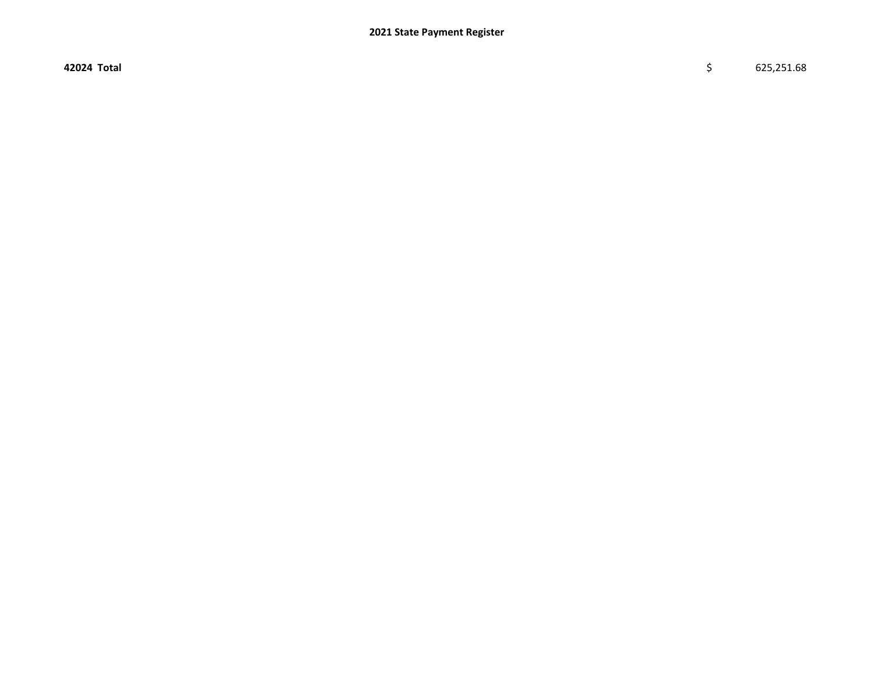42024 Total \$ 625,251.68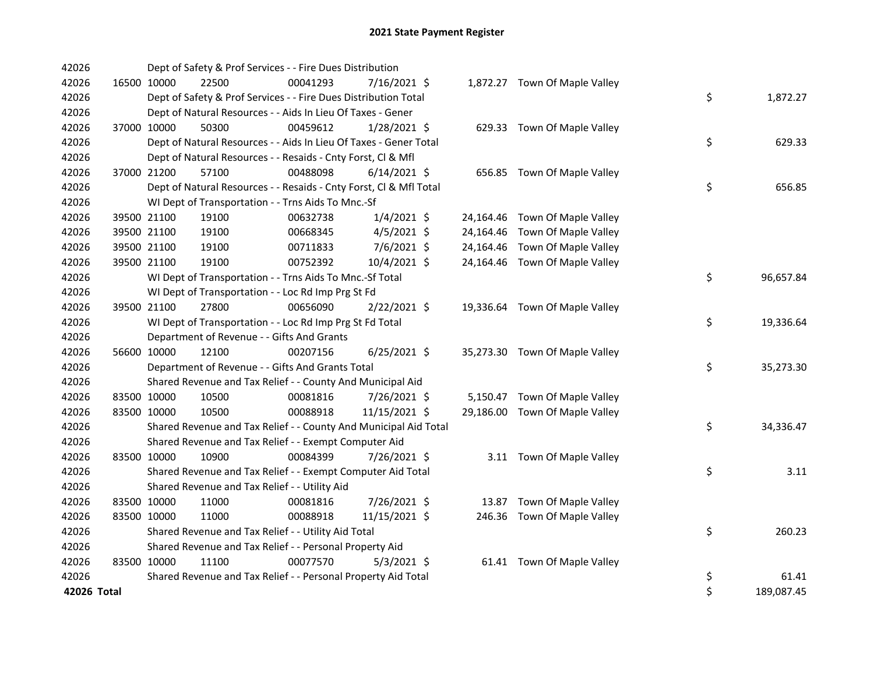| 42026       |             | Dept of Safety & Prof Services - - Fire Dues Distribution          |          |                |  |                                |    |            |
|-------------|-------------|--------------------------------------------------------------------|----------|----------------|--|--------------------------------|----|------------|
| 42026       | 16500 10000 | 22500                                                              | 00041293 | 7/16/2021 \$   |  | 1,872.27 Town Of Maple Valley  |    |            |
| 42026       |             | Dept of Safety & Prof Services - - Fire Dues Distribution Total    |          |                |  |                                | \$ | 1,872.27   |
| 42026       |             | Dept of Natural Resources - - Aids In Lieu Of Taxes - Gener        |          |                |  |                                |    |            |
| 42026       | 37000 10000 | 50300                                                              | 00459612 | $1/28/2021$ \$ |  | 629.33 Town Of Maple Valley    |    |            |
| 42026       |             | Dept of Natural Resources - - Aids In Lieu Of Taxes - Gener Total  |          |                |  |                                | \$ | 629.33     |
| 42026       |             | Dept of Natural Resources - - Resaids - Cnty Forst, Cl & Mfl       |          |                |  |                                |    |            |
| 42026       | 37000 21200 | 57100                                                              | 00488098 | $6/14/2021$ \$ |  | 656.85 Town Of Maple Valley    |    |            |
| 42026       |             | Dept of Natural Resources - - Resaids - Cnty Forst, Cl & Mfl Total |          |                |  |                                | \$ | 656.85     |
| 42026       |             | WI Dept of Transportation - - Trns Aids To Mnc.-Sf                 |          |                |  |                                |    |            |
| 42026       | 39500 21100 | 19100                                                              | 00632738 | $1/4/2021$ \$  |  | 24,164.46 Town Of Maple Valley |    |            |
| 42026       | 39500 21100 | 19100                                                              | 00668345 | $4/5/2021$ \$  |  | 24,164.46 Town Of Maple Valley |    |            |
| 42026       | 39500 21100 | 19100                                                              | 00711833 | 7/6/2021 \$    |  | 24,164.46 Town Of Maple Valley |    |            |
| 42026       | 39500 21100 | 19100                                                              | 00752392 | 10/4/2021 \$   |  | 24,164.46 Town Of Maple Valley |    |            |
| 42026       |             | WI Dept of Transportation - - Trns Aids To Mnc.-Sf Total           |          |                |  |                                | \$ | 96,657.84  |
| 42026       |             | WI Dept of Transportation - - Loc Rd Imp Prg St Fd                 |          |                |  |                                |    |            |
| 42026       | 39500 21100 | 27800                                                              | 00656090 | $2/22/2021$ \$ |  | 19,336.64 Town Of Maple Valley |    |            |
| 42026       |             | WI Dept of Transportation - - Loc Rd Imp Prg St Fd Total           |          |                |  |                                | \$ | 19,336.64  |
| 42026       |             | Department of Revenue - - Gifts And Grants                         |          |                |  |                                |    |            |
| 42026       | 56600 10000 | 12100                                                              | 00207156 | $6/25/2021$ \$ |  | 35,273.30 Town Of Maple Valley |    |            |
| 42026       |             | Department of Revenue - - Gifts And Grants Total                   |          |                |  |                                | \$ | 35,273.30  |
| 42026       |             | Shared Revenue and Tax Relief - - County And Municipal Aid         |          |                |  |                                |    |            |
| 42026       | 83500 10000 | 10500                                                              | 00081816 | 7/26/2021 \$   |  | 5,150.47 Town Of Maple Valley  |    |            |
| 42026       | 83500 10000 | 10500                                                              | 00088918 | 11/15/2021 \$  |  | 29,186.00 Town Of Maple Valley |    |            |
| 42026       |             | Shared Revenue and Tax Relief - - County And Municipal Aid Total   |          |                |  |                                | \$ | 34,336.47  |
| 42026       |             | Shared Revenue and Tax Relief - - Exempt Computer Aid              |          |                |  |                                |    |            |
| 42026       | 83500 10000 | 10900                                                              | 00084399 | 7/26/2021 \$   |  | 3.11 Town Of Maple Valley      |    |            |
| 42026       |             | Shared Revenue and Tax Relief - - Exempt Computer Aid Total        |          |                |  |                                | \$ | 3.11       |
| 42026       |             | Shared Revenue and Tax Relief - - Utility Aid                      |          |                |  |                                |    |            |
| 42026       | 83500 10000 | 11000                                                              | 00081816 | 7/26/2021 \$   |  | 13.87 Town Of Maple Valley     |    |            |
| 42026       | 83500 10000 | 11000                                                              | 00088918 | 11/15/2021 \$  |  | 246.36 Town Of Maple Valley    |    |            |
| 42026       |             | Shared Revenue and Tax Relief - - Utility Aid Total                |          |                |  |                                | \$ | 260.23     |
| 42026       |             | Shared Revenue and Tax Relief - - Personal Property Aid            |          |                |  |                                |    |            |
| 42026       | 83500 10000 | 11100                                                              | 00077570 | $5/3/2021$ \$  |  | 61.41 Town Of Maple Valley     |    |            |
| 42026       |             | Shared Revenue and Tax Relief - - Personal Property Aid Total      |          |                |  |                                | \$ | 61.41      |
| 42026 Total |             |                                                                    |          |                |  |                                | \$ | 189,087.45 |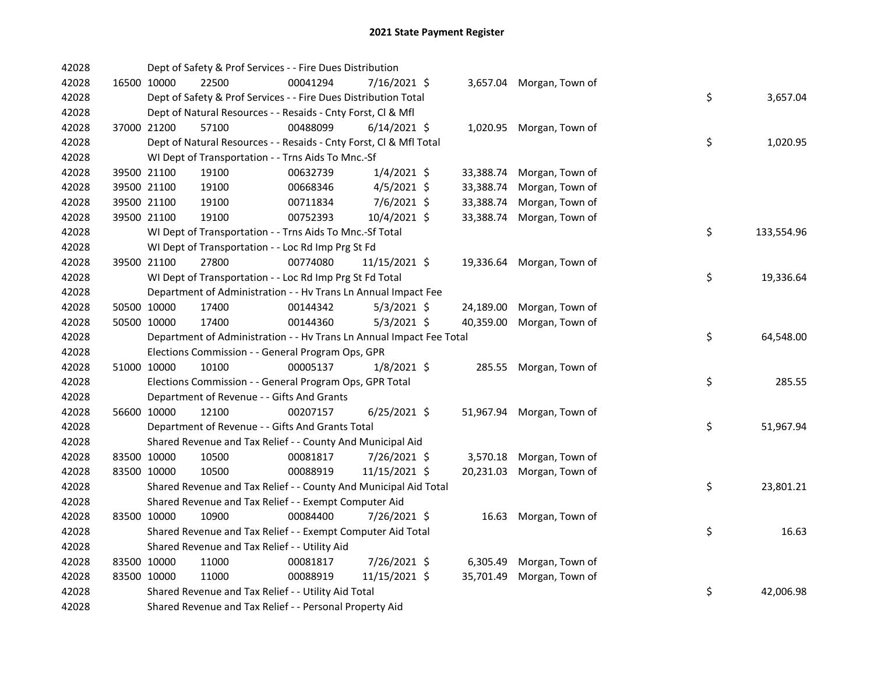| 42028 |             | Dept of Safety & Prof Services - - Fire Dues Distribution            |          |                |           |                           |    |            |
|-------|-------------|----------------------------------------------------------------------|----------|----------------|-----------|---------------------------|----|------------|
| 42028 | 16500 10000 | 22500                                                                | 00041294 | 7/16/2021 \$   |           | 3,657.04 Morgan, Town of  |    |            |
| 42028 |             | Dept of Safety & Prof Services - - Fire Dues Distribution Total      |          |                |           |                           | \$ | 3,657.04   |
| 42028 |             | Dept of Natural Resources - - Resaids - Cnty Forst, Cl & Mfl         |          |                |           |                           |    |            |
| 42028 | 37000 21200 | 57100                                                                | 00488099 | $6/14/2021$ \$ |           | 1,020.95 Morgan, Town of  |    |            |
| 42028 |             | Dept of Natural Resources - - Resaids - Cnty Forst, Cl & Mfl Total   |          |                |           |                           | \$ | 1,020.95   |
| 42028 |             | WI Dept of Transportation - - Trns Aids To Mnc.-Sf                   |          |                |           |                           |    |            |
| 42028 | 39500 21100 | 19100                                                                | 00632739 | $1/4/2021$ \$  | 33,388.74 | Morgan, Town of           |    |            |
| 42028 | 39500 21100 | 19100                                                                | 00668346 | $4/5/2021$ \$  | 33,388.74 | Morgan, Town of           |    |            |
| 42028 | 39500 21100 | 19100                                                                | 00711834 | 7/6/2021 \$    | 33,388.74 | Morgan, Town of           |    |            |
| 42028 | 39500 21100 | 19100                                                                | 00752393 | 10/4/2021 \$   | 33,388.74 | Morgan, Town of           |    |            |
| 42028 |             | WI Dept of Transportation - - Trns Aids To Mnc.-Sf Total             |          |                |           |                           | \$ | 133,554.96 |
| 42028 |             | WI Dept of Transportation - - Loc Rd Imp Prg St Fd                   |          |                |           |                           |    |            |
| 42028 | 39500 21100 | 27800                                                                | 00774080 | 11/15/2021 \$  |           | 19,336.64 Morgan, Town of |    |            |
| 42028 |             | WI Dept of Transportation - - Loc Rd Imp Prg St Fd Total             |          |                |           |                           | \$ | 19,336.64  |
| 42028 |             | Department of Administration - - Hv Trans Ln Annual Impact Fee       |          |                |           |                           |    |            |
| 42028 | 50500 10000 | 17400                                                                | 00144342 | $5/3/2021$ \$  | 24,189.00 | Morgan, Town of           |    |            |
| 42028 | 50500 10000 | 17400                                                                | 00144360 | $5/3/2021$ \$  | 40,359.00 | Morgan, Town of           |    |            |
| 42028 |             | Department of Administration - - Hv Trans Ln Annual Impact Fee Total |          |                |           |                           | \$ | 64,548.00  |
| 42028 |             | Elections Commission - - General Program Ops, GPR                    |          |                |           |                           |    |            |
| 42028 | 51000 10000 | 10100                                                                | 00005137 | $1/8/2021$ \$  |           | 285.55 Morgan, Town of    |    |            |
| 42028 |             | Elections Commission - - General Program Ops, GPR Total              |          |                |           |                           | \$ | 285.55     |
| 42028 |             | Department of Revenue - - Gifts And Grants                           |          |                |           |                           |    |            |
| 42028 | 56600 10000 | 12100                                                                | 00207157 | $6/25/2021$ \$ |           | 51,967.94 Morgan, Town of |    |            |
| 42028 |             | Department of Revenue - - Gifts And Grants Total                     |          |                |           |                           | \$ | 51,967.94  |
| 42028 |             | Shared Revenue and Tax Relief - - County And Municipal Aid           |          |                |           |                           |    |            |
| 42028 | 83500 10000 | 10500                                                                | 00081817 | 7/26/2021 \$   |           | 3,570.18 Morgan, Town of  |    |            |
| 42028 | 83500 10000 | 10500                                                                | 00088919 | 11/15/2021 \$  | 20,231.03 | Morgan, Town of           |    |            |
| 42028 |             | Shared Revenue and Tax Relief - - County And Municipal Aid Total     |          |                |           |                           | \$ | 23,801.21  |
| 42028 |             | Shared Revenue and Tax Relief - - Exempt Computer Aid                |          |                |           |                           |    |            |
| 42028 | 83500 10000 | 10900                                                                | 00084400 | 7/26/2021 \$   |           | 16.63 Morgan, Town of     |    |            |
| 42028 |             | Shared Revenue and Tax Relief - - Exempt Computer Aid Total          |          |                |           |                           | \$ | 16.63      |
| 42028 |             | Shared Revenue and Tax Relief - - Utility Aid                        |          |                |           |                           |    |            |
| 42028 | 83500 10000 | 11000                                                                | 00081817 | 7/26/2021 \$   | 6,305.49  | Morgan, Town of           |    |            |
| 42028 | 83500 10000 | 11000                                                                | 00088919 | 11/15/2021 \$  | 35,701.49 | Morgan, Town of           |    |            |
| 42028 |             | Shared Revenue and Tax Relief - - Utility Aid Total                  |          |                |           |                           | \$ | 42,006.98  |
| 42028 |             | Shared Revenue and Tax Relief - - Personal Property Aid              |          |                |           |                           |    |            |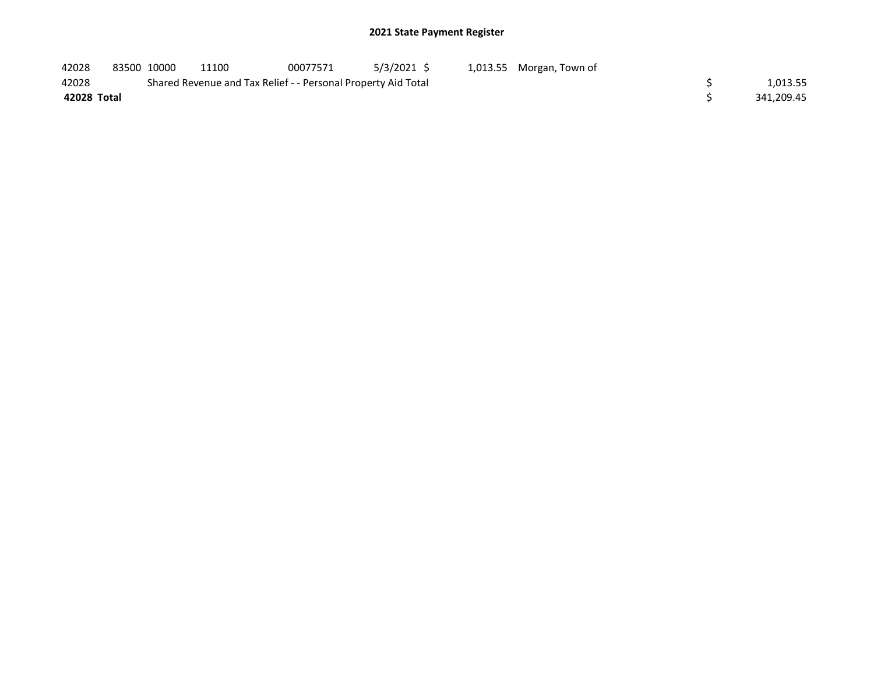| 42028       | 83500 10000 | 11100                                                         | 00077571 | 5/3/2021 \$ | 1,013.55 Morgan, Town of |            |
|-------------|-------------|---------------------------------------------------------------|----------|-------------|--------------------------|------------|
| 42028       |             | Shared Revenue and Tax Relief - - Personal Property Aid Total |          |             |                          | 1.013.55   |
| 42028 Total |             |                                                               |          |             |                          | 341.209.45 |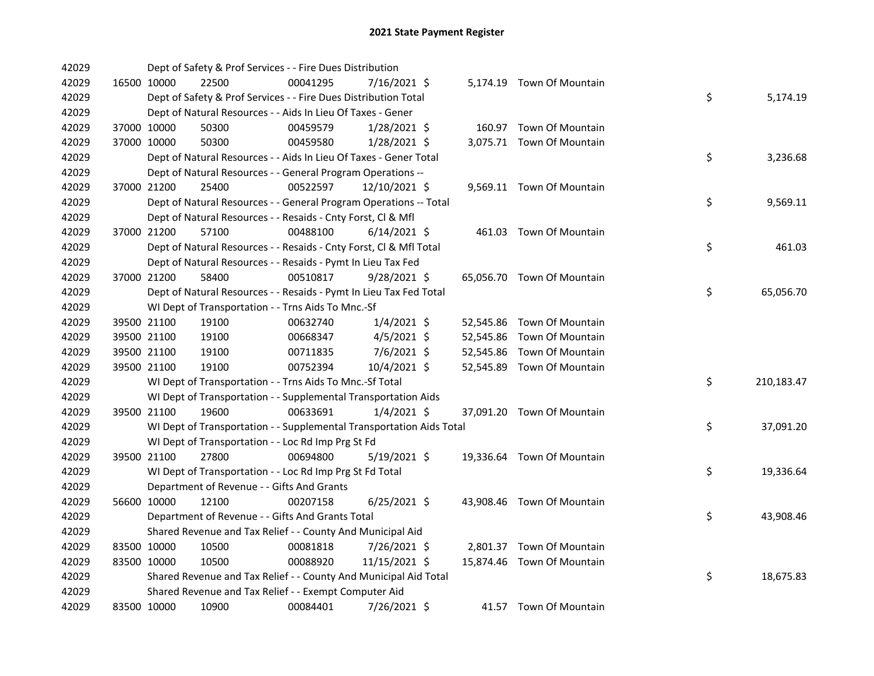| 42029 |             | Dept of Safety & Prof Services - - Fire Dues Distribution            |          |                |  |                            |    |            |
|-------|-------------|----------------------------------------------------------------------|----------|----------------|--|----------------------------|----|------------|
| 42029 | 16500 10000 | 22500                                                                | 00041295 | 7/16/2021 \$   |  | 5,174.19 Town Of Mountain  |    |            |
| 42029 |             | Dept of Safety & Prof Services - - Fire Dues Distribution Total      |          |                |  |                            | \$ | 5,174.19   |
| 42029 |             | Dept of Natural Resources - - Aids In Lieu Of Taxes - Gener          |          |                |  |                            |    |            |
| 42029 | 37000 10000 | 50300                                                                | 00459579 | $1/28/2021$ \$ |  | 160.97 Town Of Mountain    |    |            |
| 42029 | 37000 10000 | 50300                                                                | 00459580 | $1/28/2021$ \$ |  | 3,075.71 Town Of Mountain  |    |            |
| 42029 |             | Dept of Natural Resources - - Aids In Lieu Of Taxes - Gener Total    |          |                |  |                            | \$ | 3,236.68   |
| 42029 |             | Dept of Natural Resources - - General Program Operations --          |          |                |  |                            |    |            |
| 42029 | 37000 21200 | 25400                                                                | 00522597 | 12/10/2021 \$  |  | 9,569.11 Town Of Mountain  |    |            |
| 42029 |             | Dept of Natural Resources - - General Program Operations -- Total    |          |                |  |                            | \$ | 9,569.11   |
| 42029 |             | Dept of Natural Resources - - Resaids - Cnty Forst, Cl & Mfl         |          |                |  |                            |    |            |
| 42029 | 37000 21200 | 57100                                                                | 00488100 | $6/14/2021$ \$ |  | 461.03 Town Of Mountain    |    |            |
| 42029 |             | Dept of Natural Resources - - Resaids - Cnty Forst, Cl & Mfl Total   |          |                |  |                            | \$ | 461.03     |
| 42029 |             | Dept of Natural Resources - - Resaids - Pymt In Lieu Tax Fed         |          |                |  |                            |    |            |
| 42029 | 37000 21200 | 58400                                                                | 00510817 | $9/28/2021$ \$ |  | 65,056.70 Town Of Mountain |    |            |
| 42029 |             | Dept of Natural Resources - - Resaids - Pymt In Lieu Tax Fed Total   |          |                |  |                            | \$ | 65,056.70  |
| 42029 |             | WI Dept of Transportation - - Trns Aids To Mnc.-Sf                   |          |                |  |                            |    |            |
| 42029 | 39500 21100 | 19100                                                                | 00632740 | $1/4/2021$ \$  |  | 52,545.86 Town Of Mountain |    |            |
| 42029 | 39500 21100 | 19100                                                                | 00668347 | $4/5/2021$ \$  |  | 52,545.86 Town Of Mountain |    |            |
| 42029 | 39500 21100 | 19100                                                                | 00711835 | $7/6/2021$ \$  |  | 52,545.86 Town Of Mountain |    |            |
| 42029 | 39500 21100 | 19100                                                                | 00752394 | 10/4/2021 \$   |  | 52,545.89 Town Of Mountain |    |            |
| 42029 |             | WI Dept of Transportation - - Trns Aids To Mnc.-Sf Total             |          |                |  |                            | \$ | 210,183.47 |
| 42029 |             | WI Dept of Transportation - - Supplemental Transportation Aids       |          |                |  |                            |    |            |
| 42029 | 39500 21100 | 19600                                                                | 00633691 | $1/4/2021$ \$  |  | 37,091.20 Town Of Mountain |    |            |
| 42029 |             | WI Dept of Transportation - - Supplemental Transportation Aids Total |          |                |  |                            | \$ | 37,091.20  |
| 42029 |             | WI Dept of Transportation - - Loc Rd Imp Prg St Fd                   |          |                |  |                            |    |            |
| 42029 | 39500 21100 | 27800                                                                | 00694800 | $5/19/2021$ \$ |  | 19,336.64 Town Of Mountain |    |            |
| 42029 |             | WI Dept of Transportation - - Loc Rd Imp Prg St Fd Total             |          |                |  |                            | \$ | 19,336.64  |
| 42029 |             | Department of Revenue - - Gifts And Grants                           |          |                |  |                            |    |            |
| 42029 | 56600 10000 | 12100                                                                | 00207158 | $6/25/2021$ \$ |  | 43,908.46 Town Of Mountain |    |            |
| 42029 |             | Department of Revenue - - Gifts And Grants Total                     |          |                |  |                            | \$ | 43,908.46  |
| 42029 |             | Shared Revenue and Tax Relief - - County And Municipal Aid           |          |                |  |                            |    |            |
| 42029 | 83500 10000 | 10500                                                                | 00081818 | $7/26/2021$ \$ |  | 2,801.37 Town Of Mountain  |    |            |
| 42029 | 83500 10000 | 10500                                                                | 00088920 | 11/15/2021 \$  |  | 15,874.46 Town Of Mountain |    |            |
| 42029 |             | Shared Revenue and Tax Relief - - County And Municipal Aid Total     |          |                |  |                            | \$ | 18,675.83  |
| 42029 |             | Shared Revenue and Tax Relief - - Exempt Computer Aid                |          |                |  |                            |    |            |
| 42029 | 83500 10000 | 10900                                                                | 00084401 | 7/26/2021 \$   |  | 41.57 Town Of Mountain     |    |            |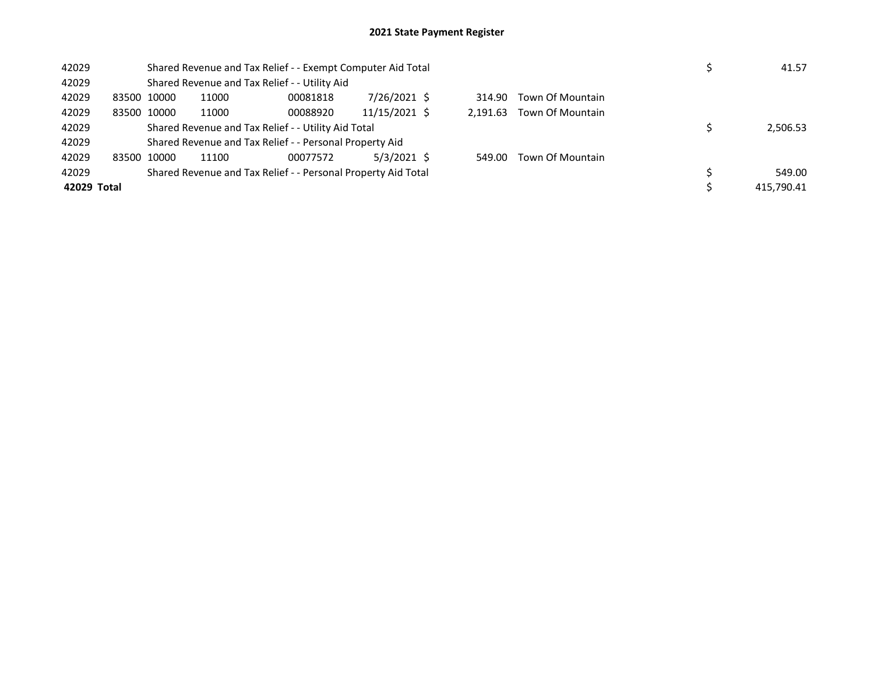| 42029       |             | Shared Revenue and Tax Relief - - Exempt Computer Aid Total   | 41.57    |               |          |                  |            |
|-------------|-------------|---------------------------------------------------------------|----------|---------------|----------|------------------|------------|
| 42029       |             | Shared Revenue and Tax Relief - - Utility Aid                 |          |               |          |                  |            |
| 42029       | 83500 10000 | 11000                                                         | 00081818 | 7/26/2021 \$  | 314.90   | Town Of Mountain |            |
| 42029       | 83500 10000 | 11000                                                         | 00088920 | 11/15/2021 \$ | 2,191.63 | Town Of Mountain |            |
| 42029       |             | Shared Revenue and Tax Relief - - Utility Aid Total           |          |               |          |                  | 2,506.53   |
| 42029       |             | Shared Revenue and Tax Relief - - Personal Property Aid       |          |               |          |                  |            |
| 42029       | 83500 10000 | 11100                                                         | 00077572 | 5/3/2021 \$   | 549.00   | Town Of Mountain |            |
| 42029       |             | Shared Revenue and Tax Relief - - Personal Property Aid Total |          |               |          |                  | 549.00     |
| 42029 Total |             |                                                               |          |               |          |                  | 415.790.41 |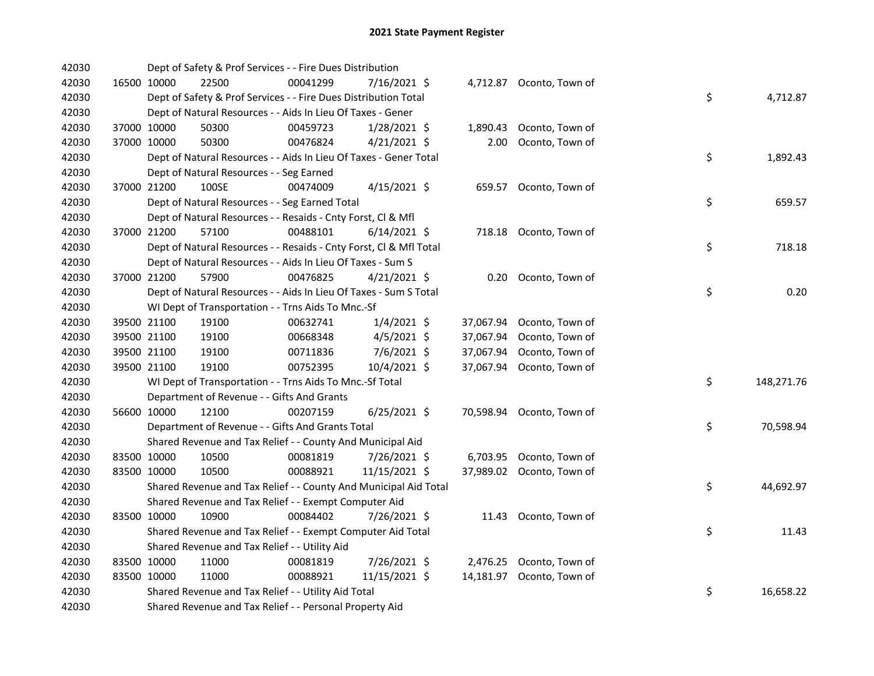| 42030 |             | Dept of Safety & Prof Services - - Fire Dues Distribution          |          |                |           |                           |    |            |
|-------|-------------|--------------------------------------------------------------------|----------|----------------|-----------|---------------------------|----|------------|
| 42030 | 16500 10000 | 22500                                                              | 00041299 | 7/16/2021 \$   |           | 4,712.87 Oconto, Town of  |    |            |
| 42030 |             | Dept of Safety & Prof Services - - Fire Dues Distribution Total    |          |                |           |                           | \$ | 4,712.87   |
| 42030 |             | Dept of Natural Resources - - Aids In Lieu Of Taxes - Gener        |          |                |           |                           |    |            |
| 42030 | 37000 10000 | 50300                                                              | 00459723 | 1/28/2021 \$   | 1,890.43  | Oconto, Town of           |    |            |
| 42030 | 37000 10000 | 50300                                                              | 00476824 | $4/21/2021$ \$ | 2.00      | Oconto, Town of           |    |            |
| 42030 |             | Dept of Natural Resources - - Aids In Lieu Of Taxes - Gener Total  |          |                |           |                           | \$ | 1,892.43   |
| 42030 |             | Dept of Natural Resources - - Seg Earned                           |          |                |           |                           |    |            |
| 42030 | 37000 21200 | 100SE                                                              | 00474009 | $4/15/2021$ \$ |           | 659.57 Oconto, Town of    |    |            |
| 42030 |             | Dept of Natural Resources - - Seg Earned Total                     |          |                |           |                           | \$ | 659.57     |
| 42030 |             | Dept of Natural Resources - - Resaids - Cnty Forst, Cl & Mfl       |          |                |           |                           |    |            |
| 42030 | 37000 21200 | 57100                                                              | 00488101 | $6/14/2021$ \$ |           | 718.18 Oconto, Town of    |    |            |
| 42030 |             | Dept of Natural Resources - - Resaids - Cnty Forst, Cl & Mfl Total |          |                |           |                           | \$ | 718.18     |
| 42030 |             | Dept of Natural Resources - - Aids In Lieu Of Taxes - Sum S        |          |                |           |                           |    |            |
| 42030 | 37000 21200 | 57900                                                              | 00476825 | $4/21/2021$ \$ |           | 0.20 Oconto, Town of      |    |            |
| 42030 |             | Dept of Natural Resources - - Aids In Lieu Of Taxes - Sum S Total  |          |                |           |                           | \$ | 0.20       |
| 42030 |             | WI Dept of Transportation - - Trns Aids To Mnc.-Sf                 |          |                |           |                           |    |            |
| 42030 | 39500 21100 | 19100                                                              | 00632741 | $1/4/2021$ \$  |           | 37,067.94 Oconto, Town of |    |            |
| 42030 | 39500 21100 | 19100                                                              | 00668348 | 4/5/2021 \$    | 37,067.94 | Oconto, Town of           |    |            |
| 42030 | 39500 21100 | 19100                                                              | 00711836 | 7/6/2021 \$    | 37,067.94 | Oconto, Town of           |    |            |
| 42030 | 39500 21100 | 19100                                                              | 00752395 | 10/4/2021 \$   |           | 37,067.94 Oconto, Town of |    |            |
| 42030 |             | WI Dept of Transportation - - Trns Aids To Mnc.-Sf Total           |          |                |           |                           | \$ | 148,271.76 |
| 42030 |             | Department of Revenue - - Gifts And Grants                         |          |                |           |                           |    |            |
| 42030 | 56600 10000 | 12100                                                              | 00207159 | $6/25/2021$ \$ |           | 70,598.94 Oconto, Town of |    |            |
| 42030 |             | Department of Revenue - - Gifts And Grants Total                   |          |                |           |                           | \$ | 70,598.94  |
| 42030 |             | Shared Revenue and Tax Relief - - County And Municipal Aid         |          |                |           |                           |    |            |
| 42030 | 83500 10000 | 10500                                                              | 00081819 | 7/26/2021 \$   |           | 6,703.95 Oconto, Town of  |    |            |
| 42030 | 83500 10000 | 10500                                                              | 00088921 | 11/15/2021 \$  |           | 37,989.02 Oconto, Town of |    |            |
| 42030 |             | Shared Revenue and Tax Relief - - County And Municipal Aid Total   |          |                |           |                           | \$ | 44,692.97  |
| 42030 |             | Shared Revenue and Tax Relief - - Exempt Computer Aid              |          |                |           |                           |    |            |
| 42030 | 83500 10000 | 10900                                                              | 00084402 | 7/26/2021 \$   |           | 11.43 Oconto, Town of     |    |            |
| 42030 |             | Shared Revenue and Tax Relief - - Exempt Computer Aid Total        |          |                |           |                           | \$ | 11.43      |
| 42030 |             | Shared Revenue and Tax Relief - - Utility Aid                      |          |                |           |                           |    |            |
| 42030 | 83500 10000 | 11000                                                              | 00081819 | 7/26/2021 \$   |           | 2,476.25 Oconto, Town of  |    |            |
| 42030 | 83500 10000 | 11000                                                              | 00088921 | 11/15/2021 \$  | 14,181.97 | Oconto, Town of           |    |            |
| 42030 |             | Shared Revenue and Tax Relief - - Utility Aid Total                |          |                |           |                           | \$ | 16,658.22  |
| 42030 |             | Shared Revenue and Tax Relief - - Personal Property Aid            |          |                |           |                           |    |            |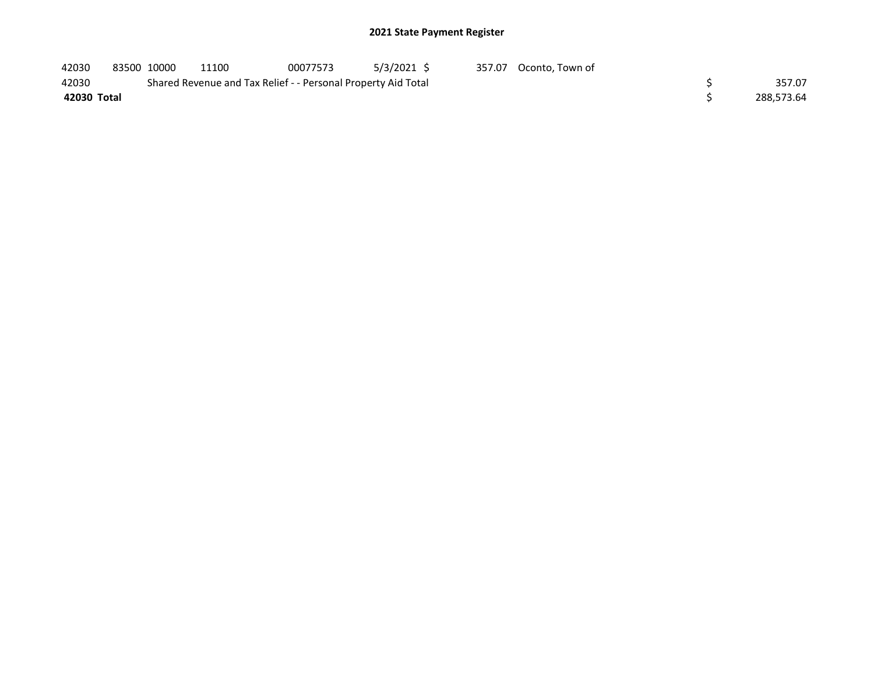| 42030       | 83500 10000 | 11100                                                         | 00077573 | 5/3/2021 \$ | 357.07 Oconto, Town of |            |
|-------------|-------------|---------------------------------------------------------------|----------|-------------|------------------------|------------|
| 42030       |             | Shared Revenue and Tax Relief - - Personal Property Aid Total |          |             |                        | 357.07     |
| 42030 Total |             |                                                               |          |             |                        | 288.573.64 |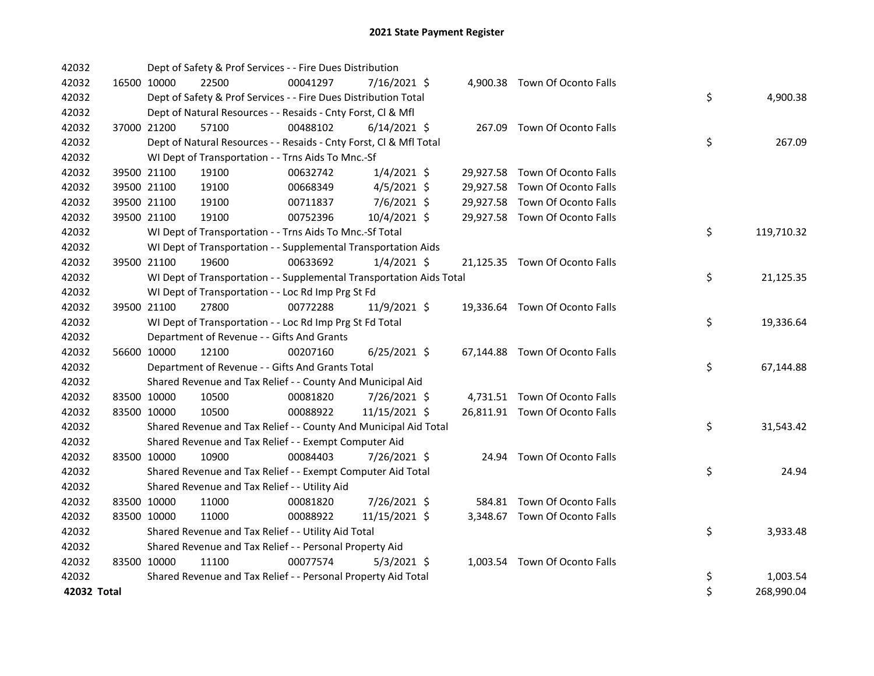| 42032       |             | Dept of Safety & Prof Services - - Fire Dues Distribution            |          |                |  |                                |    |            |
|-------------|-------------|----------------------------------------------------------------------|----------|----------------|--|--------------------------------|----|------------|
| 42032       | 16500 10000 | 22500                                                                | 00041297 | 7/16/2021 \$   |  | 4,900.38 Town Of Oconto Falls  |    |            |
| 42032       |             | Dept of Safety & Prof Services - - Fire Dues Distribution Total      |          |                |  |                                | \$ | 4,900.38   |
| 42032       |             | Dept of Natural Resources - - Resaids - Cnty Forst, CI & Mfl         |          |                |  |                                |    |            |
| 42032       | 37000 21200 | 57100                                                                | 00488102 | $6/14/2021$ \$ |  | 267.09 Town Of Oconto Falls    |    |            |
| 42032       |             | Dept of Natural Resources - - Resaids - Cnty Forst, Cl & Mfl Total   |          |                |  |                                | \$ | 267.09     |
| 42032       |             | WI Dept of Transportation - - Trns Aids To Mnc.-Sf                   |          |                |  |                                |    |            |
| 42032       | 39500 21100 | 19100                                                                | 00632742 | $1/4/2021$ \$  |  | 29,927.58 Town Of Oconto Falls |    |            |
| 42032       | 39500 21100 | 19100                                                                | 00668349 | $4/5/2021$ \$  |  | 29,927.58 Town Of Oconto Falls |    |            |
| 42032       | 39500 21100 | 19100                                                                | 00711837 | 7/6/2021 \$    |  | 29,927.58 Town Of Oconto Falls |    |            |
| 42032       | 39500 21100 | 19100                                                                | 00752396 | 10/4/2021 \$   |  | 29,927.58 Town Of Oconto Falls |    |            |
| 42032       |             | WI Dept of Transportation - - Trns Aids To Mnc.-Sf Total             |          |                |  |                                | \$ | 119,710.32 |
| 42032       |             | WI Dept of Transportation - - Supplemental Transportation Aids       |          |                |  |                                |    |            |
| 42032       | 39500 21100 | 19600                                                                | 00633692 | $1/4/2021$ \$  |  | 21,125.35 Town Of Oconto Falls |    |            |
| 42032       |             | WI Dept of Transportation - - Supplemental Transportation Aids Total |          |                |  |                                | \$ | 21,125.35  |
| 42032       |             | WI Dept of Transportation - - Loc Rd Imp Prg St Fd                   |          |                |  |                                |    |            |
| 42032       | 39500 21100 | 27800                                                                | 00772288 | 11/9/2021 \$   |  | 19,336.64 Town Of Oconto Falls |    |            |
| 42032       |             | WI Dept of Transportation - - Loc Rd Imp Prg St Fd Total             |          |                |  |                                | \$ | 19,336.64  |
| 42032       |             | Department of Revenue - - Gifts And Grants                           |          |                |  |                                |    |            |
| 42032       | 56600 10000 | 12100                                                                | 00207160 | $6/25/2021$ \$ |  | 67,144.88 Town Of Oconto Falls |    |            |
| 42032       |             | Department of Revenue - - Gifts And Grants Total                     |          |                |  |                                | \$ | 67,144.88  |
| 42032       |             | Shared Revenue and Tax Relief - - County And Municipal Aid           |          |                |  |                                |    |            |
| 42032       | 83500 10000 | 10500                                                                | 00081820 | 7/26/2021 \$   |  | 4,731.51 Town Of Oconto Falls  |    |            |
| 42032       | 83500 10000 | 10500                                                                | 00088922 | 11/15/2021 \$  |  | 26,811.91 Town Of Oconto Falls |    |            |
| 42032       |             | Shared Revenue and Tax Relief - - County And Municipal Aid Total     |          |                |  |                                | \$ | 31,543.42  |
| 42032       |             | Shared Revenue and Tax Relief - - Exempt Computer Aid                |          |                |  |                                |    |            |
| 42032       | 83500 10000 | 10900                                                                | 00084403 | 7/26/2021 \$   |  | 24.94 Town Of Oconto Falls     |    |            |
| 42032       |             | Shared Revenue and Tax Relief - - Exempt Computer Aid Total          |          |                |  |                                | \$ | 24.94      |
| 42032       |             | Shared Revenue and Tax Relief - - Utility Aid                        |          |                |  |                                |    |            |
| 42032       | 83500 10000 | 11000                                                                | 00081820 | 7/26/2021 \$   |  | 584.81 Town Of Oconto Falls    |    |            |
| 42032       | 83500 10000 | 11000                                                                | 00088922 | 11/15/2021 \$  |  | 3,348.67 Town Of Oconto Falls  |    |            |
| 42032       |             | Shared Revenue and Tax Relief - - Utility Aid Total                  |          |                |  |                                | \$ | 3,933.48   |
| 42032       |             | Shared Revenue and Tax Relief - - Personal Property Aid              |          |                |  |                                |    |            |
| 42032       | 83500 10000 | 11100                                                                | 00077574 | $5/3/2021$ \$  |  | 1,003.54 Town Of Oconto Falls  |    |            |
| 42032       |             | Shared Revenue and Tax Relief - - Personal Property Aid Total        |          |                |  |                                | \$ | 1,003.54   |
| 42032 Total |             |                                                                      |          |                |  |                                | \$ | 268,990.04 |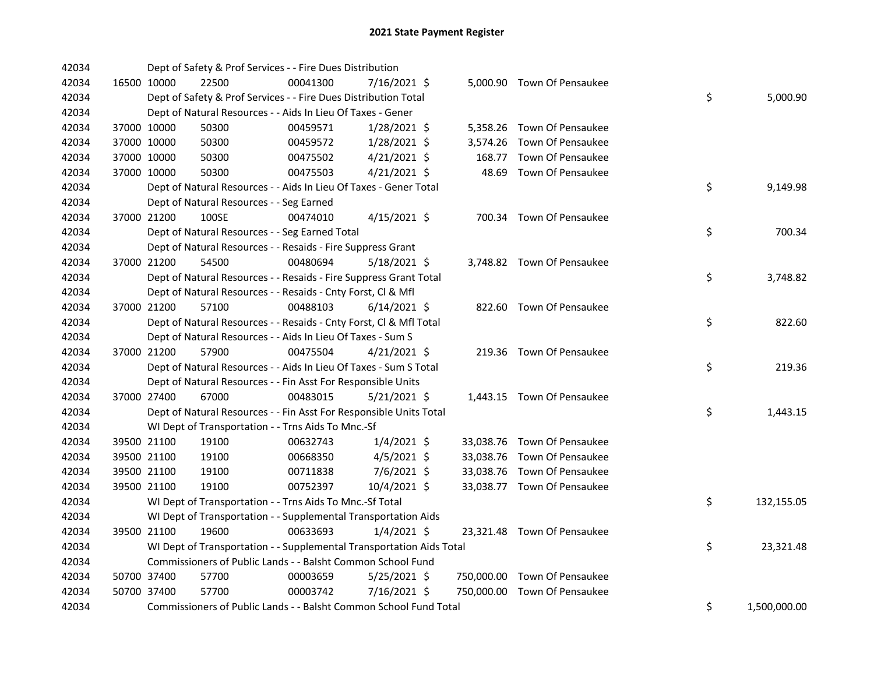| 42034 |             | Dept of Safety & Prof Services - - Fire Dues Distribution            |          |                |        |                              |    |              |
|-------|-------------|----------------------------------------------------------------------|----------|----------------|--------|------------------------------|----|--------------|
| 42034 | 16500 10000 | 22500                                                                | 00041300 | 7/16/2021 \$   |        | 5,000.90 Town Of Pensaukee   |    |              |
| 42034 |             | Dept of Safety & Prof Services - - Fire Dues Distribution Total      |          |                |        |                              | \$ | 5,000.90     |
| 42034 |             | Dept of Natural Resources - - Aids In Lieu Of Taxes - Gener          |          |                |        |                              |    |              |
| 42034 | 37000 10000 | 50300                                                                | 00459571 | $1/28/2021$ \$ |        | 5,358.26 Town Of Pensaukee   |    |              |
| 42034 | 37000 10000 | 50300                                                                | 00459572 | $1/28/2021$ \$ |        | 3,574.26 Town Of Pensaukee   |    |              |
| 42034 | 37000 10000 | 50300                                                                | 00475502 | $4/21/2021$ \$ | 168.77 | Town Of Pensaukee            |    |              |
| 42034 | 37000 10000 | 50300                                                                | 00475503 | $4/21/2021$ \$ | 48.69  | Town Of Pensaukee            |    |              |
| 42034 |             | Dept of Natural Resources - - Aids In Lieu Of Taxes - Gener Total    |          |                |        |                              | \$ | 9,149.98     |
| 42034 |             | Dept of Natural Resources - - Seg Earned                             |          |                |        |                              |    |              |
| 42034 | 37000 21200 | 100SE                                                                | 00474010 | $4/15/2021$ \$ |        | 700.34 Town Of Pensaukee     |    |              |
| 42034 |             | Dept of Natural Resources - - Seg Earned Total                       |          |                |        |                              | \$ | 700.34       |
| 42034 |             | Dept of Natural Resources - - Resaids - Fire Suppress Grant          |          |                |        |                              |    |              |
| 42034 | 37000 21200 | 54500                                                                | 00480694 | 5/18/2021 \$   |        | 3,748.82 Town Of Pensaukee   |    |              |
| 42034 |             | Dept of Natural Resources - - Resaids - Fire Suppress Grant Total    |          |                |        |                              | \$ | 3,748.82     |
| 42034 |             | Dept of Natural Resources - - Resaids - Cnty Forst, Cl & Mfl         |          |                |        |                              |    |              |
| 42034 | 37000 21200 | 57100                                                                | 00488103 | $6/14/2021$ \$ |        | 822.60 Town Of Pensaukee     |    |              |
| 42034 |             | Dept of Natural Resources - - Resaids - Cnty Forst, Cl & Mfl Total   |          |                |        |                              | \$ | 822.60       |
| 42034 |             | Dept of Natural Resources - - Aids In Lieu Of Taxes - Sum S          |          |                |        |                              |    |              |
| 42034 | 37000 21200 | 57900                                                                | 00475504 | $4/21/2021$ \$ |        | 219.36 Town Of Pensaukee     |    |              |
| 42034 |             | Dept of Natural Resources - - Aids In Lieu Of Taxes - Sum S Total    |          |                |        |                              | \$ | 219.36       |
| 42034 |             | Dept of Natural Resources - - Fin Asst For Responsible Units         |          |                |        |                              |    |              |
| 42034 | 37000 27400 | 67000                                                                | 00483015 | $5/21/2021$ \$ |        | 1,443.15 Town Of Pensaukee   |    |              |
| 42034 |             | Dept of Natural Resources - - Fin Asst For Responsible Units Total   |          |                |        |                              | \$ | 1,443.15     |
| 42034 |             | WI Dept of Transportation - - Trns Aids To Mnc.-Sf                   |          |                |        |                              |    |              |
| 42034 | 39500 21100 | 19100                                                                | 00632743 | $1/4/2021$ \$  |        | 33,038.76 Town Of Pensaukee  |    |              |
| 42034 | 39500 21100 | 19100                                                                | 00668350 | $4/5/2021$ \$  |        | 33,038.76 Town Of Pensaukee  |    |              |
| 42034 | 39500 21100 | 19100                                                                | 00711838 | $7/6/2021$ \$  |        | 33,038.76 Town Of Pensaukee  |    |              |
| 42034 | 39500 21100 | 19100                                                                | 00752397 | 10/4/2021 \$   |        | 33,038.77 Town Of Pensaukee  |    |              |
| 42034 |             | WI Dept of Transportation - - Trns Aids To Mnc.-Sf Total             |          |                |        |                              | \$ | 132,155.05   |
| 42034 |             | WI Dept of Transportation - - Supplemental Transportation Aids       |          |                |        |                              |    |              |
| 42034 | 39500 21100 | 19600                                                                | 00633693 | $1/4/2021$ \$  |        | 23,321.48 Town Of Pensaukee  |    |              |
| 42034 |             | WI Dept of Transportation - - Supplemental Transportation Aids Total |          |                |        |                              | \$ | 23,321.48    |
| 42034 |             | Commissioners of Public Lands - - Balsht Common School Fund          |          |                |        |                              |    |              |
| 42034 | 50700 37400 | 57700                                                                | 00003659 | $5/25/2021$ \$ |        | 750,000.00 Town Of Pensaukee |    |              |
| 42034 | 50700 37400 | 57700                                                                | 00003742 | 7/16/2021 \$   |        | 750,000.00 Town Of Pensaukee |    |              |
| 42034 |             | Commissioners of Public Lands - - Balsht Common School Fund Total    |          |                |        |                              | \$ | 1,500,000.00 |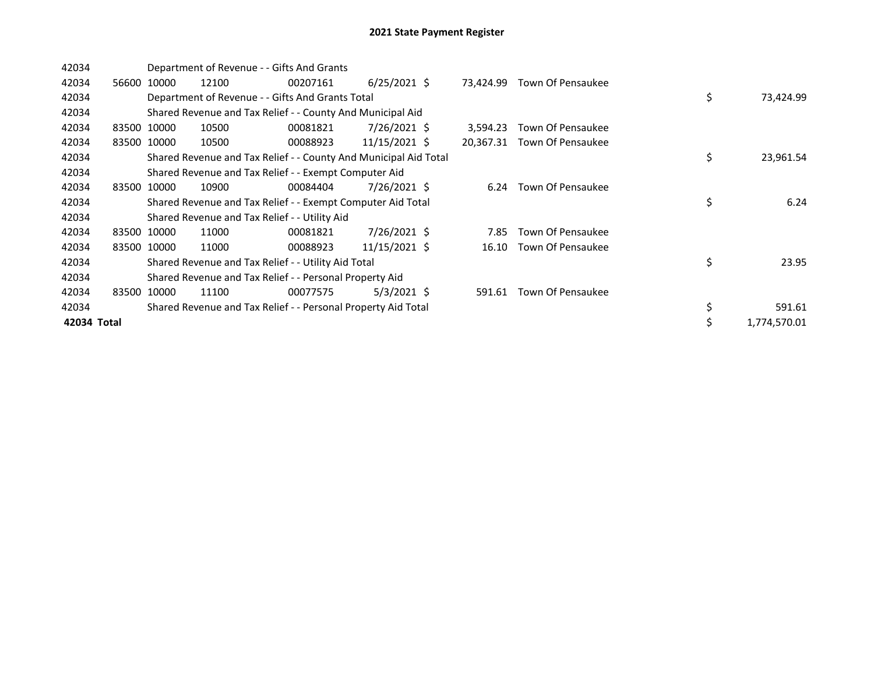| 42034       |       | Department of Revenue - - Gifts And Grants |                                                                  |          |                |  |           |                   |    |  |              |
|-------------|-------|--------------------------------------------|------------------------------------------------------------------|----------|----------------|--|-----------|-------------------|----|--|--------------|
| 42034       | 56600 | 10000                                      | 12100                                                            | 00207161 | $6/25/2021$ \$ |  | 73.424.99 | Town Of Pensaukee |    |  |              |
| 42034       |       |                                            | Department of Revenue - - Gifts And Grants Total                 |          |                |  |           |                   | \$ |  | 73,424.99    |
| 42034       |       |                                            | Shared Revenue and Tax Relief - - County And Municipal Aid       |          |                |  |           |                   |    |  |              |
| 42034       |       | 83500 10000                                | 10500                                                            | 00081821 | 7/26/2021 \$   |  | 3,594.23  | Town Of Pensaukee |    |  |              |
| 42034       |       | 83500 10000                                | 10500                                                            | 00088923 | 11/15/2021 \$  |  | 20,367.31 | Town Of Pensaukee |    |  |              |
| 42034       |       |                                            | Shared Revenue and Tax Relief - - County And Municipal Aid Total |          |                |  |           |                   | \$ |  | 23,961.54    |
| 42034       |       |                                            | Shared Revenue and Tax Relief - - Exempt Computer Aid            |          |                |  |           |                   |    |  |              |
| 42034       |       | 83500 10000                                | 10900                                                            | 00084404 | 7/26/2021 \$   |  | 6.24      | Town Of Pensaukee |    |  |              |
| 42034       |       |                                            | Shared Revenue and Tax Relief - - Exempt Computer Aid Total      |          |                |  |           |                   | \$ |  | 6.24         |
| 42034       |       |                                            | Shared Revenue and Tax Relief - - Utility Aid                    |          |                |  |           |                   |    |  |              |
| 42034       |       | 83500 10000                                | 11000                                                            | 00081821 | 7/26/2021 \$   |  | 7.85      | Town Of Pensaukee |    |  |              |
| 42034       |       | 83500 10000                                | 11000                                                            | 00088923 | 11/15/2021 \$  |  | 16.10     | Town Of Pensaukee |    |  |              |
| 42034       |       |                                            | Shared Revenue and Tax Relief - - Utility Aid Total              |          |                |  |           |                   | \$ |  | 23.95        |
| 42034       |       |                                            | Shared Revenue and Tax Relief - - Personal Property Aid          |          |                |  |           |                   |    |  |              |
| 42034       | 83500 | 10000                                      | 11100                                                            | 00077575 | 5/3/2021 \$    |  | 591.61    | Town Of Pensaukee |    |  |              |
| 42034       |       |                                            | Shared Revenue and Tax Relief - - Personal Property Aid Total    |          |                |  |           |                   | \$ |  | 591.61       |
| 42034 Total |       |                                            |                                                                  |          |                |  |           |                   | \$ |  | 1,774,570.01 |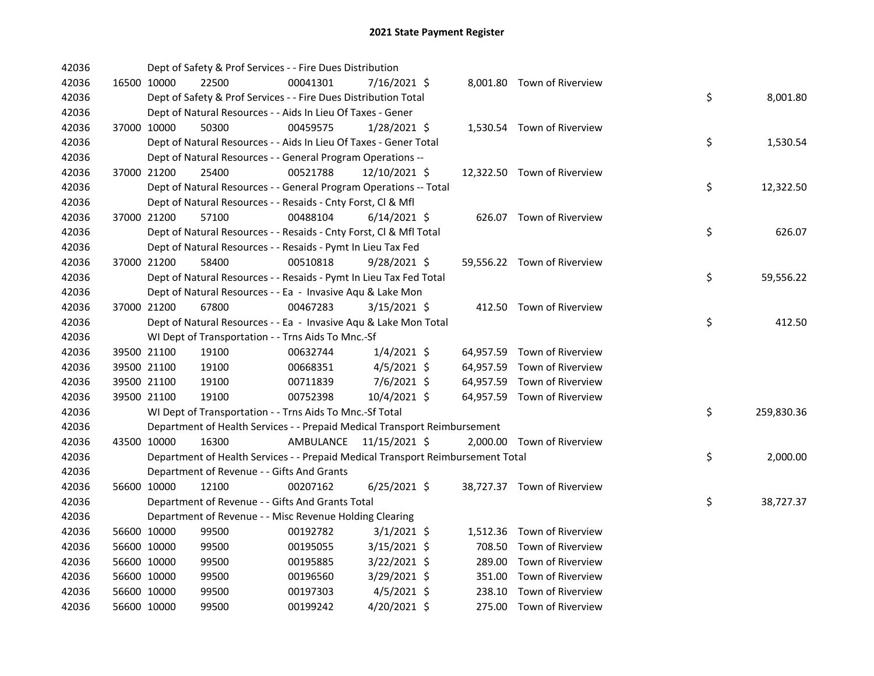| 42036 |             | Dept of Safety & Prof Services - - Fire Dues Distribution                       |           |                |  |                             |    |            |
|-------|-------------|---------------------------------------------------------------------------------|-----------|----------------|--|-----------------------------|----|------------|
| 42036 | 16500 10000 | 22500                                                                           | 00041301  | 7/16/2021 \$   |  | 8,001.80 Town of Riverview  |    |            |
| 42036 |             | Dept of Safety & Prof Services - - Fire Dues Distribution Total                 |           |                |  |                             | \$ | 8,001.80   |
| 42036 |             | Dept of Natural Resources - - Aids In Lieu Of Taxes - Gener                     |           |                |  |                             |    |            |
| 42036 | 37000 10000 | 50300                                                                           | 00459575  | $1/28/2021$ \$ |  | 1,530.54 Town of Riverview  |    |            |
| 42036 |             | Dept of Natural Resources - - Aids In Lieu Of Taxes - Gener Total               |           |                |  |                             | \$ | 1,530.54   |
| 42036 |             | Dept of Natural Resources - - General Program Operations --                     |           |                |  |                             |    |            |
| 42036 | 37000 21200 | 25400                                                                           | 00521788  | 12/10/2021 \$  |  | 12,322.50 Town of Riverview |    |            |
| 42036 |             | Dept of Natural Resources - - General Program Operations -- Total               |           |                |  |                             | \$ | 12,322.50  |
| 42036 |             | Dept of Natural Resources - - Resaids - Cnty Forst, Cl & Mfl                    |           |                |  |                             |    |            |
| 42036 | 37000 21200 | 57100                                                                           | 00488104  | $6/14/2021$ \$ |  | 626.07 Town of Riverview    |    |            |
| 42036 |             | Dept of Natural Resources - - Resaids - Cnty Forst, Cl & Mfl Total              |           |                |  |                             | \$ | 626.07     |
| 42036 |             | Dept of Natural Resources - - Resaids - Pymt In Lieu Tax Fed                    |           |                |  |                             |    |            |
| 42036 | 37000 21200 | 58400                                                                           | 00510818  | $9/28/2021$ \$ |  | 59,556.22 Town of Riverview |    |            |
| 42036 |             | Dept of Natural Resources - - Resaids - Pymt In Lieu Tax Fed Total              |           |                |  |                             | \$ | 59,556.22  |
| 42036 |             | Dept of Natural Resources - - Ea - Invasive Aqu & Lake Mon                      |           |                |  |                             |    |            |
| 42036 | 37000 21200 | 67800                                                                           | 00467283  | $3/15/2021$ \$ |  | 412.50 Town of Riverview    |    |            |
| 42036 |             | Dept of Natural Resources - - Ea - Invasive Aqu & Lake Mon Total                |           |                |  |                             | \$ | 412.50     |
| 42036 |             | WI Dept of Transportation - - Trns Aids To Mnc.-Sf                              |           |                |  |                             |    |            |
| 42036 | 39500 21100 | 19100                                                                           | 00632744  | $1/4/2021$ \$  |  | 64,957.59 Town of Riverview |    |            |
| 42036 | 39500 21100 | 19100                                                                           | 00668351  | $4/5/2021$ \$  |  | 64,957.59 Town of Riverview |    |            |
| 42036 | 39500 21100 | 19100                                                                           | 00711839  | 7/6/2021 \$    |  | 64,957.59 Town of Riverview |    |            |
| 42036 | 39500 21100 | 19100                                                                           | 00752398  | 10/4/2021 \$   |  | 64,957.59 Town of Riverview |    |            |
| 42036 |             | WI Dept of Transportation - - Trns Aids To Mnc.-Sf Total                        |           |                |  |                             | \$ | 259,830.36 |
| 42036 |             | Department of Health Services - - Prepaid Medical Transport Reimbursement       |           |                |  |                             |    |            |
| 42036 | 43500 10000 | 16300                                                                           | AMBULANCE | 11/15/2021 \$  |  | 2,000.00 Town of Riverview  |    |            |
| 42036 |             | Department of Health Services - - Prepaid Medical Transport Reimbursement Total |           |                |  |                             | \$ | 2,000.00   |
| 42036 |             | Department of Revenue - - Gifts And Grants                                      |           |                |  |                             |    |            |
| 42036 | 56600 10000 | 12100                                                                           | 00207162  | $6/25/2021$ \$ |  | 38,727.37 Town of Riverview |    |            |
| 42036 |             | Department of Revenue - - Gifts And Grants Total                                |           |                |  |                             | \$ | 38,727.37  |
| 42036 |             | Department of Revenue - - Misc Revenue Holding Clearing                         |           |                |  |                             |    |            |
| 42036 | 56600 10000 | 99500                                                                           | 00192782  | $3/1/2021$ \$  |  | 1,512.36 Town of Riverview  |    |            |
| 42036 | 56600 10000 | 99500                                                                           | 00195055  | $3/15/2021$ \$ |  | 708.50 Town of Riverview    |    |            |
| 42036 | 56600 10000 | 99500                                                                           | 00195885  | $3/22/2021$ \$ |  | 289.00 Town of Riverview    |    |            |
| 42036 | 56600 10000 | 99500                                                                           | 00196560  | 3/29/2021 \$   |  | 351.00 Town of Riverview    |    |            |
| 42036 | 56600 10000 | 99500                                                                           | 00197303  | $4/5/2021$ \$  |  | 238.10 Town of Riverview    |    |            |
| 42036 | 56600 10000 | 99500                                                                           | 00199242  | 4/20/2021 \$   |  | 275.00 Town of Riverview    |    |            |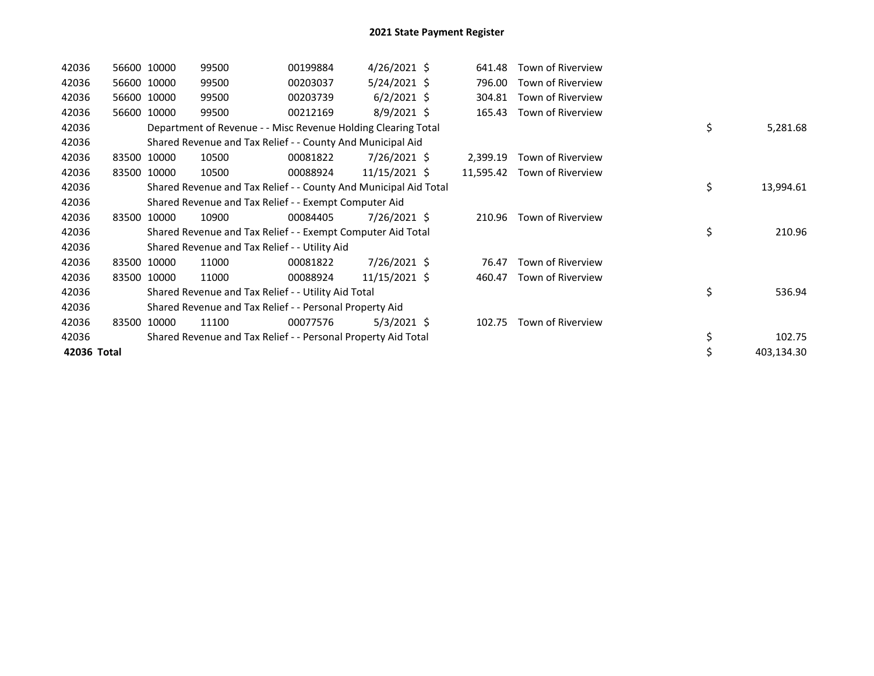| 42036       | 56600 10000 | 99500                                                            | 00199884 | $4/26/2021$ \$ | 641.48    | Town of Riverview |                  |
|-------------|-------------|------------------------------------------------------------------|----------|----------------|-----------|-------------------|------------------|
| 42036       | 56600 10000 | 99500                                                            | 00203037 | $5/24/2021$ \$ | 796.00    | Town of Riverview |                  |
| 42036       | 56600 10000 | 99500                                                            | 00203739 | $6/2/2021$ \$  | 304.81    | Town of Riverview |                  |
| 42036       | 56600 10000 | 99500                                                            | 00212169 | $8/9/2021$ \$  | 165.43    | Town of Riverview |                  |
| 42036       |             | Department of Revenue - - Misc Revenue Holding Clearing Total    |          |                |           |                   | \$<br>5,281.68   |
| 42036       |             | Shared Revenue and Tax Relief - - County And Municipal Aid       |          |                |           |                   |                  |
| 42036       | 83500 10000 | 10500                                                            | 00081822 | 7/26/2021 \$   | 2,399.19  | Town of Riverview |                  |
| 42036       | 83500 10000 | 10500                                                            | 00088924 | 11/15/2021 \$  | 11,595.42 | Town of Riverview |                  |
| 42036       |             | Shared Revenue and Tax Relief - - County And Municipal Aid Total |          |                |           |                   | \$<br>13,994.61  |
| 42036       |             | Shared Revenue and Tax Relief - - Exempt Computer Aid            |          |                |           |                   |                  |
| 42036       | 83500 10000 | 10900                                                            | 00084405 | 7/26/2021 \$   | 210.96    | Town of Riverview |                  |
| 42036       |             | Shared Revenue and Tax Relief - - Exempt Computer Aid Total      |          |                |           |                   | \$<br>210.96     |
| 42036       |             | Shared Revenue and Tax Relief - - Utility Aid                    |          |                |           |                   |                  |
| 42036       | 83500 10000 | 11000                                                            | 00081822 | 7/26/2021 \$   | 76.47     | Town of Riverview |                  |
| 42036       | 83500 10000 | 11000                                                            | 00088924 | 11/15/2021 \$  | 460.47    | Town of Riverview |                  |
| 42036       |             | Shared Revenue and Tax Relief - - Utility Aid Total              |          |                |           |                   | \$<br>536.94     |
| 42036       |             | Shared Revenue and Tax Relief - - Personal Property Aid          |          |                |           |                   |                  |
| 42036       | 83500 10000 | 11100                                                            | 00077576 | $5/3/2021$ \$  | 102.75    | Town of Riverview |                  |
| 42036       |             | Shared Revenue and Tax Relief - - Personal Property Aid Total    |          |                |           |                   | \$<br>102.75     |
| 42036 Total |             |                                                                  |          |                |           |                   | \$<br>403,134.30 |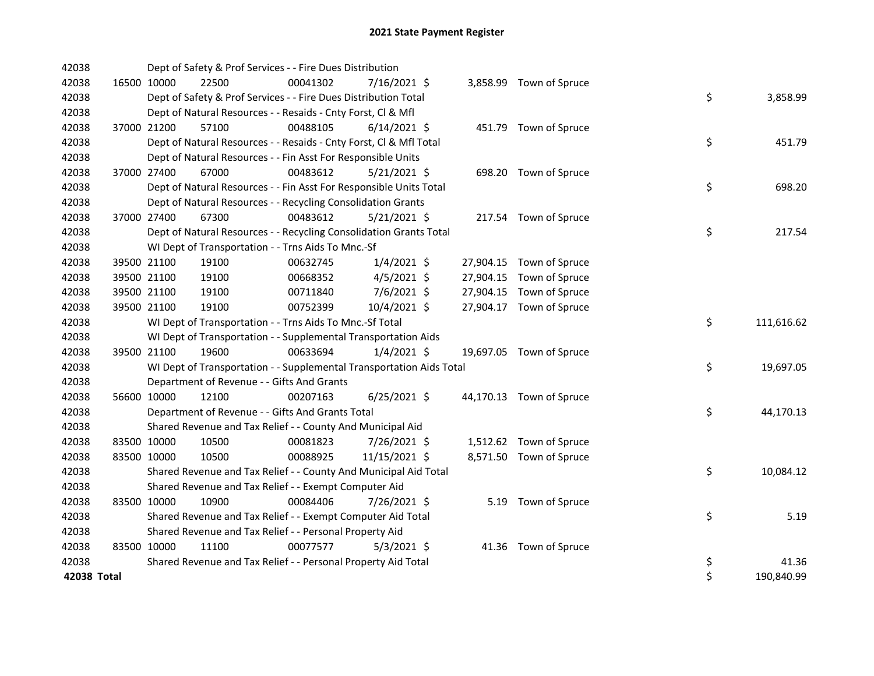| 42038       |             |             | Dept of Safety & Prof Services - - Fire Dues Distribution            |          |                |  |                          |    |            |
|-------------|-------------|-------------|----------------------------------------------------------------------|----------|----------------|--|--------------------------|----|------------|
| 42038       | 16500 10000 |             | 22500                                                                | 00041302 | 7/16/2021 \$   |  | 3,858.99 Town of Spruce  |    |            |
| 42038       |             |             | Dept of Safety & Prof Services - - Fire Dues Distribution Total      |          |                |  |                          | \$ | 3,858.99   |
| 42038       |             |             | Dept of Natural Resources - - Resaids - Cnty Forst, Cl & Mfl         |          |                |  |                          |    |            |
| 42038       |             | 37000 21200 | 57100                                                                | 00488105 | $6/14/2021$ \$ |  | 451.79 Town of Spruce    |    |            |
| 42038       |             |             | Dept of Natural Resources - - Resaids - Cnty Forst, Cl & Mfl Total   |          |                |  |                          | \$ | 451.79     |
| 42038       |             |             | Dept of Natural Resources - - Fin Asst For Responsible Units         |          |                |  |                          |    |            |
| 42038       |             | 37000 27400 | 67000                                                                | 00483612 | $5/21/2021$ \$ |  | 698.20 Town of Spruce    |    |            |
| 42038       |             |             | Dept of Natural Resources - - Fin Asst For Responsible Units Total   |          |                |  |                          | \$ | 698.20     |
| 42038       |             |             | Dept of Natural Resources - - Recycling Consolidation Grants         |          |                |  |                          |    |            |
| 42038       |             | 37000 27400 | 67300                                                                | 00483612 | 5/21/2021 \$   |  | 217.54 Town of Spruce    |    |            |
| 42038       |             |             | Dept of Natural Resources - - Recycling Consolidation Grants Total   |          |                |  |                          | \$ | 217.54     |
| 42038       |             |             | WI Dept of Transportation - - Trns Aids To Mnc.-Sf                   |          |                |  |                          |    |            |
| 42038       |             | 39500 21100 | 19100                                                                | 00632745 | $1/4/2021$ \$  |  | 27,904.15 Town of Spruce |    |            |
| 42038       |             | 39500 21100 | 19100                                                                | 00668352 | $4/5/2021$ \$  |  | 27,904.15 Town of Spruce |    |            |
| 42038       |             | 39500 21100 | 19100                                                                | 00711840 | 7/6/2021 \$    |  | 27,904.15 Town of Spruce |    |            |
| 42038       |             | 39500 21100 | 19100                                                                | 00752399 | 10/4/2021 \$   |  | 27,904.17 Town of Spruce |    |            |
| 42038       |             |             | WI Dept of Transportation - - Trns Aids To Mnc.-Sf Total             |          |                |  |                          | \$ | 111,616.62 |
| 42038       |             |             | WI Dept of Transportation - - Supplemental Transportation Aids       |          |                |  |                          |    |            |
| 42038       |             | 39500 21100 | 19600                                                                | 00633694 | $1/4/2021$ \$  |  | 19,697.05 Town of Spruce |    |            |
| 42038       |             |             | WI Dept of Transportation - - Supplemental Transportation Aids Total |          |                |  |                          | \$ | 19,697.05  |
| 42038       |             |             | Department of Revenue - - Gifts And Grants                           |          |                |  |                          |    |            |
| 42038       | 56600 10000 |             | 12100                                                                | 00207163 | $6/25/2021$ \$ |  | 44,170.13 Town of Spruce |    |            |
| 42038       |             |             | Department of Revenue - - Gifts And Grants Total                     |          |                |  |                          | \$ | 44,170.13  |
| 42038       |             |             | Shared Revenue and Tax Relief - - County And Municipal Aid           |          |                |  |                          |    |            |
| 42038       |             | 83500 10000 | 10500                                                                | 00081823 | 7/26/2021 \$   |  | 1,512.62 Town of Spruce  |    |            |
| 42038       | 83500 10000 |             | 10500                                                                | 00088925 | 11/15/2021 \$  |  | 8,571.50 Town of Spruce  |    |            |
| 42038       |             |             | Shared Revenue and Tax Relief - - County And Municipal Aid Total     |          |                |  |                          | \$ | 10,084.12  |
| 42038       |             |             | Shared Revenue and Tax Relief - - Exempt Computer Aid                |          |                |  |                          |    |            |
| 42038       | 83500 10000 |             | 10900                                                                | 00084406 | 7/26/2021 \$   |  | 5.19 Town of Spruce      |    |            |
| 42038       |             |             | Shared Revenue and Tax Relief - - Exempt Computer Aid Total          |          |                |  |                          | \$ | 5.19       |
| 42038       |             |             | Shared Revenue and Tax Relief - - Personal Property Aid              |          |                |  |                          |    |            |
| 42038       | 83500 10000 |             | 11100                                                                | 00077577 | $5/3/2021$ \$  |  | 41.36 Town of Spruce     |    |            |
| 42038       |             |             | Shared Revenue and Tax Relief - - Personal Property Aid Total        |          |                |  |                          | \$ | 41.36      |
| 42038 Total |             |             |                                                                      |          |                |  |                          | \$ | 190,840.99 |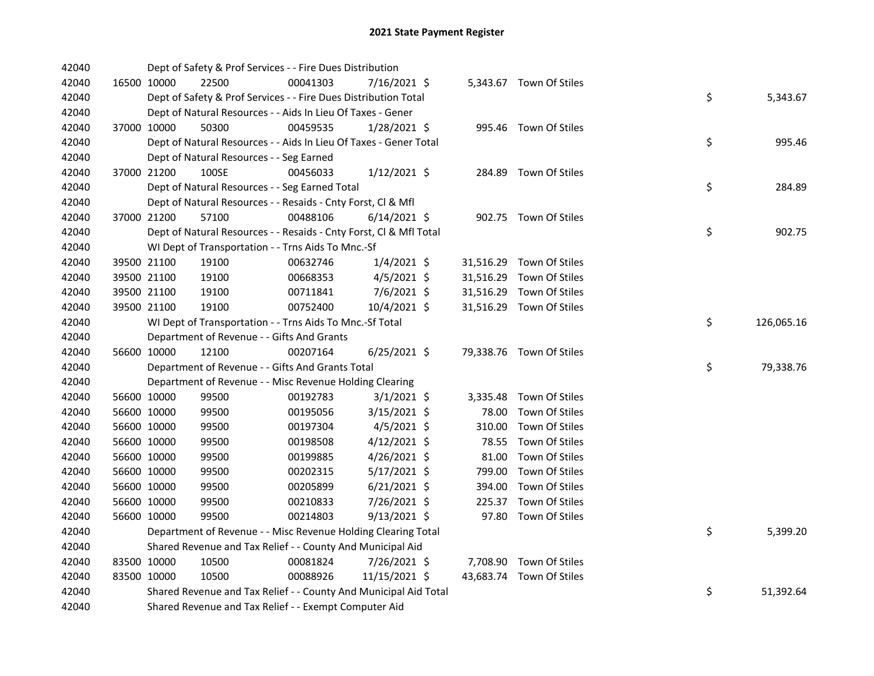| 42040 |             | Dept of Safety & Prof Services - - Fire Dues Distribution          |          |                |        |                          |    |            |
|-------|-------------|--------------------------------------------------------------------|----------|----------------|--------|--------------------------|----|------------|
| 42040 | 16500 10000 | 22500                                                              | 00041303 | 7/16/2021 \$   |        | 5,343.67 Town Of Stiles  |    |            |
| 42040 |             | Dept of Safety & Prof Services - - Fire Dues Distribution Total    |          |                |        |                          | \$ | 5,343.67   |
| 42040 |             | Dept of Natural Resources - - Aids In Lieu Of Taxes - Gener        |          |                |        |                          |    |            |
| 42040 | 37000 10000 | 50300                                                              | 00459535 | $1/28/2021$ \$ |        | 995.46 Town Of Stiles    |    |            |
| 42040 |             | Dept of Natural Resources - - Aids In Lieu Of Taxes - Gener Total  |          |                |        |                          | \$ | 995.46     |
| 42040 |             | Dept of Natural Resources - - Seg Earned                           |          |                |        |                          |    |            |
| 42040 | 37000 21200 | 100SE                                                              | 00456033 | $1/12/2021$ \$ |        | 284.89 Town Of Stiles    |    |            |
| 42040 |             | Dept of Natural Resources - - Seg Earned Total                     |          |                |        |                          | \$ | 284.89     |
| 42040 |             | Dept of Natural Resources - - Resaids - Cnty Forst, CI & Mfl       |          |                |        |                          |    |            |
| 42040 | 37000 21200 | 57100                                                              | 00488106 | $6/14/2021$ \$ |        | 902.75 Town Of Stiles    |    |            |
| 42040 |             | Dept of Natural Resources - - Resaids - Cnty Forst, CI & Mfl Total |          |                |        |                          | \$ | 902.75     |
| 42040 |             | WI Dept of Transportation - - Trns Aids To Mnc.-Sf                 |          |                |        |                          |    |            |
| 42040 | 39500 21100 | 19100                                                              | 00632746 | $1/4/2021$ \$  |        | 31,516.29 Town Of Stiles |    |            |
| 42040 | 39500 21100 | 19100                                                              | 00668353 | $4/5/2021$ \$  |        | 31,516.29 Town Of Stiles |    |            |
| 42040 | 39500 21100 | 19100                                                              | 00711841 | 7/6/2021 \$    |        | 31,516.29 Town Of Stiles |    |            |
| 42040 | 39500 21100 | 19100                                                              | 00752400 | 10/4/2021 \$   |        | 31,516.29 Town Of Stiles |    |            |
| 42040 |             | WI Dept of Transportation - - Trns Aids To Mnc.-Sf Total           |          |                |        |                          | \$ | 126,065.16 |
| 42040 |             | Department of Revenue - - Gifts And Grants                         |          |                |        |                          |    |            |
| 42040 | 56600 10000 | 12100                                                              | 00207164 | $6/25/2021$ \$ |        | 79,338.76 Town Of Stiles |    |            |
| 42040 |             | Department of Revenue - - Gifts And Grants Total                   |          |                |        |                          | \$ | 79,338.76  |
| 42040 |             | Department of Revenue - - Misc Revenue Holding Clearing            |          |                |        |                          |    |            |
| 42040 | 56600 10000 | 99500                                                              | 00192783 | $3/1/2021$ \$  |        | 3,335.48 Town Of Stiles  |    |            |
| 42040 | 56600 10000 | 99500                                                              | 00195056 | 3/15/2021 \$   | 78.00  | Town Of Stiles           |    |            |
| 42040 | 56600 10000 | 99500                                                              | 00197304 | $4/5/2021$ \$  | 310.00 | Town Of Stiles           |    |            |
| 42040 | 56600 10000 | 99500                                                              | 00198508 | $4/12/2021$ \$ | 78.55  | Town Of Stiles           |    |            |
| 42040 | 56600 10000 | 99500                                                              | 00199885 | 4/26/2021 \$   | 81.00  | Town Of Stiles           |    |            |
| 42040 | 56600 10000 | 99500                                                              | 00202315 | $5/17/2021$ \$ | 799.00 | Town Of Stiles           |    |            |
| 42040 | 56600 10000 | 99500                                                              | 00205899 | $6/21/2021$ \$ | 394.00 | Town Of Stiles           |    |            |
| 42040 | 56600 10000 | 99500                                                              | 00210833 | 7/26/2021 \$   | 225.37 | Town Of Stiles           |    |            |
| 42040 | 56600 10000 | 99500                                                              | 00214803 | $9/13/2021$ \$ | 97.80  | Town Of Stiles           |    |            |
| 42040 |             | Department of Revenue - - Misc Revenue Holding Clearing Total      |          |                |        |                          | \$ | 5,399.20   |
| 42040 |             | Shared Revenue and Tax Relief - - County And Municipal Aid         |          |                |        |                          |    |            |
| 42040 | 83500 10000 | 10500                                                              | 00081824 | 7/26/2021 \$   |        | 7,708.90 Town Of Stiles  |    |            |
| 42040 | 83500 10000 | 10500                                                              | 00088926 | 11/15/2021 \$  |        | 43,683.74 Town Of Stiles |    |            |
| 42040 |             | Shared Revenue and Tax Relief - - County And Municipal Aid Total   |          |                |        |                          | \$ | 51,392.64  |
| 42040 |             | Shared Revenue and Tax Relief - - Exempt Computer Aid              |          |                |        |                          |    |            |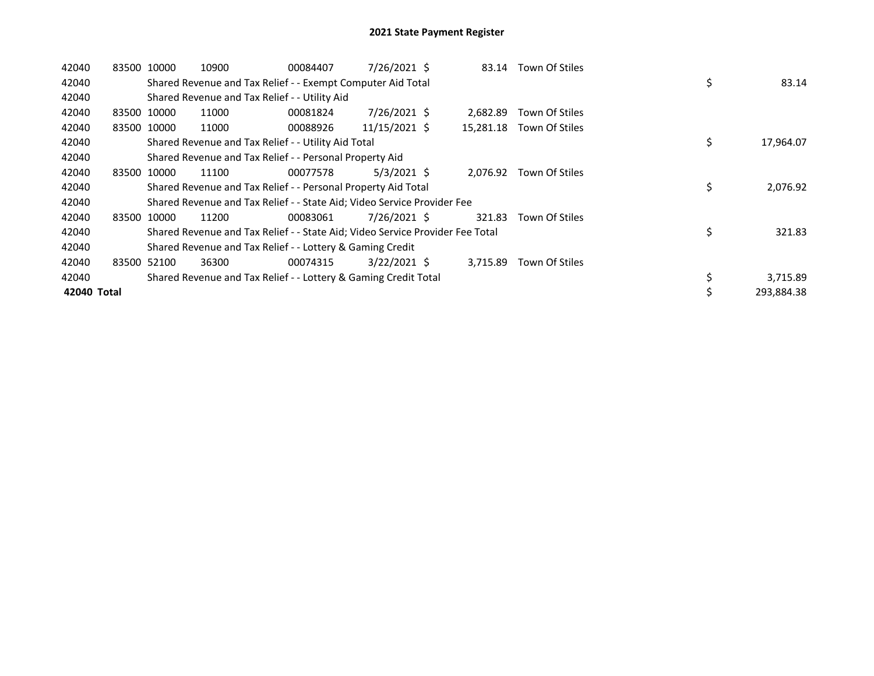| 42040       | 83500 10000 |             | 10900                                                                         | 00084407 | 7/26/2021 \$   | 83.14     | Town Of Stiles |    |            |
|-------------|-------------|-------------|-------------------------------------------------------------------------------|----------|----------------|-----------|----------------|----|------------|
| 42040       |             |             | Shared Revenue and Tax Relief - - Exempt Computer Aid Total                   |          |                |           |                | \$ | 83.14      |
| 42040       |             |             | Shared Revenue and Tax Relief - - Utility Aid                                 |          |                |           |                |    |            |
| 42040       |             | 83500 10000 | 11000                                                                         | 00081824 | 7/26/2021 \$   | 2.682.89  | Town Of Stiles |    |            |
| 42040       |             | 83500 10000 | 11000                                                                         | 00088926 | 11/15/2021 \$  | 15,281.18 | Town Of Stiles |    |            |
| 42040       |             |             | Shared Revenue and Tax Relief - - Utility Aid Total                           |          |                |           |                | \$ | 17,964.07  |
| 42040       |             |             | Shared Revenue and Tax Relief - - Personal Property Aid                       |          |                |           |                |    |            |
| 42040       |             | 83500 10000 | 11100                                                                         | 00077578 | $5/3/2021$ \$  | 2,076.92  | Town Of Stiles |    |            |
| 42040       |             |             | Shared Revenue and Tax Relief - - Personal Property Aid Total                 |          |                |           |                | \$ | 2,076.92   |
| 42040       |             |             | Shared Revenue and Tax Relief - - State Aid; Video Service Provider Fee       |          |                |           |                |    |            |
| 42040       |             | 83500 10000 | 11200                                                                         | 00083061 | 7/26/2021 \$   | 321.83    | Town Of Stiles |    |            |
| 42040       |             |             | Shared Revenue and Tax Relief - - State Aid; Video Service Provider Fee Total |          |                |           |                | \$ | 321.83     |
| 42040       |             |             | Shared Revenue and Tax Relief - - Lottery & Gaming Credit                     |          |                |           |                |    |            |
| 42040       |             | 83500 52100 | 36300                                                                         | 00074315 | $3/22/2021$ \$ | 3,715.89  | Town Of Stiles |    |            |
| 42040       |             |             | Shared Revenue and Tax Relief - - Lottery & Gaming Credit Total               |          |                |           |                | \$ | 3,715.89   |
| 42040 Total |             |             |                                                                               |          |                |           |                | \$ | 293,884.38 |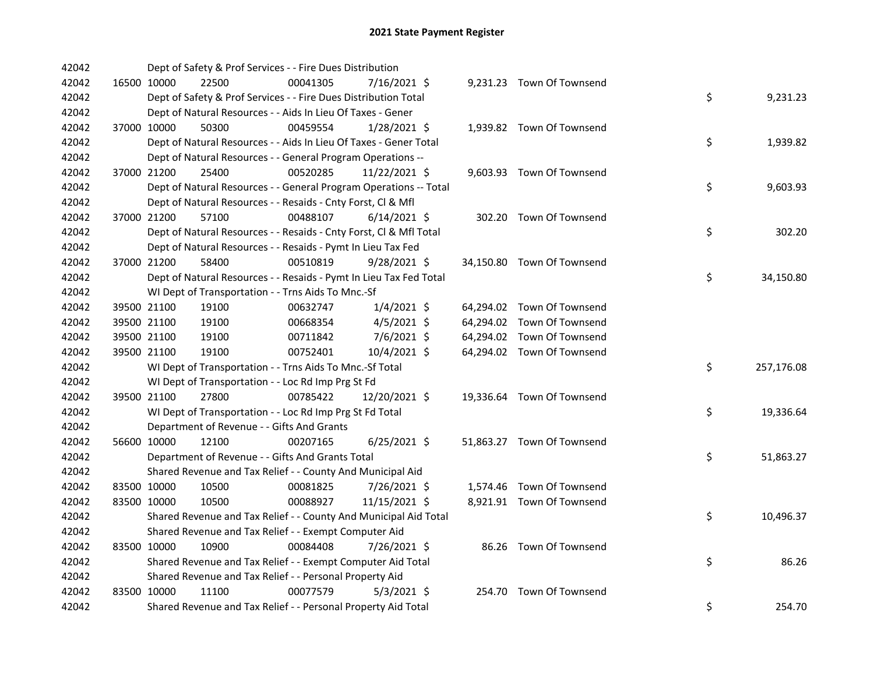| 42042 |             | Dept of Safety & Prof Services - - Fire Dues Distribution          |          |                |  |                            |                  |
|-------|-------------|--------------------------------------------------------------------|----------|----------------|--|----------------------------|------------------|
| 42042 | 16500 10000 | 22500                                                              | 00041305 | 7/16/2021 \$   |  | 9,231.23 Town Of Townsend  |                  |
| 42042 |             | Dept of Safety & Prof Services - - Fire Dues Distribution Total    |          |                |  |                            | \$<br>9,231.23   |
| 42042 |             | Dept of Natural Resources - - Aids In Lieu Of Taxes - Gener        |          |                |  |                            |                  |
| 42042 | 37000 10000 | 50300                                                              | 00459554 | 1/28/2021 \$   |  | 1,939.82 Town Of Townsend  |                  |
| 42042 |             | Dept of Natural Resources - - Aids In Lieu Of Taxes - Gener Total  |          |                |  |                            | \$<br>1,939.82   |
| 42042 |             | Dept of Natural Resources - - General Program Operations --        |          |                |  |                            |                  |
| 42042 | 37000 21200 | 25400                                                              | 00520285 | 11/22/2021 \$  |  | 9,603.93 Town Of Townsend  |                  |
| 42042 |             | Dept of Natural Resources - - General Program Operations -- Total  |          |                |  |                            | \$<br>9,603.93   |
| 42042 |             | Dept of Natural Resources - - Resaids - Cnty Forst, Cl & Mfl       |          |                |  |                            |                  |
| 42042 | 37000 21200 | 57100                                                              | 00488107 | $6/14/2021$ \$ |  | 302.20 Town Of Townsend    |                  |
| 42042 |             | Dept of Natural Resources - - Resaids - Cnty Forst, Cl & Mfl Total |          |                |  |                            | \$<br>302.20     |
| 42042 |             | Dept of Natural Resources - - Resaids - Pymt In Lieu Tax Fed       |          |                |  |                            |                  |
| 42042 | 37000 21200 | 58400                                                              | 00510819 | $9/28/2021$ \$ |  | 34,150.80 Town Of Townsend |                  |
| 42042 |             | Dept of Natural Resources - - Resaids - Pymt In Lieu Tax Fed Total |          |                |  |                            | \$<br>34,150.80  |
| 42042 |             | WI Dept of Transportation - - Trns Aids To Mnc.-Sf                 |          |                |  |                            |                  |
| 42042 | 39500 21100 | 19100                                                              | 00632747 | $1/4/2021$ \$  |  | 64,294.02 Town Of Townsend |                  |
| 42042 | 39500 21100 | 19100                                                              | 00668354 | $4/5/2021$ \$  |  | 64,294.02 Town Of Townsend |                  |
| 42042 | 39500 21100 | 19100                                                              | 00711842 | 7/6/2021 \$    |  | 64,294.02 Town Of Townsend |                  |
| 42042 | 39500 21100 | 19100                                                              | 00752401 | 10/4/2021 \$   |  | 64,294.02 Town Of Townsend |                  |
| 42042 |             | WI Dept of Transportation - - Trns Aids To Mnc.-Sf Total           |          |                |  |                            | \$<br>257,176.08 |
| 42042 |             | WI Dept of Transportation - - Loc Rd Imp Prg St Fd                 |          |                |  |                            |                  |
| 42042 | 39500 21100 | 27800                                                              | 00785422 | 12/20/2021 \$  |  | 19,336.64 Town Of Townsend |                  |
| 42042 |             | WI Dept of Transportation - - Loc Rd Imp Prg St Fd Total           |          |                |  |                            | \$<br>19,336.64  |
| 42042 |             | Department of Revenue - - Gifts And Grants                         |          |                |  |                            |                  |
| 42042 | 56600 10000 | 12100                                                              | 00207165 | $6/25/2021$ \$ |  | 51,863.27 Town Of Townsend |                  |
| 42042 |             | Department of Revenue - - Gifts And Grants Total                   |          |                |  |                            | \$<br>51,863.27  |
| 42042 |             | Shared Revenue and Tax Relief - - County And Municipal Aid         |          |                |  |                            |                  |
| 42042 | 83500 10000 | 10500                                                              | 00081825 | 7/26/2021 \$   |  | 1,574.46 Town Of Townsend  |                  |
| 42042 | 83500 10000 | 10500                                                              | 00088927 | 11/15/2021 \$  |  | 8,921.91 Town Of Townsend  |                  |
| 42042 |             | Shared Revenue and Tax Relief - - County And Municipal Aid Total   |          |                |  |                            | \$<br>10,496.37  |
| 42042 |             | Shared Revenue and Tax Relief - - Exempt Computer Aid              |          |                |  |                            |                  |
| 42042 | 83500 10000 | 10900                                                              | 00084408 | 7/26/2021 \$   |  | 86.26 Town Of Townsend     |                  |
| 42042 |             | Shared Revenue and Tax Relief - - Exempt Computer Aid Total        |          |                |  |                            | \$<br>86.26      |
| 42042 |             | Shared Revenue and Tax Relief - - Personal Property Aid            |          |                |  |                            |                  |
| 42042 | 83500 10000 | 11100                                                              | 00077579 | $5/3/2021$ \$  |  | 254.70 Town Of Townsend    |                  |
| 42042 |             | Shared Revenue and Tax Relief - - Personal Property Aid Total      |          |                |  |                            | \$<br>254.70     |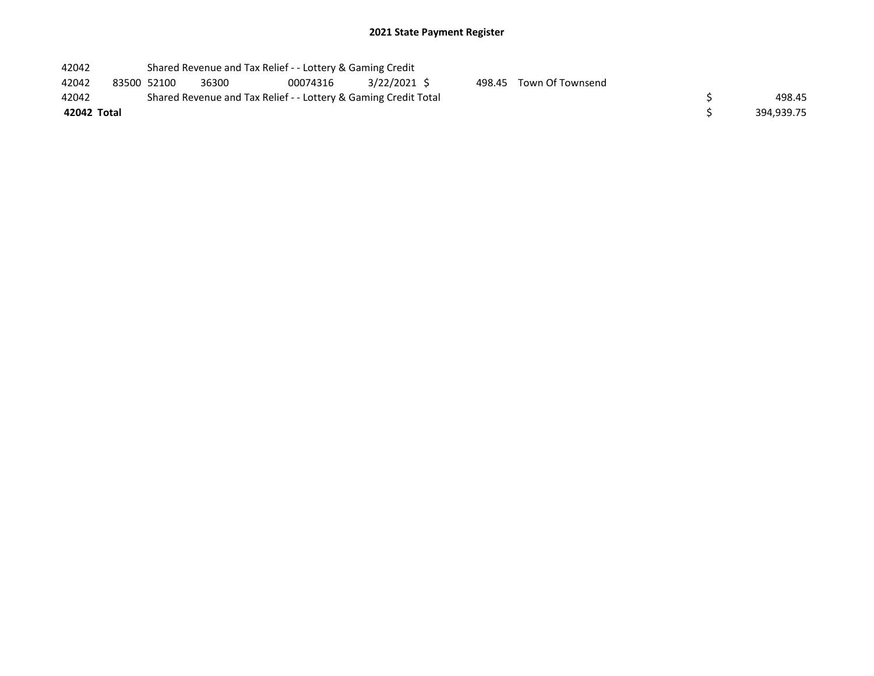| 42042       |             | Shared Revenue and Tax Relief - - Lottery & Gaming Credit       |          |                |        |                         |  |
|-------------|-------------|-----------------------------------------------------------------|----------|----------------|--------|-------------------------|--|
| 42042       | 83500 52100 | 36300                                                           | 00074316 | $3/22/2021$ \$ |        | 498.45 Town Of Townsend |  |
| 42042       |             | Shared Revenue and Tax Relief - - Lottery & Gaming Credit Total |          |                | 498.45 |                         |  |
| 42042 Total |             |                                                                 |          | 394,939.75     |        |                         |  |
|             |             |                                                                 |          |                |        |                         |  |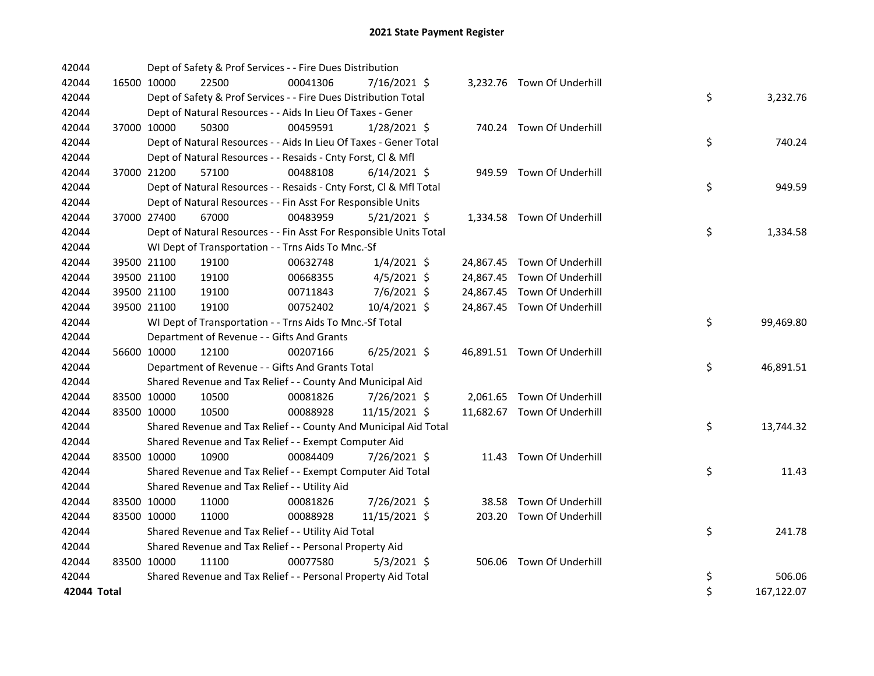| 42044       |             | Dept of Safety & Prof Services - - Fire Dues Distribution          |          |                |  |                             |    |            |
|-------------|-------------|--------------------------------------------------------------------|----------|----------------|--|-----------------------------|----|------------|
| 42044       | 16500 10000 | 22500                                                              | 00041306 | 7/16/2021 \$   |  | 3,232.76 Town Of Underhill  |    |            |
| 42044       |             | Dept of Safety & Prof Services - - Fire Dues Distribution Total    |          |                |  |                             | \$ | 3,232.76   |
| 42044       |             | Dept of Natural Resources - - Aids In Lieu Of Taxes - Gener        |          |                |  |                             |    |            |
| 42044       | 37000 10000 | 50300                                                              | 00459591 | $1/28/2021$ \$ |  | 740.24 Town Of Underhill    |    |            |
| 42044       |             | Dept of Natural Resources - - Aids In Lieu Of Taxes - Gener Total  |          |                |  |                             | \$ | 740.24     |
| 42044       |             | Dept of Natural Resources - - Resaids - Cnty Forst, Cl & Mfl       |          |                |  |                             |    |            |
| 42044       | 37000 21200 | 57100                                                              | 00488108 | $6/14/2021$ \$ |  | 949.59 Town Of Underhill    |    |            |
| 42044       |             | Dept of Natural Resources - - Resaids - Cnty Forst, Cl & Mfl Total |          |                |  |                             | \$ | 949.59     |
| 42044       |             | Dept of Natural Resources - - Fin Asst For Responsible Units       |          |                |  |                             |    |            |
| 42044       | 37000 27400 | 67000                                                              | 00483959 | $5/21/2021$ \$ |  | 1,334.58 Town Of Underhill  |    |            |
| 42044       |             | Dept of Natural Resources - - Fin Asst For Responsible Units Total |          |                |  |                             | \$ | 1,334.58   |
| 42044       |             | WI Dept of Transportation - - Trns Aids To Mnc.-Sf                 |          |                |  |                             |    |            |
| 42044       | 39500 21100 | 19100                                                              | 00632748 | $1/4/2021$ \$  |  | 24,867.45 Town Of Underhill |    |            |
| 42044       | 39500 21100 | 19100                                                              | 00668355 | $4/5/2021$ \$  |  | 24,867.45 Town Of Underhill |    |            |
| 42044       | 39500 21100 | 19100                                                              | 00711843 | 7/6/2021 \$    |  | 24,867.45 Town Of Underhill |    |            |
| 42044       | 39500 21100 | 19100                                                              | 00752402 | 10/4/2021 \$   |  | 24,867.45 Town Of Underhill |    |            |
| 42044       |             | WI Dept of Transportation - - Trns Aids To Mnc.-Sf Total           |          |                |  |                             | \$ | 99,469.80  |
| 42044       |             | Department of Revenue - - Gifts And Grants                         |          |                |  |                             |    |            |
| 42044       | 56600 10000 | 12100                                                              | 00207166 | $6/25/2021$ \$ |  | 46,891.51 Town Of Underhill |    |            |
| 42044       |             | Department of Revenue - - Gifts And Grants Total                   |          |                |  |                             | \$ | 46,891.51  |
| 42044       |             | Shared Revenue and Tax Relief - - County And Municipal Aid         |          |                |  |                             |    |            |
| 42044       | 83500 10000 | 10500                                                              | 00081826 | 7/26/2021 \$   |  | 2,061.65 Town Of Underhill  |    |            |
| 42044       | 83500 10000 | 10500                                                              | 00088928 | 11/15/2021 \$  |  | 11,682.67 Town Of Underhill |    |            |
| 42044       |             | Shared Revenue and Tax Relief - - County And Municipal Aid Total   |          |                |  |                             | \$ | 13,744.32  |
| 42044       |             | Shared Revenue and Tax Relief - - Exempt Computer Aid              |          |                |  |                             |    |            |
| 42044       | 83500 10000 | 10900                                                              | 00084409 | 7/26/2021 \$   |  | 11.43 Town Of Underhill     |    |            |
| 42044       |             | Shared Revenue and Tax Relief - - Exempt Computer Aid Total        |          |                |  |                             | \$ | 11.43      |
| 42044       |             | Shared Revenue and Tax Relief - - Utility Aid                      |          |                |  |                             |    |            |
| 42044       | 83500 10000 | 11000                                                              | 00081826 | 7/26/2021 \$   |  | 38.58 Town Of Underhill     |    |            |
| 42044       | 83500 10000 | 11000                                                              | 00088928 | 11/15/2021 \$  |  | 203.20 Town Of Underhill    |    |            |
| 42044       |             | Shared Revenue and Tax Relief - - Utility Aid Total                |          |                |  |                             | \$ | 241.78     |
| 42044       |             | Shared Revenue and Tax Relief - - Personal Property Aid            |          |                |  |                             |    |            |
| 42044       | 83500 10000 | 11100                                                              | 00077580 | $5/3/2021$ \$  |  | 506.06 Town Of Underhill    |    |            |
| 42044       |             | Shared Revenue and Tax Relief - - Personal Property Aid Total      |          |                |  |                             | \$ | 506.06     |
| 42044 Total |             |                                                                    |          |                |  |                             | \$ | 167,122.07 |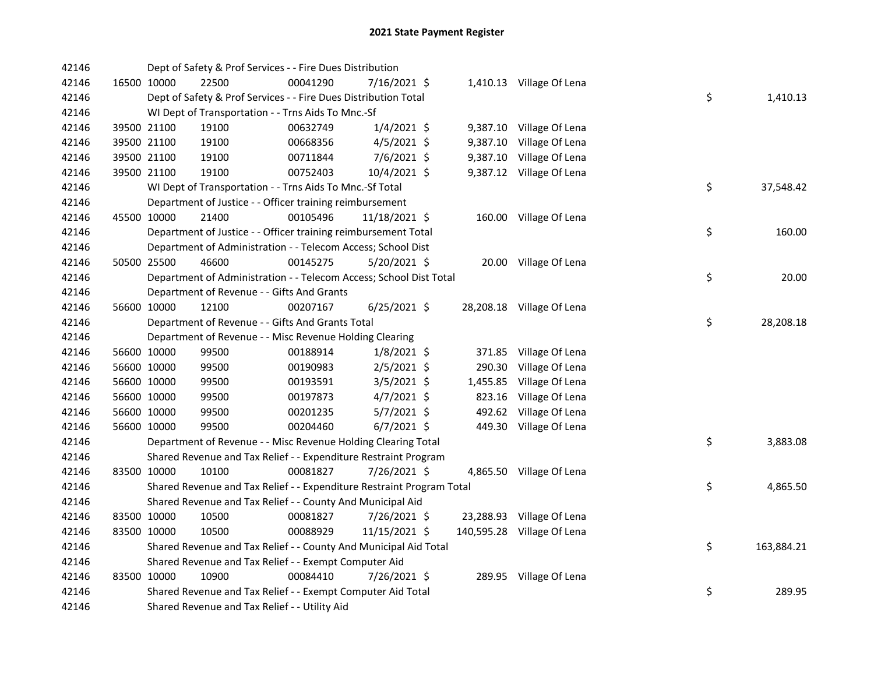| 42146 |             |             | Dept of Safety & Prof Services - - Fire Dues Distribution             |          |                |          |                            |    |            |
|-------|-------------|-------------|-----------------------------------------------------------------------|----------|----------------|----------|----------------------------|----|------------|
| 42146 |             | 16500 10000 | 22500                                                                 | 00041290 | 7/16/2021 \$   |          | 1,410.13 Village Of Lena   |    |            |
| 42146 |             |             | Dept of Safety & Prof Services - - Fire Dues Distribution Total       |          |                |          |                            | \$ | 1,410.13   |
| 42146 |             |             | WI Dept of Transportation - - Trns Aids To Mnc.-Sf                    |          |                |          |                            |    |            |
| 42146 |             | 39500 21100 | 19100                                                                 | 00632749 | $1/4/2021$ \$  |          | 9,387.10 Village Of Lena   |    |            |
| 42146 |             | 39500 21100 | 19100                                                                 | 00668356 | $4/5/2021$ \$  | 9,387.10 | Village Of Lena            |    |            |
| 42146 |             | 39500 21100 | 19100                                                                 | 00711844 | 7/6/2021 \$    | 9,387.10 | Village Of Lena            |    |            |
| 42146 |             | 39500 21100 | 19100                                                                 | 00752403 | 10/4/2021 \$   |          | 9,387.12 Village Of Lena   |    |            |
| 42146 |             |             | WI Dept of Transportation - - Trns Aids To Mnc.-Sf Total              |          |                |          |                            | \$ | 37,548.42  |
| 42146 |             |             | Department of Justice - - Officer training reimbursement              |          |                |          |                            |    |            |
| 42146 |             | 45500 10000 | 21400                                                                 | 00105496 | 11/18/2021 \$  |          | 160.00 Village Of Lena     |    |            |
| 42146 |             |             | Department of Justice - - Officer training reimbursement Total        |          |                |          |                            | \$ | 160.00     |
| 42146 |             |             | Department of Administration - - Telecom Access; School Dist          |          |                |          |                            |    |            |
| 42146 |             | 50500 25500 | 46600                                                                 | 00145275 | 5/20/2021 \$   |          | 20.00 Village Of Lena      |    |            |
| 42146 |             |             | Department of Administration - - Telecom Access; School Dist Total    |          |                |          |                            | \$ | 20.00      |
| 42146 |             |             | Department of Revenue - - Gifts And Grants                            |          |                |          |                            |    |            |
| 42146 |             | 56600 10000 | 12100                                                                 | 00207167 | $6/25/2021$ \$ |          | 28,208.18 Village Of Lena  |    |            |
| 42146 |             |             | Department of Revenue - - Gifts And Grants Total                      |          |                |          |                            | \$ | 28,208.18  |
| 42146 |             |             | Department of Revenue - - Misc Revenue Holding Clearing               |          |                |          |                            |    |            |
| 42146 |             | 56600 10000 | 99500                                                                 | 00188914 | $1/8/2021$ \$  | 371.85   | Village Of Lena            |    |            |
| 42146 |             | 56600 10000 | 99500                                                                 | 00190983 | $2/5/2021$ \$  | 290.30   | Village Of Lena            |    |            |
| 42146 |             | 56600 10000 | 99500                                                                 | 00193591 | $3/5/2021$ \$  | 1,455.85 | Village Of Lena            |    |            |
| 42146 |             | 56600 10000 | 99500                                                                 | 00197873 | 4/7/2021 \$    | 823.16   | Village Of Lena            |    |            |
| 42146 | 56600 10000 |             | 99500                                                                 | 00201235 | $5/7/2021$ \$  | 492.62   | Village Of Lena            |    |            |
| 42146 |             | 56600 10000 | 99500                                                                 | 00204460 | $6/7/2021$ \$  |          | 449.30 Village Of Lena     |    |            |
| 42146 |             |             | Department of Revenue - - Misc Revenue Holding Clearing Total         |          |                |          |                            | \$ | 3,883.08   |
| 42146 |             |             | Shared Revenue and Tax Relief - - Expenditure Restraint Program       |          |                |          |                            |    |            |
| 42146 |             | 83500 10000 | 10100                                                                 | 00081827 | 7/26/2021 \$   |          | 4,865.50 Village Of Lena   |    |            |
| 42146 |             |             | Shared Revenue and Tax Relief - - Expenditure Restraint Program Total |          |                |          |                            | \$ | 4,865.50   |
| 42146 |             |             | Shared Revenue and Tax Relief - - County And Municipal Aid            |          |                |          |                            |    |            |
| 42146 |             | 83500 10000 | 10500                                                                 | 00081827 | 7/26/2021 \$   |          | 23,288.93 Village Of Lena  |    |            |
| 42146 |             | 83500 10000 | 10500                                                                 | 00088929 | 11/15/2021 \$  |          | 140,595.28 Village Of Lena |    |            |
| 42146 |             |             | Shared Revenue and Tax Relief - - County And Municipal Aid Total      |          |                |          |                            | \$ | 163,884.21 |
| 42146 |             |             | Shared Revenue and Tax Relief - - Exempt Computer Aid                 |          |                |          |                            |    |            |
| 42146 | 83500 10000 |             | 10900                                                                 | 00084410 | 7/26/2021 \$   |          | 289.95 Village Of Lena     |    |            |
| 42146 |             |             | Shared Revenue and Tax Relief - - Exempt Computer Aid Total           |          |                |          |                            | \$ | 289.95     |
| 42146 |             |             | Shared Revenue and Tax Relief - - Utility Aid                         |          |                |          |                            |    |            |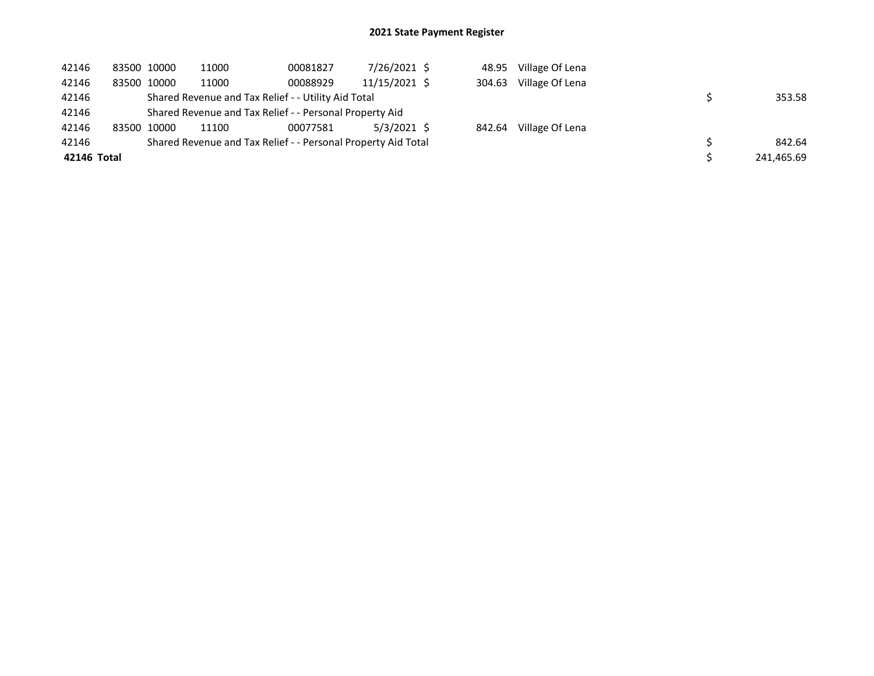| 42146       | 83500 10000 |             | 11000 | 00081827                                                      | 7/26/2021 \$  | 48.95  | Village Of Lena |            |
|-------------|-------------|-------------|-------|---------------------------------------------------------------|---------------|--------|-----------------|------------|
| 42146       |             | 83500 10000 | 11000 | 00088929                                                      | 11/15/2021 \$ | 304.63 | Village Of Lena |            |
| 42146       |             |             |       | Shared Revenue and Tax Relief - - Utility Aid Total           |               |        |                 | 353.58     |
| 42146       |             |             |       | Shared Revenue and Tax Relief - - Personal Property Aid       |               |        |                 |            |
| 42146       |             | 83500 10000 | 11100 | 00077581                                                      | 5/3/2021 \$   | 842.64 | Village Of Lena |            |
| 42146       |             |             |       | Shared Revenue and Tax Relief - - Personal Property Aid Total |               |        |                 | 842.64     |
| 42146 Total |             |             |       |                                                               |               |        |                 | 241,465.69 |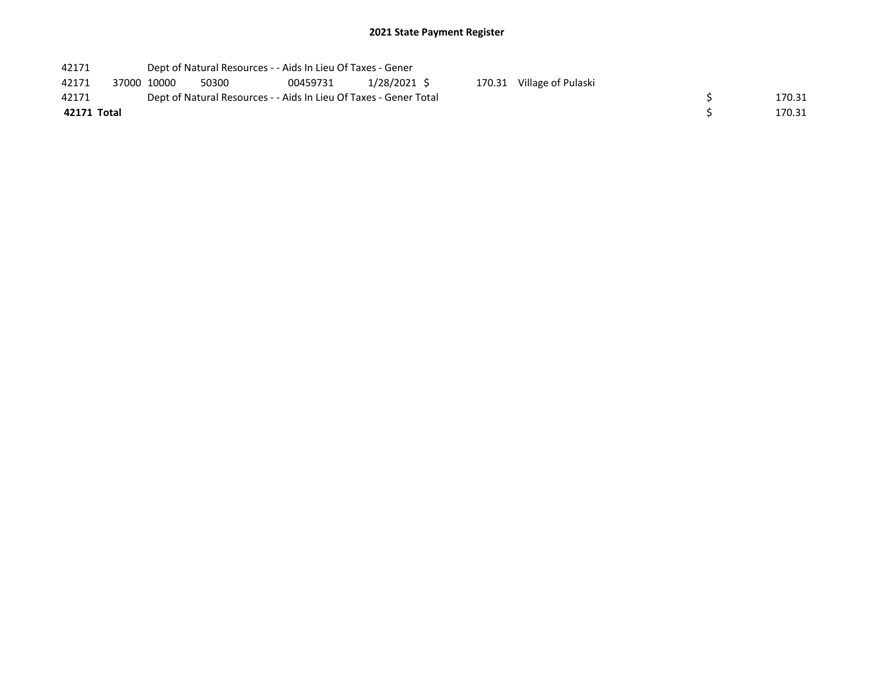| 42171       |             |       | Dept of Natural Resources - - Aids In Lieu Of Taxes - Gener       |             |                           |  |        |
|-------------|-------------|-------|-------------------------------------------------------------------|-------------|---------------------------|--|--------|
| 42171       | 37000 10000 | 50300 | 00459731                                                          | 1/28/2021 S | 170.31 Village of Pulaski |  |        |
| 42171       |             |       | Dept of Natural Resources - - Aids In Lieu Of Taxes - Gener Total |             |                           |  | 170.31 |
| 42171 Total |             |       |                                                                   |             |                           |  | 170.31 |
|             |             |       |                                                                   |             |                           |  |        |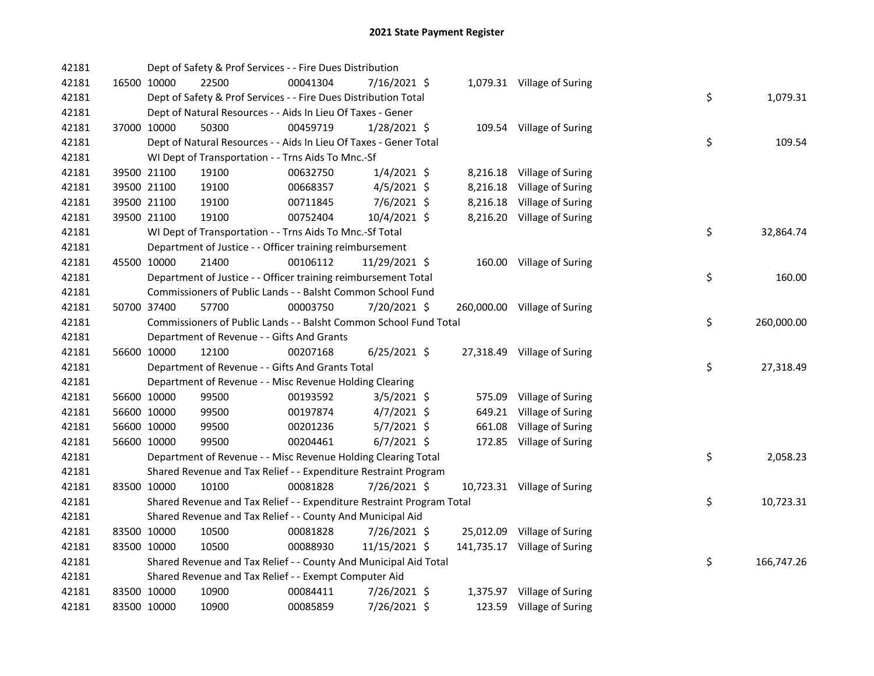| 42181 |             | Dept of Safety & Prof Services - - Fire Dues Distribution             |          |                |        |                              |    |            |
|-------|-------------|-----------------------------------------------------------------------|----------|----------------|--------|------------------------------|----|------------|
| 42181 | 16500 10000 | 22500                                                                 | 00041304 | 7/16/2021 \$   |        | 1,079.31 Village of Suring   |    |            |
| 42181 |             | Dept of Safety & Prof Services - - Fire Dues Distribution Total       |          |                |        |                              | \$ | 1,079.31   |
| 42181 |             | Dept of Natural Resources - - Aids In Lieu Of Taxes - Gener           |          |                |        |                              |    |            |
| 42181 | 37000 10000 | 50300                                                                 | 00459719 | 1/28/2021 \$   |        | 109.54 Village of Suring     |    |            |
| 42181 |             | Dept of Natural Resources - - Aids In Lieu Of Taxes - Gener Total     |          |                |        |                              | \$ | 109.54     |
| 42181 |             | WI Dept of Transportation - - Trns Aids To Mnc.-Sf                    |          |                |        |                              |    |            |
| 42181 | 39500 21100 | 19100                                                                 | 00632750 | $1/4/2021$ \$  |        | 8,216.18 Village of Suring   |    |            |
| 42181 | 39500 21100 | 19100                                                                 | 00668357 | $4/5/2021$ \$  |        | 8,216.18 Village of Suring   |    |            |
| 42181 | 39500 21100 | 19100                                                                 | 00711845 | $7/6/2021$ \$  |        | 8,216.18 Village of Suring   |    |            |
| 42181 | 39500 21100 | 19100                                                                 | 00752404 | 10/4/2021 \$   |        | 8,216.20 Village of Suring   |    |            |
| 42181 |             | WI Dept of Transportation - - Trns Aids To Mnc.-Sf Total              |          |                |        |                              | \$ | 32,864.74  |
| 42181 |             | Department of Justice - - Officer training reimbursement              |          |                |        |                              |    |            |
| 42181 | 45500 10000 | 21400                                                                 | 00106112 | 11/29/2021 \$  |        | 160.00 Village of Suring     |    |            |
| 42181 |             | Department of Justice - - Officer training reimbursement Total        |          |                |        |                              | \$ | 160.00     |
| 42181 |             | Commissioners of Public Lands - - Balsht Common School Fund           |          |                |        |                              |    |            |
| 42181 | 50700 37400 | 57700                                                                 | 00003750 | 7/20/2021 \$   |        | 260,000.00 Village of Suring |    |            |
| 42181 |             | Commissioners of Public Lands - - Balsht Common School Fund Total     |          |                |        |                              | \$ | 260,000.00 |
| 42181 |             | Department of Revenue - - Gifts And Grants                            |          |                |        |                              |    |            |
| 42181 | 56600 10000 | 12100                                                                 | 00207168 | $6/25/2021$ \$ |        | 27,318.49 Village of Suring  |    |            |
| 42181 |             | Department of Revenue - - Gifts And Grants Total                      |          |                |        |                              | \$ | 27,318.49  |
| 42181 |             | Department of Revenue - - Misc Revenue Holding Clearing               |          |                |        |                              |    |            |
| 42181 | 56600 10000 | 99500                                                                 | 00193592 | $3/5/2021$ \$  | 575.09 | Village of Suring            |    |            |
| 42181 | 56600 10000 | 99500                                                                 | 00197874 | $4/7/2021$ \$  | 649.21 | Village of Suring            |    |            |
| 42181 | 56600 10000 | 99500                                                                 | 00201236 | $5/7/2021$ \$  | 661.08 | Village of Suring            |    |            |
| 42181 | 56600 10000 | 99500                                                                 | 00204461 | $6/7/2021$ \$  |        | 172.85 Village of Suring     |    |            |
| 42181 |             | Department of Revenue - - Misc Revenue Holding Clearing Total         |          |                |        |                              | \$ | 2,058.23   |
| 42181 |             | Shared Revenue and Tax Relief - - Expenditure Restraint Program       |          |                |        |                              |    |            |
| 42181 | 83500 10000 | 10100                                                                 | 00081828 | 7/26/2021 \$   |        | 10,723.31 Village of Suring  |    |            |
| 42181 |             | Shared Revenue and Tax Relief - - Expenditure Restraint Program Total |          |                |        |                              | \$ | 10,723.31  |
| 42181 |             | Shared Revenue and Tax Relief - - County And Municipal Aid            |          |                |        |                              |    |            |
| 42181 | 83500 10000 | 10500                                                                 | 00081828 | $7/26/2021$ \$ |        | 25,012.09 Village of Suring  |    |            |
| 42181 | 83500 10000 | 10500                                                                 | 00088930 | 11/15/2021 \$  |        | 141,735.17 Village of Suring |    |            |
| 42181 |             | Shared Revenue and Tax Relief - - County And Municipal Aid Total      |          |                |        |                              | \$ | 166,747.26 |
| 42181 |             | Shared Revenue and Tax Relief - - Exempt Computer Aid                 |          |                |        |                              |    |            |
| 42181 | 83500 10000 | 10900                                                                 | 00084411 | 7/26/2021 \$   |        | 1,375.97 Village of Suring   |    |            |
| 42181 | 83500 10000 | 10900                                                                 | 00085859 | 7/26/2021 \$   |        | 123.59 Village of Suring     |    |            |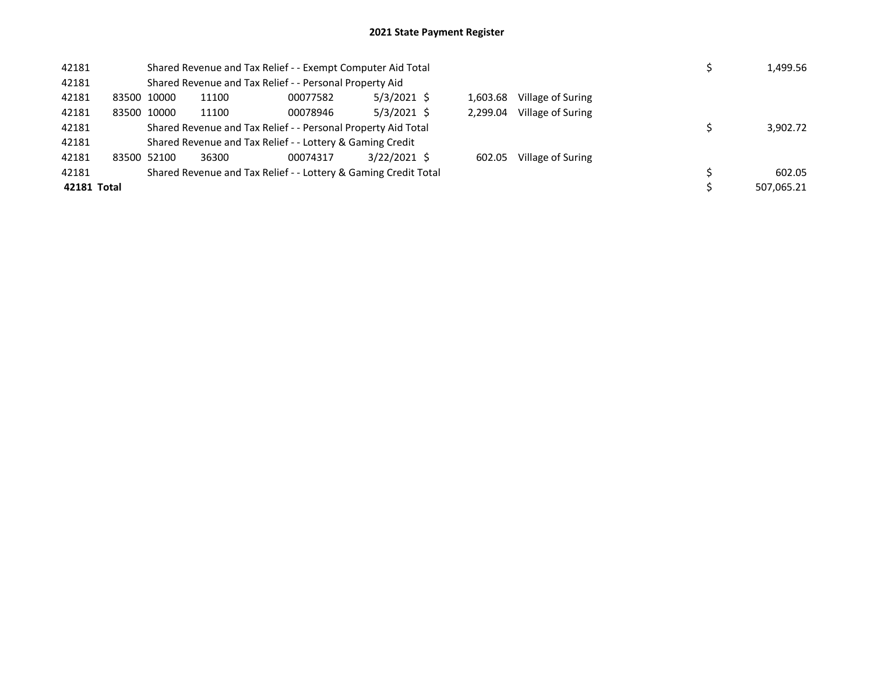| 42181       |                                                               |       | Shared Revenue and Tax Relief - - Exempt Computer Aid Total     |                | 1,499.56 |          |                   |  |            |
|-------------|---------------------------------------------------------------|-------|-----------------------------------------------------------------|----------------|----------|----------|-------------------|--|------------|
| 42181       |                                                               |       | Shared Revenue and Tax Relief - - Personal Property Aid         |                |          |          |                   |  |            |
| 42181       | 83500 10000                                                   | 11100 | 00077582                                                        | $5/3/2021$ \$  |          | 1,603.68 | Village of Suring |  |            |
| 42181       | 83500 10000                                                   | 11100 | 00078946                                                        | $5/3/2021$ \$  |          | 2.299.04 | Village of Suring |  |            |
| 42181       | Shared Revenue and Tax Relief - - Personal Property Aid Total |       |                                                                 |                |          |          |                   |  | 3,902.72   |
| 42181       |                                                               |       | Shared Revenue and Tax Relief - - Lottery & Gaming Credit       |                |          |          |                   |  |            |
| 42181       | 83500 52100                                                   | 36300 | 00074317                                                        | $3/22/2021$ \$ |          | 602.05   | Village of Suring |  |            |
| 42181       |                                                               |       | Shared Revenue and Tax Relief - - Lottery & Gaming Credit Total |                |          |          |                   |  | 602.05     |
| 42181 Total |                                                               |       |                                                                 |                |          |          |                   |  | 507,065.21 |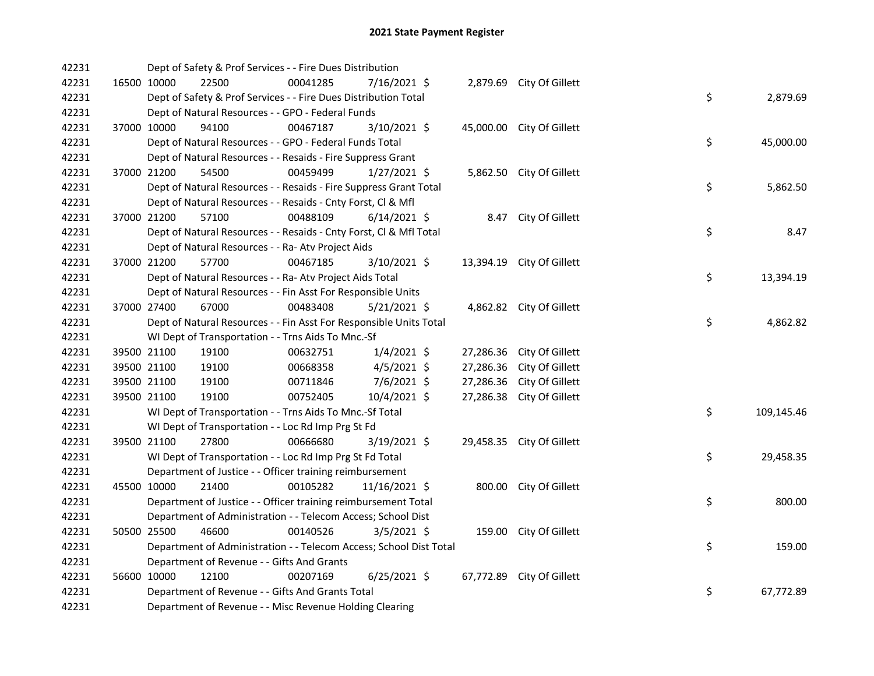| 42231 | Dept of Safety & Prof Services - - Fire Dues Distribution          |          |                |           |                           |                  |
|-------|--------------------------------------------------------------------|----------|----------------|-----------|---------------------------|------------------|
| 42231 | 16500 10000<br>22500                                               | 00041285 | 7/16/2021 \$   |           | 2,879.69 City Of Gillett  |                  |
| 42231 | Dept of Safety & Prof Services - - Fire Dues Distribution Total    |          |                |           |                           | \$<br>2,879.69   |
| 42231 | Dept of Natural Resources - - GPO - Federal Funds                  |          |                |           |                           |                  |
| 42231 | 37000 10000<br>94100                                               | 00467187 | 3/10/2021 \$   |           | 45,000.00 City Of Gillett |                  |
| 42231 | Dept of Natural Resources - - GPO - Federal Funds Total            |          |                |           |                           | \$<br>45,000.00  |
| 42231 | Dept of Natural Resources - - Resaids - Fire Suppress Grant        |          |                |           |                           |                  |
| 42231 | 37000 21200<br>54500                                               | 00459499 | $1/27/2021$ \$ |           | 5,862.50 City Of Gillett  |                  |
| 42231 | Dept of Natural Resources - - Resaids - Fire Suppress Grant Total  |          |                |           |                           | \$<br>5,862.50   |
| 42231 | Dept of Natural Resources - - Resaids - Cnty Forst, Cl & Mfl       |          |                |           |                           |                  |
| 42231 | 37000 21200<br>57100                                               | 00488109 | $6/14/2021$ \$ |           | 8.47 City Of Gillett      |                  |
| 42231 | Dept of Natural Resources - - Resaids - Cnty Forst, Cl & Mfl Total |          |                |           |                           | \$<br>8.47       |
| 42231 | Dept of Natural Resources - - Ra- Atv Project Aids                 |          |                |           |                           |                  |
| 42231 | 37000 21200<br>57700                                               | 00467185 | 3/10/2021 \$   |           | 13,394.19 City Of Gillett |                  |
| 42231 | Dept of Natural Resources - - Ra- Atv Project Aids Total           |          |                |           |                           | \$<br>13,394.19  |
| 42231 | Dept of Natural Resources - - Fin Asst For Responsible Units       |          |                |           |                           |                  |
| 42231 | 37000 27400<br>67000                                               | 00483408 | $5/21/2021$ \$ |           | 4,862.82 City Of Gillett  |                  |
| 42231 | Dept of Natural Resources - - Fin Asst For Responsible Units Total |          |                |           |                           | \$<br>4,862.82   |
| 42231 | WI Dept of Transportation - - Trns Aids To Mnc.-Sf                 |          |                |           |                           |                  |
| 42231 | 39500 21100<br>19100                                               | 00632751 | $1/4/2021$ \$  |           | 27,286.36 City Of Gillett |                  |
| 42231 | 39500 21100<br>19100                                               | 00668358 | $4/5/2021$ \$  | 27,286.36 | City Of Gillett           |                  |
| 42231 | 39500 21100<br>19100                                               | 00711846 | $7/6/2021$ \$  | 27,286.36 | City Of Gillett           |                  |
| 42231 | 39500 21100<br>19100                                               | 00752405 | 10/4/2021 \$   |           | 27,286.38 City Of Gillett |                  |
| 42231 | WI Dept of Transportation - - Trns Aids To Mnc.-Sf Total           |          |                |           |                           | \$<br>109,145.46 |
| 42231 | WI Dept of Transportation - - Loc Rd Imp Prg St Fd                 |          |                |           |                           |                  |
| 42231 | 39500 21100<br>27800                                               | 00666680 | 3/19/2021 \$   |           | 29,458.35 City Of Gillett |                  |
| 42231 | WI Dept of Transportation - - Loc Rd Imp Prg St Fd Total           |          |                |           |                           | \$<br>29,458.35  |
| 42231 | Department of Justice - - Officer training reimbursement           |          |                |           |                           |                  |
| 42231 | 45500 10000<br>21400                                               | 00105282 | 11/16/2021 \$  |           | 800.00 City Of Gillett    |                  |
| 42231 | Department of Justice - - Officer training reimbursement Total     |          |                |           |                           | \$<br>800.00     |
| 42231 | Department of Administration - - Telecom Access; School Dist       |          |                |           |                           |                  |
| 42231 | 46600<br>50500 25500                                               | 00140526 | $3/5/2021$ \$  |           | 159.00 City Of Gillett    |                  |
| 42231 | Department of Administration - - Telecom Access; School Dist Total |          |                |           |                           | \$<br>159.00     |
| 42231 | Department of Revenue - - Gifts And Grants                         |          |                |           |                           |                  |
| 42231 | 56600 10000<br>12100                                               | 00207169 | $6/25/2021$ \$ |           | 67,772.89 City Of Gillett |                  |
| 42231 | Department of Revenue - - Gifts And Grants Total                   |          |                |           |                           | \$<br>67,772.89  |
| 42231 | Department of Revenue - - Misc Revenue Holding Clearing            |          |                |           |                           |                  |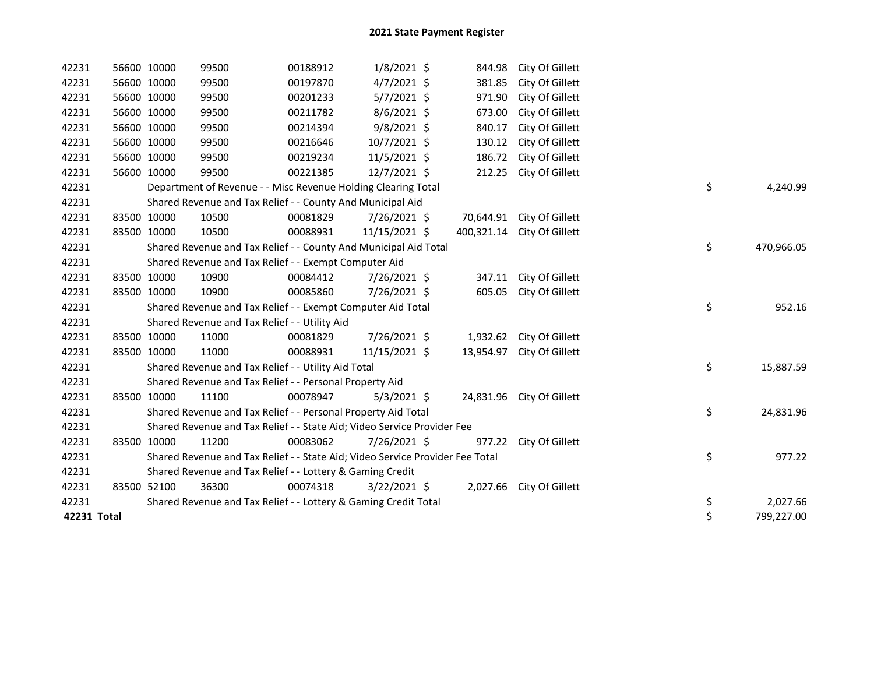| 42231       | 56600 10000 | 99500 | 00188912                                                                      | $1/8/2021$ \$  | 844.98     | City Of Gillett           |                  |
|-------------|-------------|-------|-------------------------------------------------------------------------------|----------------|------------|---------------------------|------------------|
| 42231       | 56600 10000 | 99500 | 00197870                                                                      | $4/7/2021$ \$  | 381.85     | City Of Gillett           |                  |
| 42231       | 56600 10000 | 99500 | 00201233                                                                      | $5/7/2021$ \$  | 971.90     | City Of Gillett           |                  |
| 42231       | 56600 10000 | 99500 | 00211782                                                                      | $8/6/2021$ \$  | 673.00     | City Of Gillett           |                  |
| 42231       | 56600 10000 | 99500 | 00214394                                                                      | $9/8/2021$ \$  | 840.17     | City Of Gillett           |                  |
| 42231       | 56600 10000 | 99500 | 00216646                                                                      | 10/7/2021 \$   | 130.12     | City Of Gillett           |                  |
| 42231       | 56600 10000 | 99500 | 00219234                                                                      | 11/5/2021 \$   | 186.72     | City Of Gillett           |                  |
| 42231       | 56600 10000 | 99500 | 00221385                                                                      | 12/7/2021 \$   | 212.25     | City Of Gillett           |                  |
| 42231       |             |       | Department of Revenue - - Misc Revenue Holding Clearing Total                 |                |            |                           | \$<br>4,240.99   |
| 42231       |             |       | Shared Revenue and Tax Relief - - County And Municipal Aid                    |                |            |                           |                  |
| 42231       | 83500 10000 | 10500 | 00081829                                                                      | 7/26/2021 \$   | 70,644.91  | City Of Gillett           |                  |
| 42231       | 83500 10000 | 10500 | 00088931                                                                      | 11/15/2021 \$  | 400,321.14 | City Of Gillett           |                  |
| 42231       |             |       | Shared Revenue and Tax Relief - - County And Municipal Aid Total              |                |            |                           | \$<br>470,966.05 |
| 42231       |             |       | Shared Revenue and Tax Relief - - Exempt Computer Aid                         |                |            |                           |                  |
| 42231       | 83500 10000 | 10900 | 00084412                                                                      | 7/26/2021 \$   | 347.11     | City Of Gillett           |                  |
| 42231       | 83500 10000 | 10900 | 00085860                                                                      | 7/26/2021 \$   | 605.05     | City Of Gillett           |                  |
| 42231       |             |       | Shared Revenue and Tax Relief - - Exempt Computer Aid Total                   |                |            |                           | \$<br>952.16     |
| 42231       |             |       | Shared Revenue and Tax Relief - - Utility Aid                                 |                |            |                           |                  |
| 42231       | 83500 10000 | 11000 | 00081829                                                                      | 7/26/2021 \$   |            | 1,932.62 City Of Gillett  |                  |
| 42231       | 83500 10000 | 11000 | 00088931                                                                      | 11/15/2021 \$  | 13,954.97  | City Of Gillett           |                  |
| 42231       |             |       | Shared Revenue and Tax Relief - - Utility Aid Total                           |                |            |                           | \$<br>15,887.59  |
| 42231       |             |       | Shared Revenue and Tax Relief - - Personal Property Aid                       |                |            |                           |                  |
| 42231       | 83500 10000 | 11100 | 00078947                                                                      | $5/3/2021$ \$  |            | 24,831.96 City Of Gillett |                  |
| 42231       |             |       | Shared Revenue and Tax Relief - - Personal Property Aid Total                 |                |            |                           | \$<br>24,831.96  |
| 42231       |             |       | Shared Revenue and Tax Relief - - State Aid; Video Service Provider Fee       |                |            |                           |                  |
| 42231       | 83500 10000 | 11200 | 00083062                                                                      | 7/26/2021 \$   |            | 977.22 City Of Gillett    |                  |
| 42231       |             |       | Shared Revenue and Tax Relief - - State Aid; Video Service Provider Fee Total |                |            |                           | \$<br>977.22     |
| 42231       |             |       | Shared Revenue and Tax Relief - - Lottery & Gaming Credit                     |                |            |                           |                  |
| 42231       | 83500 52100 | 36300 | 00074318                                                                      | $3/22/2021$ \$ |            | 2,027.66 City Of Gillett  |                  |
| 42231       |             |       | Shared Revenue and Tax Relief - - Lottery & Gaming Credit Total               |                |            |                           | \$<br>2,027.66   |
| 42231 Total |             |       |                                                                               |                |            |                           | \$<br>799,227.00 |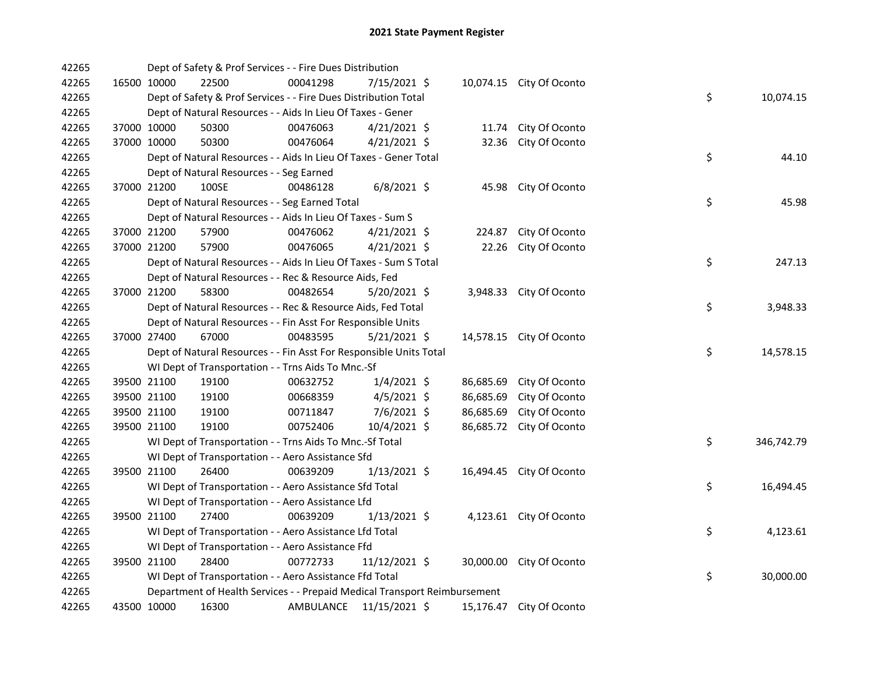| 42265 |             | Dept of Safety & Prof Services - - Fire Dues Distribution                 |           |                |           |                          |    |            |
|-------|-------------|---------------------------------------------------------------------------|-----------|----------------|-----------|--------------------------|----|------------|
| 42265 | 16500 10000 | 22500                                                                     | 00041298  | 7/15/2021 \$   |           | 10,074.15 City Of Oconto |    |            |
| 42265 |             | Dept of Safety & Prof Services - - Fire Dues Distribution Total           |           |                |           |                          | \$ | 10,074.15  |
| 42265 |             | Dept of Natural Resources - - Aids In Lieu Of Taxes - Gener               |           |                |           |                          |    |            |
| 42265 | 37000 10000 | 50300                                                                     | 00476063  | $4/21/2021$ \$ | 11.74     | City Of Oconto           |    |            |
| 42265 | 37000 10000 | 50300                                                                     | 00476064  | $4/21/2021$ \$ |           | 32.36 City Of Oconto     |    |            |
| 42265 |             | Dept of Natural Resources - - Aids In Lieu Of Taxes - Gener Total         |           |                |           |                          | \$ | 44.10      |
| 42265 |             | Dept of Natural Resources - - Seg Earned                                  |           |                |           |                          |    |            |
| 42265 | 37000 21200 | 100SE                                                                     | 00486128  | $6/8/2021$ \$  |           | 45.98 City Of Oconto     |    |            |
| 42265 |             | Dept of Natural Resources - - Seg Earned Total                            |           |                |           |                          | \$ | 45.98      |
| 42265 |             | Dept of Natural Resources - - Aids In Lieu Of Taxes - Sum S               |           |                |           |                          |    |            |
| 42265 | 37000 21200 | 57900                                                                     | 00476062  | $4/21/2021$ \$ | 224.87    | City Of Oconto           |    |            |
| 42265 | 37000 21200 | 57900                                                                     | 00476065  | $4/21/2021$ \$ | 22.26     | City Of Oconto           |    |            |
| 42265 |             | Dept of Natural Resources - - Aids In Lieu Of Taxes - Sum S Total         |           |                |           |                          | \$ | 247.13     |
| 42265 |             | Dept of Natural Resources - - Rec & Resource Aids, Fed                    |           |                |           |                          |    |            |
| 42265 | 37000 21200 | 58300                                                                     | 00482654  | 5/20/2021 \$   |           | 3,948.33 City Of Oconto  |    |            |
| 42265 |             | Dept of Natural Resources - - Rec & Resource Aids, Fed Total              |           |                |           |                          | \$ | 3,948.33   |
| 42265 |             | Dept of Natural Resources - - Fin Asst For Responsible Units              |           |                |           |                          |    |            |
| 42265 | 37000 27400 | 67000                                                                     | 00483595  | $5/21/2021$ \$ |           | 14,578.15 City Of Oconto |    |            |
| 42265 |             | Dept of Natural Resources - - Fin Asst For Responsible Units Total        |           |                |           |                          | \$ | 14,578.15  |
| 42265 |             | WI Dept of Transportation - - Trns Aids To Mnc.-Sf                        |           |                |           |                          |    |            |
| 42265 | 39500 21100 | 19100                                                                     | 00632752  | $1/4/2021$ \$  | 86,685.69 | City Of Oconto           |    |            |
| 42265 | 39500 21100 | 19100                                                                     | 00668359  | $4/5/2021$ \$  | 86,685.69 | City Of Oconto           |    |            |
| 42265 | 39500 21100 | 19100                                                                     | 00711847  | 7/6/2021 \$    | 86,685.69 | City Of Oconto           |    |            |
| 42265 | 39500 21100 | 19100                                                                     | 00752406  | 10/4/2021 \$   | 86,685.72 | City Of Oconto           |    |            |
| 42265 |             | WI Dept of Transportation - - Trns Aids To Mnc.-Sf Total                  |           |                |           |                          | \$ | 346,742.79 |
| 42265 |             | WI Dept of Transportation - - Aero Assistance Sfd                         |           |                |           |                          |    |            |
| 42265 | 39500 21100 | 26400                                                                     | 00639209  | $1/13/2021$ \$ |           | 16,494.45 City Of Oconto |    |            |
| 42265 |             | WI Dept of Transportation - - Aero Assistance Sfd Total                   |           |                |           |                          | \$ | 16,494.45  |
| 42265 |             | WI Dept of Transportation - - Aero Assistance Lfd                         |           |                |           |                          |    |            |
| 42265 | 39500 21100 | 27400                                                                     | 00639209  | $1/13/2021$ \$ |           | 4,123.61 City Of Oconto  |    |            |
| 42265 |             | WI Dept of Transportation - - Aero Assistance Lfd Total                   |           |                |           |                          | \$ | 4,123.61   |
| 42265 |             | WI Dept of Transportation - - Aero Assistance Ffd                         |           |                |           |                          |    |            |
| 42265 | 39500 21100 | 28400                                                                     | 00772733  | 11/12/2021 \$  |           | 30,000.00 City Of Oconto |    |            |
| 42265 |             | WI Dept of Transportation - - Aero Assistance Ffd Total                   |           |                |           |                          | \$ | 30,000.00  |
| 42265 |             | Department of Health Services - - Prepaid Medical Transport Reimbursement |           |                |           |                          |    |            |
| 42265 | 43500 10000 | 16300                                                                     | AMBULANCE | 11/15/2021 \$  | 15,176.47 | City Of Oconto           |    |            |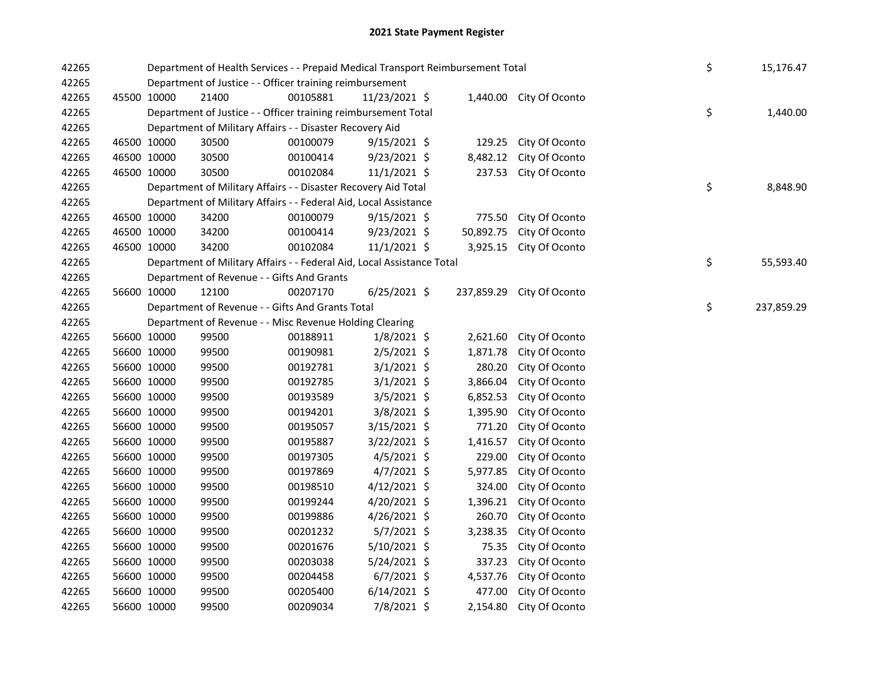| 42265 |             | Department of Health Services - - Prepaid Medical Transport Reimbursement Total | \$       | 15,176.47      |            |                         |    |            |
|-------|-------------|---------------------------------------------------------------------------------|----------|----------------|------------|-------------------------|----|------------|
| 42265 |             | Department of Justice - - Officer training reimbursement                        |          |                |            |                         |    |            |
| 42265 | 45500 10000 | 21400                                                                           | 00105881 | 11/23/2021 \$  |            | 1,440.00 City Of Oconto |    |            |
| 42265 |             | Department of Justice - - Officer training reimbursement Total                  |          |                |            |                         | \$ | 1,440.00   |
| 42265 |             | Department of Military Affairs - - Disaster Recovery Aid                        |          |                |            |                         |    |            |
| 42265 | 46500 10000 | 30500                                                                           | 00100079 | $9/15/2021$ \$ | 129.25     | City Of Oconto          |    |            |
| 42265 | 46500 10000 | 30500                                                                           | 00100414 | 9/23/2021 \$   | 8,482.12   | City Of Oconto          |    |            |
| 42265 | 46500 10000 | 30500                                                                           | 00102084 | $11/1/2021$ \$ | 237.53     | City Of Oconto          |    |            |
| 42265 |             | Department of Military Affairs - - Disaster Recovery Aid Total                  |          |                |            |                         | \$ | 8,848.90   |
| 42265 |             | Department of Military Affairs - - Federal Aid, Local Assistance                |          |                |            |                         |    |            |
| 42265 | 46500 10000 | 34200                                                                           | 00100079 | $9/15/2021$ \$ |            | 775.50 City Of Oconto   |    |            |
| 42265 | 46500 10000 | 34200                                                                           | 00100414 | $9/23/2021$ \$ | 50,892.75  | City Of Oconto          |    |            |
| 42265 | 46500 10000 | 34200                                                                           | 00102084 | $11/1/2021$ \$ |            | 3,925.15 City Of Oconto |    |            |
| 42265 |             | Department of Military Affairs - - Federal Aid, Local Assistance Total          |          |                |            |                         | \$ | 55,593.40  |
| 42265 |             | Department of Revenue - - Gifts And Grants                                      |          |                |            |                         |    |            |
| 42265 | 56600 10000 | 12100                                                                           | 00207170 | $6/25/2021$ \$ | 237,859.29 | City Of Oconto          |    |            |
| 42265 |             | Department of Revenue - - Gifts And Grants Total                                |          |                |            |                         | \$ | 237,859.29 |
| 42265 |             | Department of Revenue - - Misc Revenue Holding Clearing                         |          |                |            |                         |    |            |
| 42265 | 56600 10000 | 99500                                                                           | 00188911 | $1/8/2021$ \$  | 2,621.60   | City Of Oconto          |    |            |
| 42265 | 56600 10000 | 99500                                                                           | 00190981 | 2/5/2021 \$    | 1,871.78   | City Of Oconto          |    |            |
| 42265 | 56600 10000 | 99500                                                                           | 00192781 | $3/1/2021$ \$  | 280.20     | City Of Oconto          |    |            |
| 42265 | 56600 10000 | 99500                                                                           | 00192785 | $3/1/2021$ \$  | 3,866.04   | City Of Oconto          |    |            |
| 42265 | 56600 10000 | 99500                                                                           | 00193589 | $3/5/2021$ \$  | 6,852.53   | City Of Oconto          |    |            |
| 42265 | 56600 10000 | 99500                                                                           | 00194201 | 3/8/2021 \$    | 1,395.90   | City Of Oconto          |    |            |
| 42265 | 56600 10000 | 99500                                                                           | 00195057 | 3/15/2021 \$   | 771.20     | City Of Oconto          |    |            |
| 42265 | 56600 10000 | 99500                                                                           | 00195887 | 3/22/2021 \$   | 1,416.57   | City Of Oconto          |    |            |
| 42265 | 56600 10000 | 99500                                                                           | 00197305 | $4/5/2021$ \$  | 229.00     | City Of Oconto          |    |            |
| 42265 | 56600 10000 | 99500                                                                           | 00197869 | $4/7/2021$ \$  | 5,977.85   | City Of Oconto          |    |            |
| 42265 | 56600 10000 | 99500                                                                           | 00198510 | $4/12/2021$ \$ | 324.00     | City Of Oconto          |    |            |
| 42265 | 56600 10000 | 99500                                                                           | 00199244 | 4/20/2021 \$   | 1,396.21   | City Of Oconto          |    |            |
| 42265 | 56600 10000 | 99500                                                                           | 00199886 | $4/26/2021$ \$ | 260.70     | City Of Oconto          |    |            |
| 42265 | 56600 10000 | 99500                                                                           | 00201232 | $5/7/2021$ \$  | 3,238.35   | City Of Oconto          |    |            |
| 42265 | 56600 10000 | 99500                                                                           | 00201676 | 5/10/2021 \$   | 75.35      | City Of Oconto          |    |            |
| 42265 | 56600 10000 | 99500                                                                           | 00203038 | $5/24/2021$ \$ | 337.23     | City Of Oconto          |    |            |
| 42265 | 56600 10000 | 99500                                                                           | 00204458 | $6/7/2021$ \$  | 4,537.76   | City Of Oconto          |    |            |
| 42265 | 56600 10000 | 99500                                                                           | 00205400 | $6/14/2021$ \$ | 477.00     | City Of Oconto          |    |            |
| 42265 | 56600 10000 | 99500                                                                           | 00209034 | 7/8/2021 \$    |            | 2,154.80 City Of Oconto |    |            |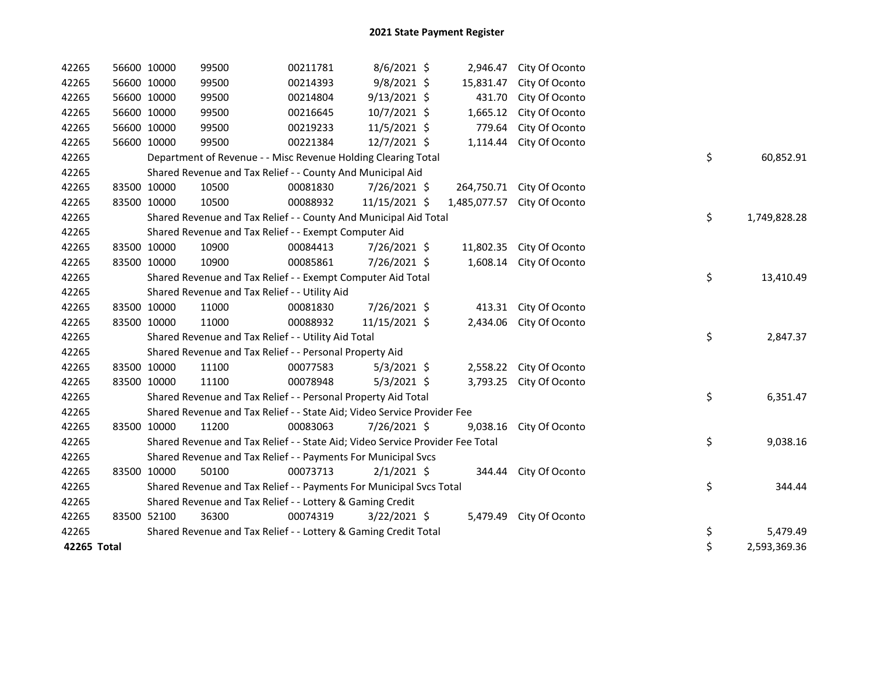| 42265       | 56600 10000 | 99500                                                                         | 00211781 | 8/6/2021 \$    | 2,946.47   | City Of Oconto              |    |              |
|-------------|-------------|-------------------------------------------------------------------------------|----------|----------------|------------|-----------------------------|----|--------------|
| 42265       | 56600 10000 | 99500                                                                         | 00214393 | 9/8/2021 \$    | 15,831.47  | City Of Oconto              |    |              |
| 42265       | 56600 10000 | 99500                                                                         | 00214804 | $9/13/2021$ \$ | 431.70     | City Of Oconto              |    |              |
| 42265       | 56600 10000 | 99500                                                                         | 00216645 | 10/7/2021 \$   | 1,665.12   | City Of Oconto              |    |              |
| 42265       | 56600 10000 | 99500                                                                         | 00219233 | 11/5/2021 \$   | 779.64     | City Of Oconto              |    |              |
| 42265       | 56600 10000 | 99500                                                                         | 00221384 | 12/7/2021 \$   | 1,114.44   | City Of Oconto              |    |              |
| 42265       |             | Department of Revenue - - Misc Revenue Holding Clearing Total                 |          |                |            |                             | \$ | 60,852.91    |
| 42265       |             | Shared Revenue and Tax Relief - - County And Municipal Aid                    |          |                |            |                             |    |              |
| 42265       | 83500 10000 | 10500                                                                         | 00081830 | 7/26/2021 \$   | 264,750.71 | City Of Oconto              |    |              |
| 42265       | 83500 10000 | 10500                                                                         | 00088932 | 11/15/2021 \$  |            | 1,485,077.57 City Of Oconto |    |              |
| 42265       |             | Shared Revenue and Tax Relief - - County And Municipal Aid Total              |          |                |            |                             | \$ | 1,749,828.28 |
| 42265       |             | Shared Revenue and Tax Relief - - Exempt Computer Aid                         |          |                |            |                             |    |              |
| 42265       | 83500 10000 | 10900                                                                         | 00084413 | 7/26/2021 \$   |            | 11,802.35 City Of Oconto    |    |              |
| 42265       | 83500 10000 | 10900                                                                         | 00085861 | 7/26/2021 \$   |            | 1,608.14 City Of Oconto     |    |              |
| 42265       |             | Shared Revenue and Tax Relief - - Exempt Computer Aid Total                   |          |                |            |                             | \$ | 13,410.49    |
| 42265       |             | Shared Revenue and Tax Relief - - Utility Aid                                 |          |                |            |                             |    |              |
| 42265       | 83500 10000 | 11000                                                                         | 00081830 | 7/26/2021 \$   |            | 413.31 City Of Oconto       |    |              |
| 42265       | 83500 10000 | 11000                                                                         | 00088932 | 11/15/2021 \$  |            | 2,434.06 City Of Oconto     |    |              |
| 42265       |             | Shared Revenue and Tax Relief - - Utility Aid Total                           |          |                |            |                             | \$ | 2,847.37     |
| 42265       |             | Shared Revenue and Tax Relief - - Personal Property Aid                       |          |                |            |                             |    |              |
| 42265       | 83500 10000 | 11100                                                                         | 00077583 | $5/3/2021$ \$  |            | 2,558.22 City Of Oconto     |    |              |
| 42265       | 83500 10000 | 11100                                                                         | 00078948 | $5/3/2021$ \$  |            | 3,793.25 City Of Oconto     |    |              |
| 42265       |             | Shared Revenue and Tax Relief - - Personal Property Aid Total                 |          |                |            |                             | \$ | 6,351.47     |
| 42265       |             | Shared Revenue and Tax Relief - - State Aid; Video Service Provider Fee       |          |                |            |                             |    |              |
| 42265       | 83500 10000 | 11200                                                                         | 00083063 | 7/26/2021 \$   |            | 9,038.16 City Of Oconto     |    |              |
| 42265       |             | Shared Revenue and Tax Relief - - State Aid; Video Service Provider Fee Total |          |                |            |                             | \$ | 9,038.16     |
| 42265       |             | Shared Revenue and Tax Relief - - Payments For Municipal Svcs                 |          |                |            |                             |    |              |
| 42265       | 83500 10000 | 50100                                                                         | 00073713 | $2/1/2021$ \$  |            | 344.44 City Of Oconto       |    |              |
| 42265       |             | Shared Revenue and Tax Relief - - Payments For Municipal Svcs Total           |          |                |            |                             | \$ | 344.44       |
| 42265       |             | Shared Revenue and Tax Relief - - Lottery & Gaming Credit                     |          |                |            |                             |    |              |
| 42265       | 83500 52100 | 36300                                                                         | 00074319 | $3/22/2021$ \$ |            | 5,479.49 City Of Oconto     |    |              |
| 42265       |             | Shared Revenue and Tax Relief - - Lottery & Gaming Credit Total               |          |                |            |                             | \$ | 5,479.49     |
| 42265 Total |             |                                                                               |          |                |            |                             | \$ | 2,593,369.36 |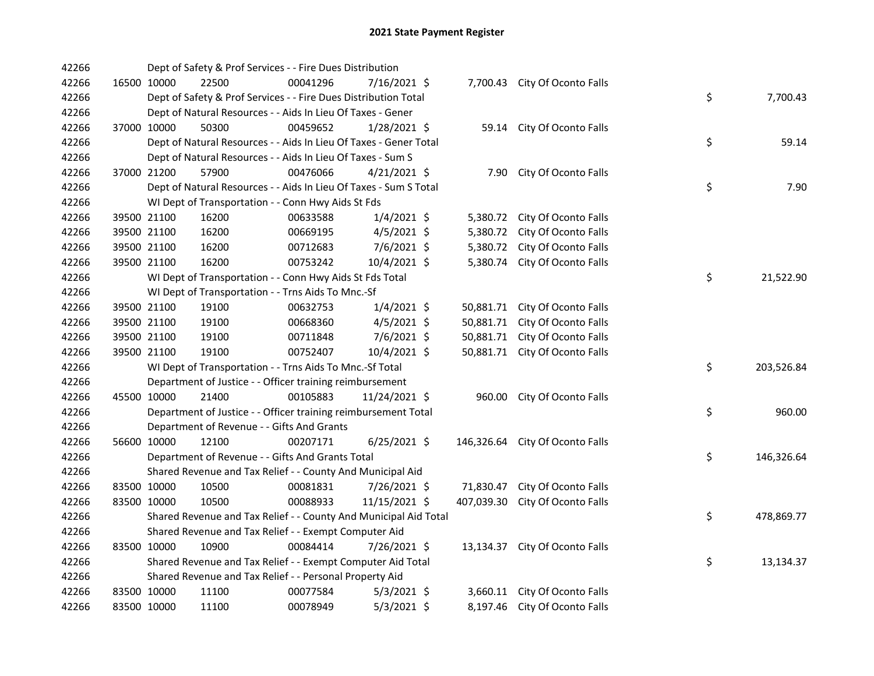| 42266 | Dept of Safety & Prof Services - - Fire Dues Distribution         |                                                          |          |                |  |            |                                |  |    |            |
|-------|-------------------------------------------------------------------|----------------------------------------------------------|----------|----------------|--|------------|--------------------------------|--|----|------------|
| 42266 | 16500 10000                                                       | 22500                                                    | 00041296 | 7/16/2021 \$   |  |            | 7,700.43 City Of Oconto Falls  |  |    |            |
| 42266 | Dept of Safety & Prof Services - - Fire Dues Distribution Total   |                                                          |          |                |  |            |                                |  | \$ | 7,700.43   |
| 42266 | Dept of Natural Resources - - Aids In Lieu Of Taxes - Gener       |                                                          |          |                |  |            |                                |  |    |            |
| 42266 | 37000 10000                                                       | 50300                                                    | 00459652 | 1/28/2021 \$   |  | 59.14      | City Of Oconto Falls           |  |    |            |
| 42266 | Dept of Natural Resources - - Aids In Lieu Of Taxes - Gener Total |                                                          |          |                |  |            |                                |  | \$ | 59.14      |
| 42266 | Dept of Natural Resources - - Aids In Lieu Of Taxes - Sum S       |                                                          |          |                |  |            |                                |  |    |            |
| 42266 | 37000 21200                                                       | 57900                                                    | 00476066 | $4/21/2021$ \$ |  |            | 7.90 City Of Oconto Falls      |  |    |            |
| 42266 | Dept of Natural Resources - - Aids In Lieu Of Taxes - Sum S Total |                                                          |          |                |  |            |                                |  | \$ | 7.90       |
| 42266 | WI Dept of Transportation - - Conn Hwy Aids St Fds                |                                                          |          |                |  |            |                                |  |    |            |
| 42266 | 39500 21100                                                       | 16200                                                    | 00633588 | $1/4/2021$ \$  |  |            | 5,380.72 City Of Oconto Falls  |  |    |            |
| 42266 | 39500 21100                                                       | 16200                                                    | 00669195 | $4/5/2021$ \$  |  | 5,380.72   | City Of Oconto Falls           |  |    |            |
| 42266 | 39500 21100                                                       | 16200                                                    | 00712683 | 7/6/2021 \$    |  | 5,380.72   | City Of Oconto Falls           |  |    |            |
| 42266 | 39500 21100                                                       | 16200                                                    | 00753242 | 10/4/2021 \$   |  | 5,380.74   | City Of Oconto Falls           |  |    |            |
| 42266 |                                                                   | WI Dept of Transportation - - Conn Hwy Aids St Fds Total |          |                |  |            |                                |  | \$ | 21,522.90  |
| 42266 |                                                                   | WI Dept of Transportation - - Trns Aids To Mnc.-Sf       |          |                |  |            |                                |  |    |            |
| 42266 | 39500 21100                                                       | 19100                                                    | 00632753 | $1/4/2021$ \$  |  | 50,881.71  | City Of Oconto Falls           |  |    |            |
| 42266 | 39500 21100                                                       | 19100                                                    | 00668360 | $4/5/2021$ \$  |  | 50,881.71  | City Of Oconto Falls           |  |    |            |
| 42266 | 39500 21100                                                       | 19100                                                    | 00711848 | 7/6/2021 \$    |  | 50,881.71  | City Of Oconto Falls           |  |    |            |
| 42266 | 39500 21100                                                       | 19100                                                    | 00752407 | 10/4/2021 \$   |  |            | 50,881.71 City Of Oconto Falls |  |    |            |
| 42266 | WI Dept of Transportation - - Trns Aids To Mnc.-Sf Total          |                                                          |          |                |  |            |                                |  | \$ | 203,526.84 |
| 42266 | Department of Justice - - Officer training reimbursement          |                                                          |          |                |  |            |                                |  |    |            |
| 42266 | 45500 10000                                                       | 21400                                                    | 00105883 | 11/24/2021 \$  |  |            | 960.00 City Of Oconto Falls    |  |    |            |
| 42266 | Department of Justice - - Officer training reimbursement Total    |                                                          |          |                |  |            |                                |  | \$ | 960.00     |
| 42266 | Department of Revenue - - Gifts And Grants                        |                                                          |          |                |  |            |                                |  |    |            |
| 42266 | 56600 10000                                                       | 12100                                                    | 00207171 | $6/25/2021$ \$ |  | 146,326.64 | City Of Oconto Falls           |  |    |            |
| 42266 | Department of Revenue - - Gifts And Grants Total                  |                                                          |          |                |  |            |                                |  | \$ | 146,326.64 |
| 42266 | Shared Revenue and Tax Relief - - County And Municipal Aid        |                                                          |          |                |  |            |                                |  |    |            |
| 42266 | 83500 10000                                                       | 10500                                                    | 00081831 | 7/26/2021 \$   |  | 71,830.47  | City Of Oconto Falls           |  |    |            |
| 42266 | 83500 10000                                                       | 10500                                                    | 00088933 | 11/15/2021 \$  |  | 407,039.30 | City Of Oconto Falls           |  |    |            |
| 42266 | Shared Revenue and Tax Relief - - County And Municipal Aid Total  |                                                          |          |                |  |            |                                |  | \$ | 478,869.77 |
| 42266 | Shared Revenue and Tax Relief - - Exempt Computer Aid             |                                                          |          |                |  |            |                                |  |    |            |
| 42266 | 83500 10000                                                       | 10900                                                    | 00084414 | $7/26/2021$ \$ |  |            | 13,134.37 City Of Oconto Falls |  |    |            |
| 42266 | \$<br>Shared Revenue and Tax Relief - - Exempt Computer Aid Total |                                                          |          |                |  |            |                                |  |    | 13,134.37  |
| 42266 | Shared Revenue and Tax Relief - - Personal Property Aid           |                                                          |          |                |  |            |                                |  |    |            |
| 42266 | 83500 10000                                                       | 11100                                                    | 00077584 | $5/3/2021$ \$  |  |            | 3,660.11 City Of Oconto Falls  |  |    |            |
| 42266 | 83500 10000                                                       | 11100                                                    | 00078949 | $5/3/2021$ \$  |  |            | 8,197.46 City Of Oconto Falls  |  |    |            |